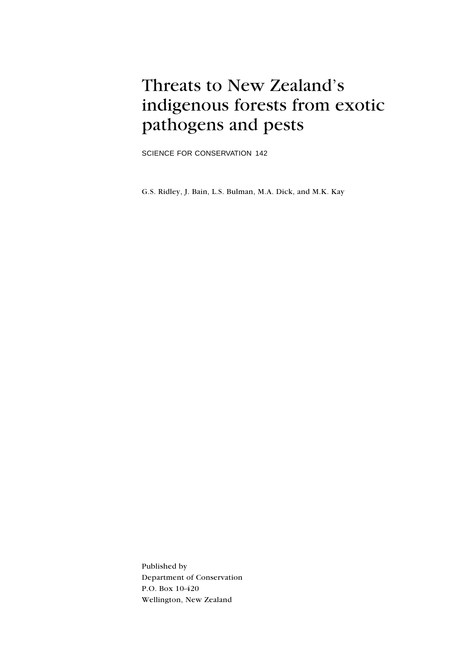# Threats to New Zealand's indigenous forests from exotic pathogens and pests

SCIENCE FOR CONSERVATION 142

G.S. Ridley, J. Bain, L.S. Bulman, M.A. Dick, and M.K. Kay

Published by Department of Conservation P.O. Box 10-420 Wellington, New Zealand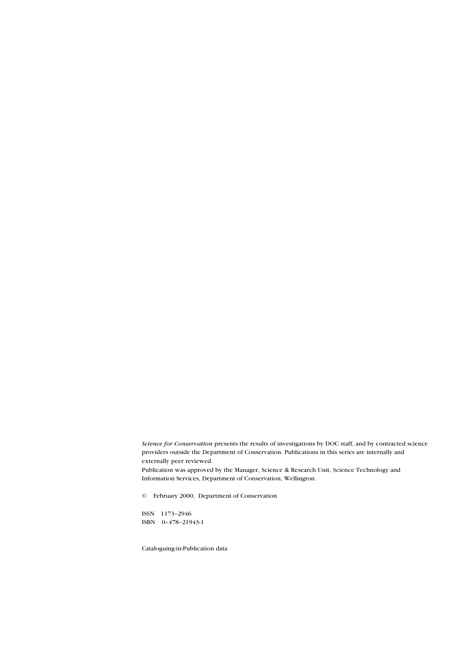Science for Conservation presents the results of investigations by DOC staff, and by contracted science providers outside the Department of Conservation. Publications in this series are internally and externally peer reviewed.

Publication was approved by the Manager, Science & Research Unit, Science Technology and Information Services, Department of Conservation, Wellington.

© February 2000, Department of Conservation

ISSN 1173-2946 ISBN 0-478-21943-1

Cataloguing-in-Publication data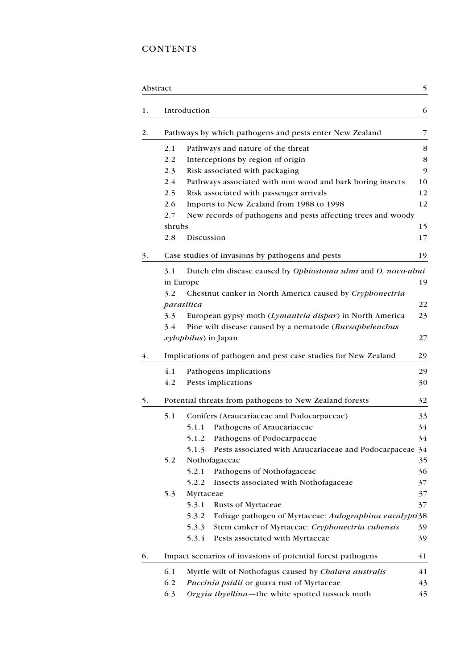# **CONTENTS**

| Abstract |                                                                |                                                                                                     | 5                                      |  |  |
|----------|----------------------------------------------------------------|-----------------------------------------------------------------------------------------------------|----------------------------------------|--|--|
| 1.       |                                                                | Introduction                                                                                        | 6                                      |  |  |
| 2.       |                                                                | Pathways by which pathogens and pests enter New Zealand                                             | 7                                      |  |  |
|          | 2.1                                                            | Pathways and nature of the threat                                                                   | 8                                      |  |  |
|          | 2.2                                                            | Interceptions by region of origin                                                                   | 8                                      |  |  |
|          | 2.3                                                            | Risk associated with packaging                                                                      | 9                                      |  |  |
|          | 2.4                                                            | Pathways associated with non wood and bark boring insects                                           | 10                                     |  |  |
|          | 2.5                                                            | Risk associated with passenger arrivals                                                             | 12                                     |  |  |
|          | 2.6                                                            | Imports to New Zealand from 1988 to 1998                                                            | 12                                     |  |  |
|          | 2.7                                                            | New records of pathogens and pests affecting trees and woody                                        |                                        |  |  |
|          | shrubs                                                         |                                                                                                     | 15                                     |  |  |
|          | 2.8                                                            | Discussion                                                                                          | 17                                     |  |  |
| 3.       |                                                                | Case studies of invasions by pathogens and pests                                                    | 19                                     |  |  |
|          | 3.1                                                            | Dutch elm disease caused by Ophiostoma ulmi and O. novo-ulmi                                        |                                        |  |  |
|          |                                                                | in Europe                                                                                           | 19                                     |  |  |
|          | 3.2                                                            | Chestnut canker in North America caused by Cryphonectria                                            |                                        |  |  |
|          |                                                                | parasitica                                                                                          | 22                                     |  |  |
|          | 3.3                                                            | European gypsy moth (Lymantria dispar) in North America                                             | 23                                     |  |  |
|          | Pine wilt disease caused by a nematode (Bursaphelenchus<br>3.4 |                                                                                                     |                                        |  |  |
|          |                                                                | xylophilus) in Japan                                                                                | 27                                     |  |  |
| 4.       |                                                                | Implications of pathogen and pest case studies for New Zealand                                      | 29                                     |  |  |
|          | 4.1                                                            | Pathogens implications                                                                              | 29                                     |  |  |
|          | 4.2                                                            | Pests implications                                                                                  | 30                                     |  |  |
| 5.       |                                                                | Potential threats from pathogens to New Zealand forests                                             | 32                                     |  |  |
|          | 5.1                                                            | Conifers (Araucariaceae and Podocarpaceae)                                                          | 33                                     |  |  |
|          |                                                                | 5.1.1<br>Pathogens of Araucariaceae                                                                 | 34                                     |  |  |
|          |                                                                | 5.1.2 Pathogens of Podocarpaceae                                                                    | 34                                     |  |  |
|          |                                                                | Pests associated with Araucariaceae and Podocarpaceae 34<br>5.1.3                                   |                                        |  |  |
|          | 5.2                                                            | Nothofagaceae                                                                                       | 35                                     |  |  |
|          |                                                                | Pathogens of Nothofagaceae<br>5.2.1                                                                 | 36                                     |  |  |
|          |                                                                |                                                                                                     |                                        |  |  |
|          |                                                                | Insects associated with Nothofagaceae<br>5.2.2                                                      |                                        |  |  |
|          | 5.3                                                            | Myrtaceae                                                                                           |                                        |  |  |
|          |                                                                | 5.3.1<br>Rusts of Myrtaceae                                                                         |                                        |  |  |
|          |                                                                | Foliage pathogen of Myrtaceae: Aulographina eucalypti38<br>5.3.2                                    |                                        |  |  |
|          |                                                                | Stem canker of Myrtaceae: Cryphonectria cubensis<br>5.3.3                                           |                                        |  |  |
|          |                                                                | 5.3.4<br>Pests associated with Myrtaceae                                                            |                                        |  |  |
| 6.       |                                                                | Impact scenarios of invasions of potential forest pathogens                                         |                                        |  |  |
|          | 6.1                                                            |                                                                                                     | 37<br>37<br>37<br>39<br>39<br>41<br>41 |  |  |
|          | 6.2                                                            | Myrtle wilt of Nothofagus caused by Chalara australis<br>Puccinia psidii or guava rust of Myrtaceae | 43                                     |  |  |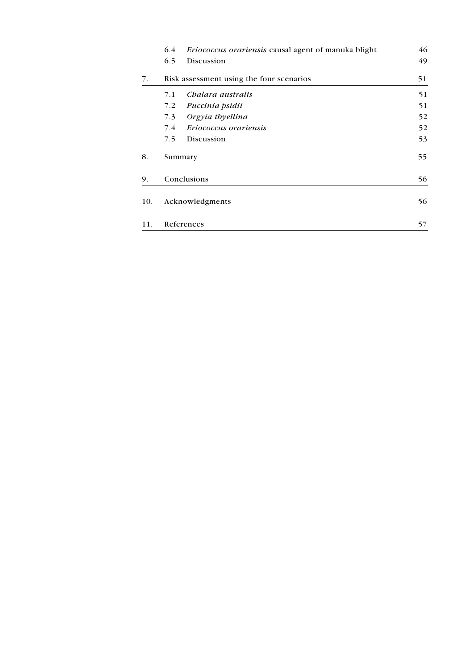|     | 6.4           | Eriococcus orariensis causal agent of manuka blight | 46 |
|-----|---------------|-----------------------------------------------------|----|
|     | 6.5           | Discussion                                          | 49 |
| 7.  |               | Risk assessment using the four scenarios            | 51 |
|     | 7.1           | Chalara australis                                   | 51 |
|     | 7.2           | Puccinia psidii                                     | 51 |
|     | 7.3           | Orgyia thyellina                                    | 52 |
|     | $7.4^{\circ}$ | Eriococcus orariensis                               | 52 |
|     | 7.5           | Discussion                                          | 53 |
| 8.  |               | Summary                                             | 55 |
| 9.  |               | Conclusions                                         | 56 |
| 10. |               | Acknowledgments                                     | 56 |
| 11. |               | References                                          | 57 |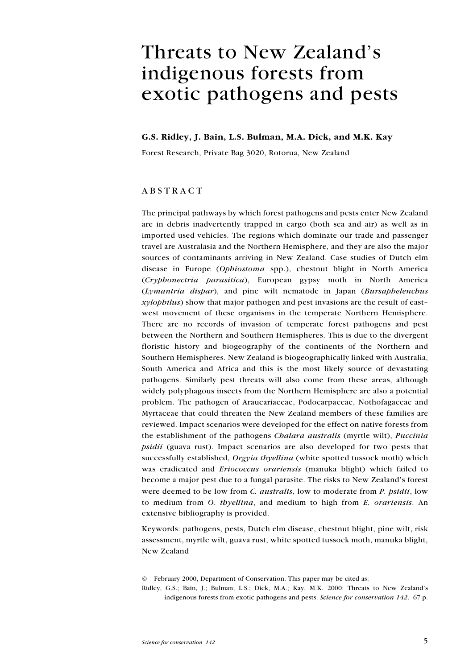# Threats to New Zealand's indigenous forests from exotic pathogens and pests

#### G.S. Ridley, J. Bain, L.S. Bulman, M.A. Dick, and M.K. Kay

Forest Research, Private Bag 3020, Rotorua, New Zealand

### ABSTRACT

The principal pathways by which forest pathogens and pests enter New Zealand are in debris inadvertently trapped in cargo (both sea and air) as well as in imported used vehicles. The regions which dominate our trade and passenger travel are Australasia and the Northern Hemisphere, and they are also the major sources of contaminants arriving in New Zealand. Case studies of Dutch elm disease in Europe (Ophiostoma spp.), chestnut blight in North America (Cryphonectria parasitica), European gypsy moth in North America (Lymantria dispar), and pine wilt nematode in Japan (Bursaphelenchus xylophilus) show that major pathogen and pest invasions are the result of east west movement of these organisms in the temperate Northern Hemisphere. There are no records of invasion of temperate forest pathogens and pest between the Northern and Southern Hemispheres. This is due to the divergent floristic history and biogeography of the continents of the Northern and Southern Hemispheres. New Zealand is biogeographically linked with Australia, South America and Africa and this is the most likely source of devastating pathogens. Similarly pest threats will also come from these areas, although widely polyphagous insects from the Northern Hemisphere are also a potential problem. The pathogen of Araucariaceae, Podocarpaceae, Nothofagaceae and Myrtaceae that could threaten the New Zealand members of these families are reviewed. Impact scenarios were developed for the effect on native forests from the establishment of the pathogens *Chalara australis* (myrtle wilt), *Puccinia* psidii (guava rust). Impact scenarios are also developed for two pests that successfully established, Orgyia thyellina (white spotted tussock moth) which was eradicated and Eriococcus orariensis (manuka blight) which failed to become a major pest due to a fungal parasite. The risks to New Zealand's forest were deemed to be low from C. australis, low to moderate from P. psidii, low to medium from O. thyellina, and medium to high from E. orariensis. An extensive bibliography is provided.

Keywords: pathogens, pests, Dutch elm disease, chestnut blight, pine wilt, risk assessment, myrtle wilt, guava rust, white spotted tussock moth, manuka blight, New Zealand

<sup>©</sup> February 2000, Department of Conservation. This paper may be cited as:

Ridley, G.S.; Bain, J.; Bulman, L.S.; Dick, M.A.; Kay, M.K. 2000: Threats to New Zealand's indigenous forests from exotic pathogens and pests. Science for conservation 142. 67 p.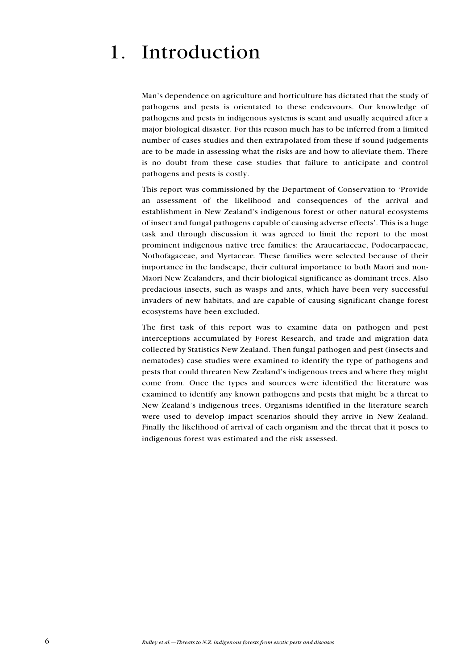# 1. Introduction

Man's dependence on agriculture and horticulture has dictated that the study of pathogens and pests is orientated to these endeavours. Our knowledge of pathogens and pests in indigenous systems is scant and usually acquired after a major biological disaster. For this reason much has to be inferred from a limited number of cases studies and then extrapolated from these if sound judgements are to be made in assessing what the risks are and how to alleviate them. There is no doubt from these case studies that failure to anticipate and control pathogens and pests is costly.

This report was commissioned by the Department of Conservation to Provide an assessment of the likelihood and consequences of the arrival and establishment in New Zealand's indigenous forest or other natural ecosystems of insect and fungal pathogens capable of causing adverse effects. This is a huge task and through discussion it was agreed to limit the report to the most prominent indigenous native tree families: the Araucariaceae, Podocarpaceae, Nothofagaceae, and Myrtaceae. These families were selected because of their importance in the landscape, their cultural importance to both Maori and non-Maori New Zealanders, and their biological significance as dominant trees. Also predacious insects, such as wasps and ants, which have been very successful invaders of new habitats, and are capable of causing significant change forest ecosystems have been excluded.

The first task of this report was to examine data on pathogen and pest interceptions accumulated by Forest Research, and trade and migration data collected by Statistics New Zealand. Then fungal pathogen and pest (insects and nematodes) case studies were examined to identify the type of pathogens and pests that could threaten New Zealand's indigenous trees and where they might come from. Once the types and sources were identified the literature was examined to identify any known pathogens and pests that might be a threat to New Zealand's indigenous trees. Organisms identified in the literature search were used to develop impact scenarios should they arrive in New Zealand. Finally the likelihood of arrival of each organism and the threat that it poses to indigenous forest was estimated and the risk assessed.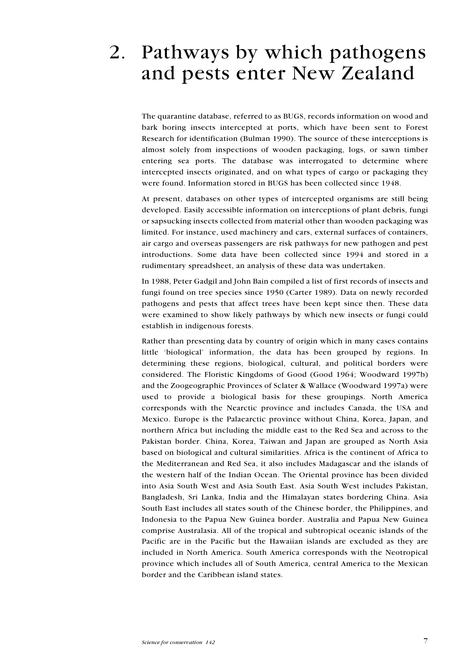# 2. Pathways by which pathogens and pests enter New Zealand

The quarantine database, referred to as BUGS, records information on wood and bark boring insects intercepted at ports, which have been sent to Forest Research for identification (Bulman 1990). The source of these interceptions is almost solely from inspections of wooden packaging, logs, or sawn timber entering sea ports. The database was interrogated to determine where intercepted insects originated, and on what types of cargo or packaging they were found. Information stored in BUGS has been collected since 1948.

At present, databases on other types of intercepted organisms are still being developed. Easily accessible information on interceptions of plant debris, fungi or sapsucking insects collected from material other than wooden packaging was limited. For instance, used machinery and cars, external surfaces of containers, air cargo and overseas passengers are risk pathways for new pathogen and pest introductions. Some data have been collected since 1994 and stored in a rudimentary spreadsheet, an analysis of these data was undertaken.

In 1988, Peter Gadgil and John Bain compiled a list of first records of insects and fungi found on tree species since 1950 (Carter 1989). Data on newly recorded pathogens and pests that affect trees have been kept since then. These data were examined to show likely pathways by which new insects or fungi could establish in indigenous forests.

Rather than presenting data by country of origin which in many cases contains little 'biological' information, the data has been grouped by regions. In determining these regions, biological, cultural, and political borders were considered. The Floristic Kingdoms of Good (Good 1964; Woodward 1997b) and the Zoogeographic Provinces of Sclater & Wallace (Woodward 1997a) were used to provide a biological basis for these groupings. North America corresponds with the Nearctic province and includes Canada, the USA and Mexico. Europe is the Palaearctic province without China, Korea, Japan, and northern Africa but including the middle east to the Red Sea and across to the Pakistan border. China, Korea, Taiwan and Japan are grouped as North Asia based on biological and cultural similarities. Africa is the continent of Africa to the Mediterranean and Red Sea, it also includes Madagascar and the islands of the western half of the Indian Ocean. The Oriental province has been divided into Asia South West and Asia South East. Asia South West includes Pakistan, Bangladesh, Sri Lanka, India and the Himalayan states bordering China. Asia South East includes all states south of the Chinese border, the Philippines, and Indonesia to the Papua New Guinea border. Australia and Papua New Guinea comprise Australasia. All of the tropical and subtropical oceanic islands of the Pacific are in the Pacific but the Hawaiian islands are excluded as they are included in North America. South America corresponds with the Neotropical province which includes all of South America, central America to the Mexican border and the Caribbean island states.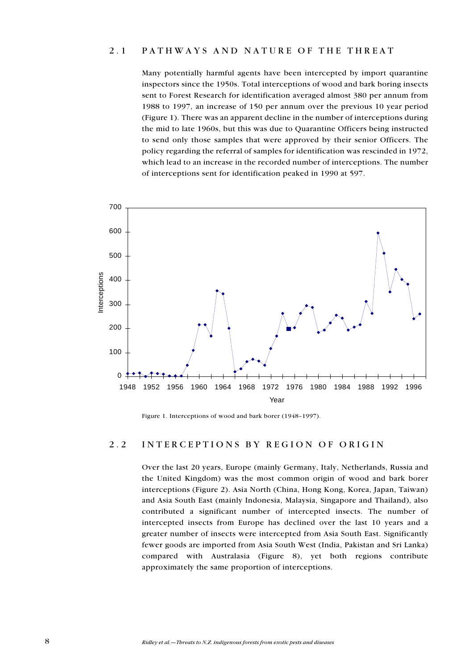### 2.1 PATHWAYS AND NATURE OF THE THREAT

Many potentially harmful agents have been intercepted by import quarantine inspectors since the 1950s. Total interceptions of wood and bark boring insects sent to Forest Research for identification averaged almost 380 per annum from 1988 to 1997, an increase of 150 per annum over the previous 10 year period (Figure 1). There was an apparent decline in the number of interceptions during the mid to late 1960s, but this was due to Quarantine Officers being instructed to send only those samples that were approved by their senior Officers. The policy regarding the referral of samples for identification was rescinded in 1972, which lead to an increase in the recorded number of interceptions. The number of interceptions sent for identification peaked in 1990 at 597.



Figure 1. Interceptions of wood and bark borer (1948-1997).

#### 2.2 INTERCEPTIONS BY REGION OF ORIGIN

Over the last 20 years, Europe (mainly Germany, Italy, Netherlands, Russia and the United Kingdom) was the most common origin of wood and bark borer interceptions (Figure 2). Asia North (China, Hong Kong, Korea, Japan, Taiwan) and Asia South East (mainly Indonesia, Malaysia, Singapore and Thailand), also contributed a significant number of intercepted insects. The number of intercepted insects from Europe has declined over the last 10 years and a greater number of insects were intercepted from Asia South East. Significantly fewer goods are imported from Asia South West (India, Pakistan and Sri Lanka) compared with Australasia (Figure 8), yet both regions contribute approximately the same proportion of interceptions.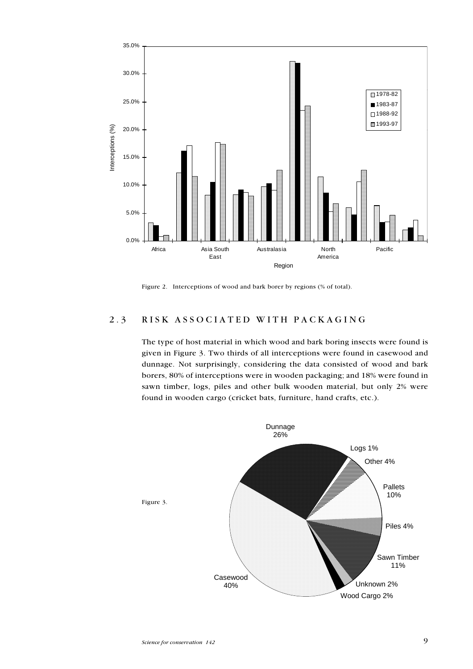

Figure 2. Interceptions of wood and bark borer by regions (% of total).

## 2.3 RISK ASSOCIATED WITH PACKAGING

The type of host material in which wood and bark boring insects were found is given in Figure 3. Two thirds of all interceptions were found in casewood and dunnage. Not surprisingly, considering the data consisted of wood and bark borers, 80% of interceptions were in wooden packaging; and 18% were found in sawn timber, logs, piles and other bulk wooden material, but only 2% were found in wooden cargo (cricket bats, furniture, hand crafts, etc.).

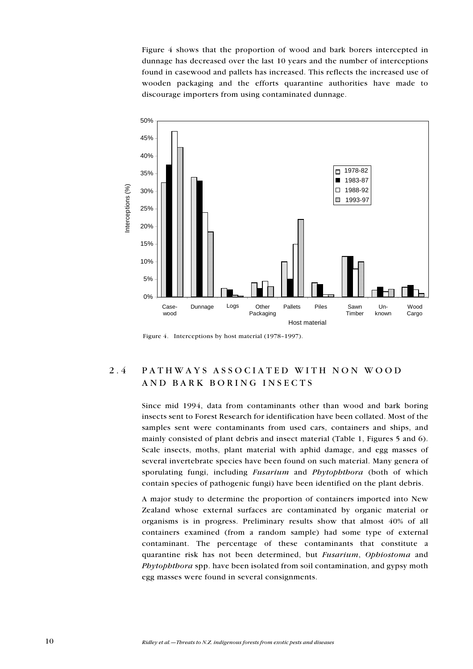Figure 4 shows that the proportion of wood and bark borers intercepted in dunnage has decreased over the last 10 years and the number of interceptions found in casewood and pallets has increased. This reflects the increased use of wooden packaging and the efforts quarantine authorities have made to discourage importers from using contaminated dunnage.



Figure 4. Interceptions by host material  $(1978-1997)$ .

# 2.4 PATHWAYS ASSOCIATED WITH NON WOOD AND BARK BORING INSECTS

Since mid 1994, data from contaminants other than wood and bark boring insects sent to Forest Research for identification have been collated. Most of the samples sent were contaminants from used cars, containers and ships, and mainly consisted of plant debris and insect material (Table 1, Figures 5 and 6). Scale insects, moths, plant material with aphid damage, and egg masses of several invertebrate species have been found on such material. Many genera of sporulating fungi, including Fusarium and Phytophthora (both of which contain species of pathogenic fungi) have been identified on the plant debris.

A major study to determine the proportion of containers imported into New Zealand whose external surfaces are contaminated by organic material or organisms is in progress. Preliminary results show that almost 40% of all containers examined (from a random sample) had some type of external contaminant. The percentage of these contaminants that constitute a quarantine risk has not been determined, but Fusarium, Ophiostoma and Phytophthora spp. have been isolated from soil contamination, and gypsy moth egg masses were found in several consignments.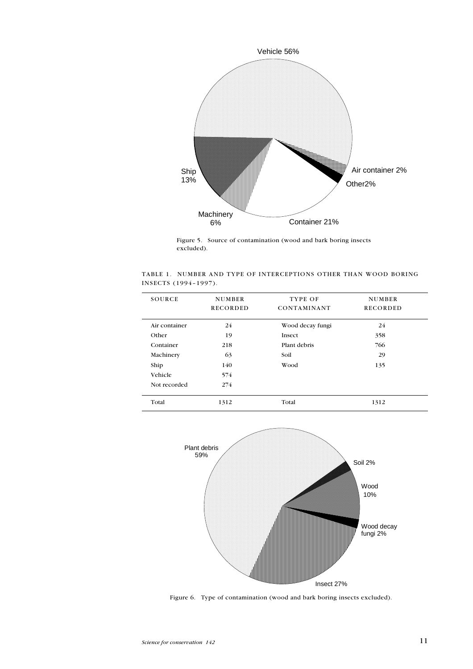

Figure 5. Source of contamination (wood and bark boring insects excluded).

|                      | TABLE 1. NUMBER AND TYPE OF INTERCEPTIONS OTHER THAN WOOD BORING |  |  |
|----------------------|------------------------------------------------------------------|--|--|
| INSECTS (1994-1997). |                                                                  |  |  |

| <b>SOURCE</b> | <b>NUMBER</b><br><b>RECORDED</b> | TYPE OF<br><b>CONTAMINANT</b> | <b>NUMBER</b><br><b>RECORDED</b> |
|---------------|----------------------------------|-------------------------------|----------------------------------|
| Air container | 24                               | Wood decay fungi              | 24                               |
| Other         | 19                               | Insect                        | 358                              |
| Container     | 218                              | Plant debris                  | 766                              |
| Machinery     | 63                               | Soil                          | 29                               |
| Ship          | 140                              | Wood                          | 135                              |
| Vehicle       | 574                              |                               |                                  |
| Not recorded  | 274                              |                               |                                  |
| Total         | 1312                             | Total                         | 1312                             |
|               |                                  |                               |                                  |



Figure 6. Type of contamination (wood and bark boring insects excluded).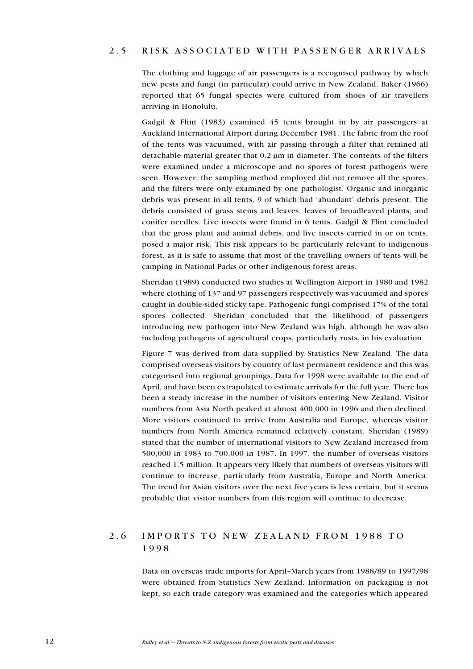### 2.5 RISK ASSOCIATED WITH PASSENGER ARRIVALS

The clothing and luggage of air passengers is a recognised pathway by which new pests and fungi (in particular) could arrive in New Zealand. Baker (1966) reported that 65 fungal species were cultured from shoes of air travellers arriving in Honolulu.

Gadgil & Flint (1983) examined 45 tents brought in by air passengers at Auckland International Airport during December 1981. The fabric from the roof of the tents was vacuumed, with air passing through a filter that retained all detachable material greater that 0.2 µm in diameter. The contents of the filters were examined under a microscope and no spores of forest pathogens were seen. However, the sampling method employed did not remove all the spores, and the filters were only examined by one pathologist. Organic and inorganic debris was present in all tents, 9 of which had 'abundant' debris present. The debris consisted of grass stems and leaves, leaves of broadleaved plants, and conifer needles. Live insects were found in 6 tents. Gadgil & Flint concluded that the gross plant and animal debris, and live insects carried in or on tents, posed a major risk. This risk appears to be particularly relevant to indigenous forest, as it is safe to assume that most of the travelling owners of tents will be camping in National Parks or other indigenous forest areas.

Sheridan (1989) conducted two studies at Wellington Airport in 1980 and 1982 where clothing of 137 and 97 passengers respectively was vacuumed and spores caught in double-sided sticky tape. Pathogenic fungi comprised 17% of the total spores collected. Sheridan concluded that the likelihood of passengers introducing new pathogen into New Zealand was high, although he was also including pathogens of agricultural crops, particularly rusts, in his evaluation.

Figure 7 was derived from data supplied by Statistics New Zealand. The data comprised overseas visitors by country of last permanent residence and this was categorised into regional groupings. Data for 1998 were available to the end of April, and have been extrapolated to estimate arrivals for the full year. There has been a steady increase in the number of visitors entering New Zealand. Visitor numbers from Asia North peaked at almost 400,000 in 1996 and then declined. More visitors continued to arrive from Australia and Europe, whereas visitor numbers from North America remained relatively constant. Sheridan (1989) stated that the number of international visitors to New Zealand increased from 500,000 in 1983 to 700,000 in 1987. In 1997, the number of overseas visitors reached 1.5 million. It appears very likely that numbers of overseas visitors will continue to increase, particularly from Australia, Europe and North America. The trend for Asian visitors over the next five years is less certain, but it seems probable that visitor numbers from this region will continue to decrease.

## 2.6 IMPORTS TO NEW ZEALAND FROM 1988 TO 1998

Data on overseas trade imports for April-March years from 1988/89 to 1997/98 were obtained from Statistics New Zealand. Information on packaging is not kept, so each trade category was examined and the categories which appeared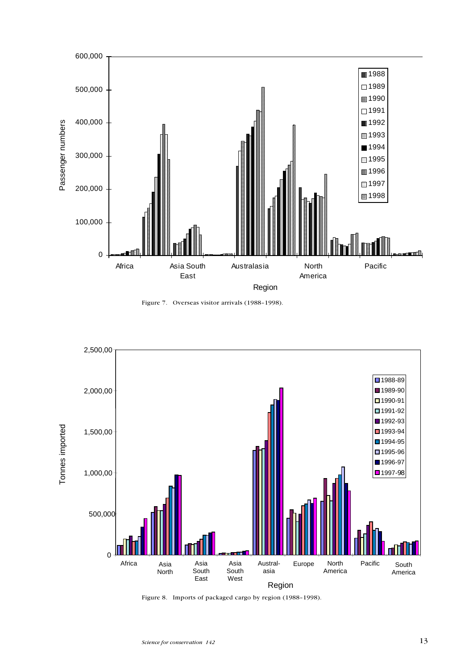

Figure 7. Overseas visitor arrivals (1988-1998).



Figure 8. Imports of packaged cargo by region (1988-1998).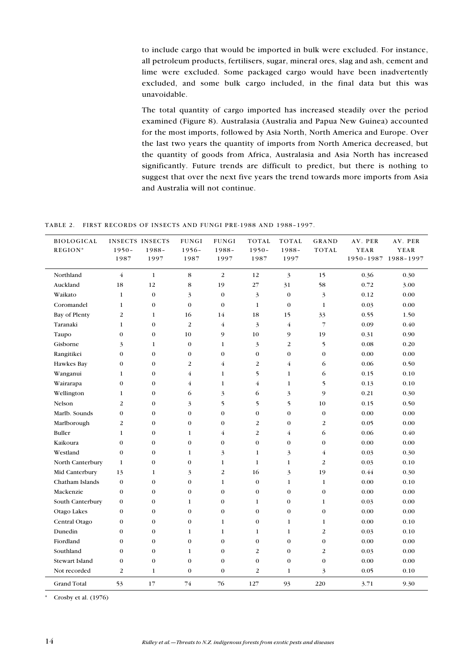to include cargo that would be imported in bulk were excluded. For instance, all petroleum products, fertilisers, sugar, mineral ores, slag and ash, cement and lime were excluded. Some packaged cargo would have been inadvertently excluded, and some bulk cargo included, in the final data but this was unavoidable.

The total quantity of cargo imported has increased steadily over the period examined (Figure 8). Australasia (Australia and Papua New Guinea) accounted for the most imports, followed by Asia North, North America and Europe. Over the last two years the quantity of imports from North America decreased, but the quantity of goods from Africa, Australasia and Asia North has increased significantly. Future trends are difficult to predict, but there is nothing to suggest that over the next five years the trend towards more imports from Asia and Australia will not continue.

TABLE 2. FIRST RECORDS OF INSECTS AND FUNGI PRE-1988 AND 1988-1997.

| <b>BIOLOGICAL</b><br>REGION* | $1950 -$<br>1987 | <b>INSECTS INSECTS</b><br>1988-<br>1997 | <b>FUNGI</b><br>$1956 -$<br>1987 | <b>FUNGI</b><br>1988-<br>1997 | <b>TOTAL</b><br>$1950 -$<br>1987 | <b>TOTAL</b><br>$1988 -$<br>1997 | <b>GRAND</b><br>TOTAL | AV. PER<br>YEAR | AV. PER<br>YEAR<br>1950-1987 1988-1997 |
|------------------------------|------------------|-----------------------------------------|----------------------------------|-------------------------------|----------------------------------|----------------------------------|-----------------------|-----------------|----------------------------------------|
| Northland                    | $\overline{4}$   | $\mathbf{1}$                            | $\bf8$                           | $\overline{2}$                | 12                               | 3                                | 15                    | 0.36            | 0.30                                   |
| Auckland                     | 18               | 12                                      | 8                                | 19                            | 27                               | 31                               | 58                    | 0.72            | 3.00                                   |
| Waikato                      | $\mathbf{1}$     | $\mathbf{0}$                            | 3                                | $\mathbf{0}$                  | 3                                | $\theta$                         | $\mathfrak{Z}$        | 0.12            | 0.00                                   |
| Coromandel                   | $\mathbf{1}$     | $\boldsymbol{0}$                        | $\boldsymbol{0}$                 | $\boldsymbol{0}$              | $\mathbf{1}$                     | $\mathbf{0}$                     | $\mathbf{1}$          | 0.03            | 0.00                                   |
| Bay of Plenty                | 2                | $\mathbf{1}$                            | 16                               | 14                            | 18                               | 15                               | 33                    | 0.55            | 1.50                                   |
| Taranaki                     | 1                | $\theta$                                | $\overline{2}$                   | $\overline{4}$                | 3                                | $\overline{4}$                   | $\overline{7}$        | 0.09            | 0.40                                   |
| Taupo                        | $\mathbf{0}$     | $\boldsymbol{0}$                        | 10                               | 9                             | 10                               | 9                                | 19                    | 0.31            | 0.90                                   |
| Gisborne                     | 3                | 1                                       | $\bf{0}$                         | $\mathbf{1}$                  | 3                                | 2                                | 5                     | 0.08            | 0.20                                   |
| Rangitikei                   | $\overline{0}$   | $\overline{0}$                          | $\boldsymbol{0}$                 | $\overline{0}$                | $\overline{0}$                   | $\mathbf{O}$                     | $\mathbf{0}$          | 0.00            | 0.00                                   |
| Hawkes Bay                   | $\overline{0}$   | $\theta$                                | $\overline{2}$                   | $\overline{4}$                | $\overline{2}$                   | $\overline{4}$                   | 6                     | 0.06            | 0.50                                   |
| Wanganui                     | $\mathbf{1}$     | $\mathbf{0}$                            | $\overline{4}$                   | $\mathbf{1}$                  | 5                                | $\mathbf{1}$                     | 6                     | 0.15            | 0.10                                   |
| Wairarapa                    | $\overline{0}$   | $\theta$                                | $\overline{4}$                   | $\mathbf{1}$                  | $\overline{4}$                   | $\mathbf{1}$                     | 5                     | 0.13            | 0.10                                   |
| Wellington                   | $\mathbf{1}$     | $\overline{0}$                          | 6                                | 3                             | 6                                | 3                                | 9                     | 0.21            | 0.30                                   |
| Nelson                       | $\overline{2}$   | $\mathbf{0}$                            | 3                                | 5                             | 5                                | 5                                | 10                    | 0.15            | 0.50                                   |
| Marlb. Sounds                | $\mathbf{0}$     | $\boldsymbol{0}$                        | $\boldsymbol{0}$                 | $\boldsymbol{0}$              | $\overline{0}$                   | $\boldsymbol{0}$                 | $\mathbf{0}$          | 0.00            | 0.00                                   |
| Marlborough                  | 2                | $\mathbf 0$                             | $\boldsymbol{0}$                 | $\boldsymbol{0}$              | $\overline{c}$                   | $\mathbf{0}$                     | $\overline{c}$        | 0.05            | 0.00                                   |
| Buller                       | $\mathbf{1}$     | $\boldsymbol{0}$                        | $\mathbf{1}$                     | $\overline{4}$                | $\overline{2}$                   | $\overline{4}$                   | 6                     | 0.06            | 0.40                                   |
| Kaikoura                     | $\boldsymbol{0}$ | $\boldsymbol{0}$                        | $\boldsymbol{0}$                 | $\boldsymbol{0}$              | $\overline{0}$                   | $\boldsymbol{0}$                 | $\boldsymbol{0}$      | 0.00            | 0.00                                   |
| Westland                     | $\boldsymbol{0}$ | $\boldsymbol{0}$                        | $\mathbf{1}$                     | 3                             | $\mathbf{1}$                     | 3                                | $\overline{4}$        | 0.03            | 0.30                                   |
| North Canterbury             | 1                | $\boldsymbol{0}$                        | $\boldsymbol{0}$                 | $\mathbf{1}$                  | $\mathbf{1}$                     | $\mathbf{1}$                     | $\boldsymbol{2}$      | 0.03            | 0.10                                   |
| Mid Canterbury               | 13               | $\mathbf{1}$                            | 3                                | $\overline{2}$                | 16                               | 3                                | 19                    | 0.44            | 0.30                                   |
| Chatham Islands              | $\overline{0}$   | $\mathbf{0}$                            | $\mathbf{0}$                     | $\mathbf{1}$                  | $\overline{0}$                   | $\mathbf{1}$                     | $\mathbf{1}$          | 0.00            | 0.10                                   |
| Mackenzie                    | $\overline{0}$   | $\mathbf{0}$                            | $\boldsymbol{0}$                 | $\overline{0}$                | $\mathbf{0}$                     | $\mathbf{O}$                     | $\mathbf{0}$          | 0.00            | 0.00                                   |
| South Canterbury             | $\mathbf{0}$     | $\overline{0}$                          | $\mathbf{1}$                     | $\overline{0}$                | $\mathbf{1}$                     | $\overline{0}$                   | $\mathbf{1}$          | 0.03            | 0.00                                   |
| Otago Lakes                  | $\mathbf{0}$     | $\mathbf{0}$                            | $\boldsymbol{0}$                 | $\boldsymbol{0}$              | $\boldsymbol{0}$                 | $\boldsymbol{0}$                 | $\mathbf{0}$          | 0.00            | 0.00                                   |
| Central Otago                | $\mathbf{0}$     | $\mathbf{0}$                            | $\boldsymbol{0}$                 | $\mathbf{1}$                  | $\boldsymbol{0}$                 | $\mathbf{1}$                     | $\mathbf{1}$          | 0.00            | 0.10                                   |
| Dunedin                      | $\boldsymbol{0}$ | $\overline{0}$                          | $\mathbf{1}$                     | $\mathbf{1}$                  | $\mathbf{1}$                     | $\mathbf{1}$                     | $\sqrt{2}$            | 0.03            | 0.10                                   |
| Fiordland                    | $\boldsymbol{0}$ | $\mathbf{0}$                            | $\boldsymbol{0}$                 | $\boldsymbol{0}$              | $\boldsymbol{0}$                 | $\mathbf{0}$                     | $\mathbf{0}$          | 0.00            | 0.00                                   |
| Southland                    | $\mathbf{0}$     | $\mathbf{0}$                            | $\mathbf{1}$                     | $\boldsymbol{0}$              | $\overline{c}$                   | $\mathbf{0}$                     | $\overline{2}$        | 0.03            | 0.00                                   |
| <b>Stewart Island</b>        | $\boldsymbol{0}$ | $\boldsymbol{0}$                        | $\boldsymbol{0}$                 | $\boldsymbol{0}$              | $\boldsymbol{0}$                 | $\boldsymbol{0}$                 | $\boldsymbol{0}$      | 0.00            | 0.00                                   |
| Not recorded                 | 2                | $\mathbf{1}$                            | $\boldsymbol{0}$                 | $\boldsymbol{0}$              | $\overline{2}$                   | $\mathbf{1}$                     | 3                     | 0.05            | 0.10                                   |
| <b>Grand Total</b>           | 53               | 17                                      | 74                               | 76                            | 127                              | 93                               | 220                   | 3.71            | 9.30                                   |

\* Crosby et al. (1976)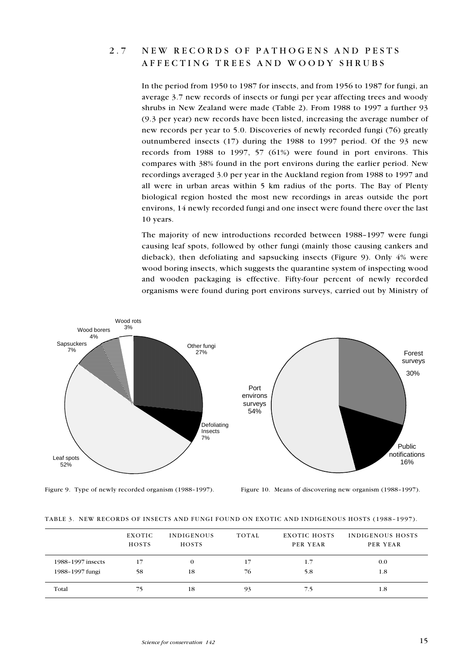## 2.7 NEW RECORDS OF PATHOGENS AND PESTS AFFECTING TREES AND WOODY SHRUBS

In the period from 1950 to 1987 for insects, and from 1956 to 1987 for fungi, an average 3.7 new records of insects or fungi per year affecting trees and woody shrubs in New Zealand were made (Table 2). From 1988 to 1997 a further 93 (9.3 per year) new records have been listed, increasing the average number of new records per year to 5.0. Discoveries of newly recorded fungi (76) greatly outnumbered insects (17) during the 1988 to 1997 period. Of the 93 new records from 1988 to 1997, 57 (61%) were found in port environs. This compares with 38% found in the port environs during the earlier period. New recordings averaged 3.0 per year in the Auckland region from 1988 to 1997 and all were in urban areas within 5 km radius of the ports. The Bay of Plenty biological region hosted the most new recordings in areas outside the port environs, 14 newly recorded fungi and one insect were found there over the last 10 years.

The majority of new introductions recorded between 1988-1997 were fungi causing leaf spots, followed by other fungi (mainly those causing cankers and dieback), then defoliating and sapsucking insects (Figure 9). Only 4% were wood boring insects, which suggests the quarantine system of inspecting wood and wooden packaging is effective. Fifty-four percent of newly recorded organisms were found during port environs surveys, carried out by Ministry of



Figure 9. Type of newly recorded organism (1988-1997). Figure 10. Means of discovering new organism (1988-1997).

|  |  | TABLE 3. NEW RECORDS OF INSECTS AND FUNGI FOUND ON EXOTIC AND INDIGENOUS HOSTS (1988–1997). |  |
|--|--|---------------------------------------------------------------------------------------------|--|

|                   | <b>EXOTIC</b><br><b>HOSTS</b> | <b>INDIGENOUS</b><br><b>HOSTS</b> | TOTAL | EXOTIC HOSTS<br>PER YEAR | INDIGENOUS HOSTS<br>PER YEAR |
|-------------------|-------------------------------|-----------------------------------|-------|--------------------------|------------------------------|
| 1988-1997 insects | 17                            | $\Omega$                          | 17    | 1.7                      | 0.0                          |
| 1988-1997 fungi   | 58                            | 18                                | 76    | 5.8                      | 1.8                          |
| Total             | 75                            | 18                                | 93    | 7.5                      | 1.8                          |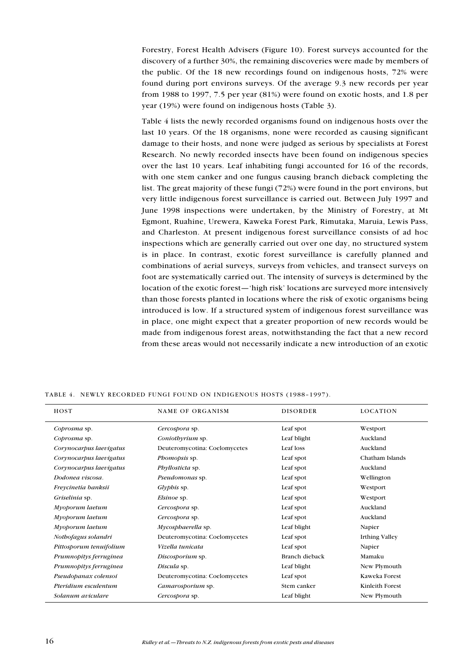Forestry, Forest Health Advisers (Figure 10). Forest surveys accounted for the discovery of a further 30%, the remaining discoveries were made by members of the public. Of the 18 new recordings found on indigenous hosts, 72% were found during port environs surveys. Of the average 9.3 new records per year from 1988 to 1997, 7.5 per year (81%) were found on exotic hosts, and 1.8 per year (19%) were found on indigenous hosts (Table 3).

Table 4 lists the newly recorded organisms found on indigenous hosts over the last 10 years. Of the 18 organisms, none were recorded as causing significant damage to their hosts, and none were judged as serious by specialists at Forest Research. No newly recorded insects have been found on indigenous species over the last 10 years. Leaf inhabiting fungi accounted for 16 of the records, with one stem canker and one fungus causing branch dieback completing the list. The great majority of these fungi (72%) were found in the port environs, but very little indigenous forest surveillance is carried out. Between July 1997 and June 1998 inspections were undertaken, by the Ministry of Forestry, at Mt Egmont, Ruahine, Urewera, Kaweka Forest Park, Rimutaka, Maruia, Lewis Pass, and Charleston. At present indigenous forest surveillance consists of ad hoc inspections which are generally carried out over one day, no structured system is in place. In contrast, exotic forest surveillance is carefully planned and combinations of aerial surveys, surveys from vehicles, and transect surveys on foot are systematically carried out. The intensity of surveys is determined by the location of the exotic forest—'high risk' locations are surveyed more intensively than those forests planted in locations where the risk of exotic organisms being introduced is low. If a structured system of indigenous forest surveillance was in place, one might expect that a greater proportion of new records would be made from indigenous forest areas, notwithstanding the fact that a new record from these areas would not necessarily indicate a new introduction of an exotic

| HOST                    | <b>NAME OF ORGANISM</b>       | <b>DISORDER</b>       | <b>LOCATION</b>       |
|-------------------------|-------------------------------|-----------------------|-----------------------|
| Coprosma sp.            | Cercospora sp.                | Leaf spot             | Westport              |
| Coprosma sp.            | Coniothyrium sp.              | Leaf blight           | Auckland              |
| Corynocarpus laevigatus | Deuteromycotina: Coelomycetes | Leaf loss             | Auckland              |
| Corynocarpus laevigatus | Phomopsis sp.                 | Leaf spot             | Chatham Islands       |
| Corynocarpus laevigatus | <i>Phyllosticta</i> sp.       | Leaf spot             | Auckland              |
| Dodonea viscosa.        | Pseudomonas sp.               | Leaf spot             | Wellington            |
| Freycinetia banksii     | <i>Glyphis</i> sp.            | Leaf spot             | Westport              |
| Griselinia sp.          | <i>Elsinoe</i> sp.            | Leaf spot             | Westport              |
| Myoporum laetum         | Cercospora sp.                | Leaf spot             | Auckland              |
| Myoporum laetum         | Cercospora sp.                | Leaf spot             | Auckland              |
| Myoporum laetum         | Mycosphaerella sp.            | Leaf blight           | Napier                |
| Notbofagus solandri     | Deuteromycotina: Coelomycetes | Leaf spot             | <b>Irthing Valley</b> |
| Pittosporum tenuifolium | Vizella tunicata              | Leaf spot             | Napier                |
| Prumnopitys ferruginea  | Discosporium sp.              | <b>Branch dieback</b> | Mamaku                |
| Prumnopitys ferruginea  | Discula sp.                   | Leaf blight           | New Plymouth          |
| Pseudopanax colensoi    | Deuteromycotina: Coelomycetes | Leaf spot             | Kaweka Forest         |
| Pteridium esculentum    | Camarosporium sp.             | Stem canker           | Kinleith Forest       |
| Solanum aviculare       | Cercospora sp.                | Leaf blight           | New Plymouth          |

TABLE 4. NEWLY RECORDED FUNGI FOUND ON INDIGENOUS HOSTS (1988-1997).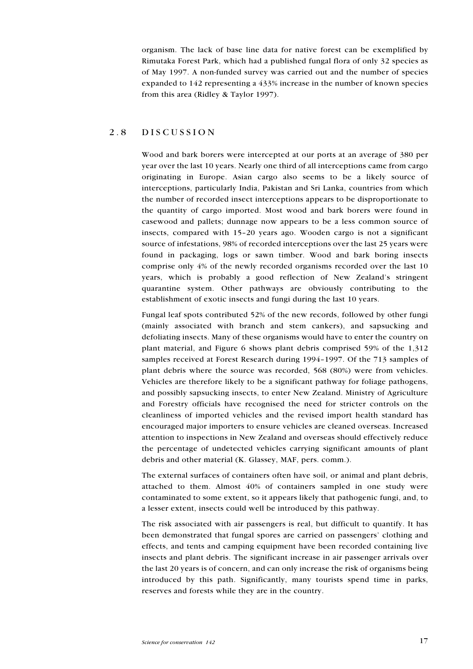organism. The lack of base line data for native forest can be exemplified by Rimutaka Forest Park, which had a published fungal flora of only 32 species as of May 1997. A non-funded survey was carried out and the number of species expanded to 142 representing a 433% increase in the number of known species from this area (Ridley & Taylor 1997).

#### 2.8 DISCUSSION

Wood and bark borers were intercepted at our ports at an average of 380 per year over the last 10 years. Nearly one third of all interceptions came from cargo originating in Europe. Asian cargo also seems to be a likely source of interceptions, particularly India, Pakistan and Sri Lanka, countries from which the number of recorded insect interceptions appears to be disproportionate to the quantity of cargo imported. Most wood and bark borers were found in casewood and pallets; dunnage now appears to be a less common source of insects, compared with 1520 years ago. Wooden cargo is not a significant source of infestations, 98% of recorded interceptions over the last 25 years were found in packaging, logs or sawn timber. Wood and bark boring insects comprise only 4% of the newly recorded organisms recorded over the last 10 years, which is probably a good reflection of New Zealand's stringent quarantine system. Other pathways are obviously contributing to the establishment of exotic insects and fungi during the last 10 years.

Fungal leaf spots contributed 52% of the new records, followed by other fungi (mainly associated with branch and stem cankers), and sapsucking and defoliating insects. Many of these organisms would have to enter the country on plant material, and Figure 6 shows plant debris comprised 59% of the 1,312 samples received at Forest Research during 1994-1997. Of the 713 samples of plant debris where the source was recorded, 568 (80%) were from vehicles. Vehicles are therefore likely to be a significant pathway for foliage pathogens, and possibly sapsucking insects, to enter New Zealand. Ministry of Agriculture and Forestry officials have recognised the need for stricter controls on the cleanliness of imported vehicles and the revised import health standard has encouraged major importers to ensure vehicles are cleaned overseas. Increased attention to inspections in New Zealand and overseas should effectively reduce the percentage of undetected vehicles carrying significant amounts of plant debris and other material (K. Glassey, MAF, pers. comm.).

The external surfaces of containers often have soil, or animal and plant debris, attached to them. Almost 40% of containers sampled in one study were contaminated to some extent, so it appears likely that pathogenic fungi, and, to a lesser extent, insects could well be introduced by this pathway.

The risk associated with air passengers is real, but difficult to quantify. It has been demonstrated that fungal spores are carried on passengers' clothing and effects, and tents and camping equipment have been recorded containing live insects and plant debris. The significant increase in air passenger arrivals over the last 20 years is of concern, and can only increase the risk of organisms being introduced by this path. Significantly, many tourists spend time in parks, reserves and forests while they are in the country.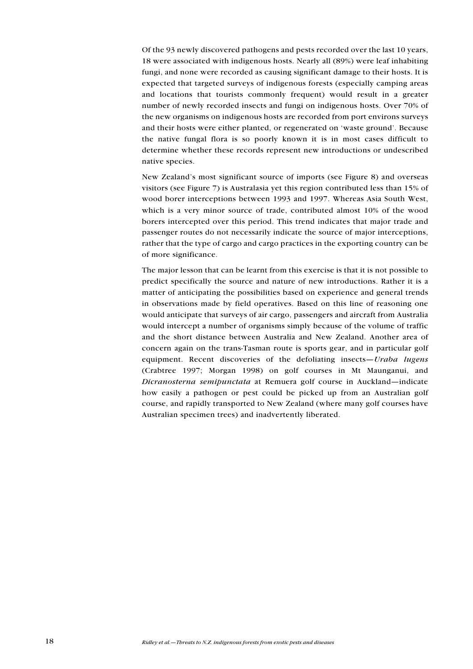Of the 93 newly discovered pathogens and pests recorded over the last 10 years, 18 were associated with indigenous hosts. Nearly all (89%) were leaf inhabiting fungi, and none were recorded as causing significant damage to their hosts. It is expected that targeted surveys of indigenous forests (especially camping areas and locations that tourists commonly frequent) would result in a greater number of newly recorded insects and fungi on indigenous hosts. Over 70% of the new organisms on indigenous hosts are recorded from port environs surveys and their hosts were either planted, or regenerated on waste ground. Because the native fungal flora is so poorly known it is in most cases difficult to determine whether these records represent new introductions or undescribed native species.

New Zealand's most significant source of imports (see Figure 8) and overseas visitors (see Figure 7) is Australasia yet this region contributed less than 15% of wood borer interceptions between 1993 and 1997. Whereas Asia South West, which is a very minor source of trade, contributed almost 10% of the wood borers intercepted over this period. This trend indicates that major trade and passenger routes do not necessarily indicate the source of major interceptions, rather that the type of cargo and cargo practices in the exporting country can be of more significance.

The major lesson that can be learnt from this exercise is that it is not possible to predict specifically the source and nature of new introductions. Rather it is a matter of anticipating the possibilities based on experience and general trends in observations made by field operatives. Based on this line of reasoning one would anticipate that surveys of air cargo, passengers and aircraft from Australia would intercept a number of organisms simply because of the volume of traffic and the short distance between Australia and New Zealand. Another area of concern again on the trans-Tasman route is sports gear, and in particular golf equipment. Recent discoveries of the defoliating insects—Uraba lugens (Crabtree 1997; Morgan 1998) on golf courses in Mt Maunganui, and Dicranosterna semipunctata at Remuera golf course in Auckland-indicate how easily a pathogen or pest could be picked up from an Australian golf course, and rapidly transported to New Zealand (where many golf courses have Australian specimen trees) and inadvertently liberated.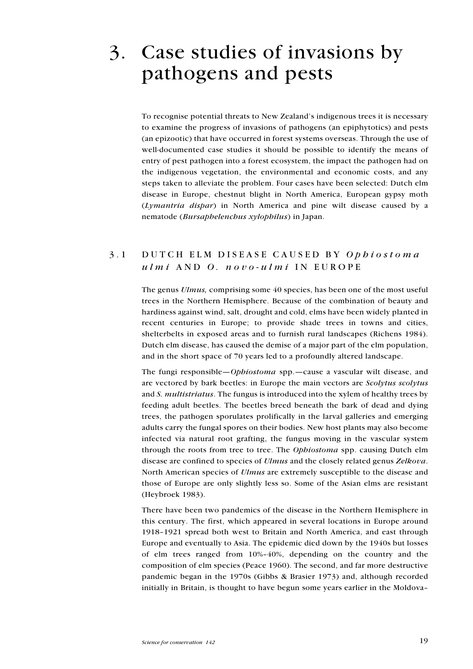# 3. Case studies of invasions by pathogens and pests

To recognise potential threats to New Zealand's indigenous trees it is necessary to examine the progress of invasions of pathogens (an epiphytotics) and pests (an epizootic) that have occurred in forest systems overseas. Through the use of well-documented case studies it should be possible to identify the means of entry of pest pathogen into a forest ecosystem, the impact the pathogen had on the indigenous vegetation, the environmental and economic costs, and any steps taken to alleviate the problem. Four cases have been selected: Dutch elm disease in Europe, chestnut blight in North America, European gypsy moth (Lymantria dispar) in North America and pine wilt disease caused by a nematode (Bursaphelenchus xylophilus) in Japan.

## 3.1 DUTCH ELM DISEASE CAUSED BY Ophiostoma ulmi AND O. novo-ulmi IN EUROPE

The genus *Ulmus*, comprising some 40 species, has been one of the most useful trees in the Northern Hemisphere. Because of the combination of beauty and hardiness against wind, salt, drought and cold, elms have been widely planted in recent centuries in Europe; to provide shade trees in towns and cities, shelterbelts in exposed areas and to furnish rural landscapes (Richens 1984). Dutch elm disease, has caused the demise of a major part of the elm population, and in the short space of 70 years led to a profoundly altered landscape.

The fungi responsible—*Ophiostoma* spp.—cause a vascular wilt disease, and are vectored by bark beetles: in Europe the main vectors are Scolytus scolytus and S. multistriatus. The fungus is introduced into the xylem of healthy trees by feeding adult beetles. The beetles breed beneath the bark of dead and dying trees, the pathogen sporulates prolifically in the larval galleries and emerging adults carry the fungal spores on their bodies. New host plants may also become infected via natural root grafting, the fungus moving in the vascular system through the roots from tree to tree. The Ophiostoma spp. causing Dutch elm disease are confined to species of *Ulmus* and the closely related genus *Zelkova*. North American species of *Ulmus* are extremely susceptible to the disease and those of Europe are only slightly less so. Some of the Asian elms are resistant (Heybroek 1983).

There have been two pandemics of the disease in the Northern Hemisphere in this century. The first, which appeared in several locations in Europe around 1918-1921 spread both west to Britain and North America, and east through Europe and eventually to Asia. The epidemic died down by the 1940s but losses of elm trees ranged from  $10\% - 40\%$ , depending on the country and the composition of elm species (Peace 1960). The second, and far more destructive pandemic began in the 1970s (Gibbs & Brasier 1973) and, although recorded initially in Britain, is thought to have begun some years earlier in the Moldova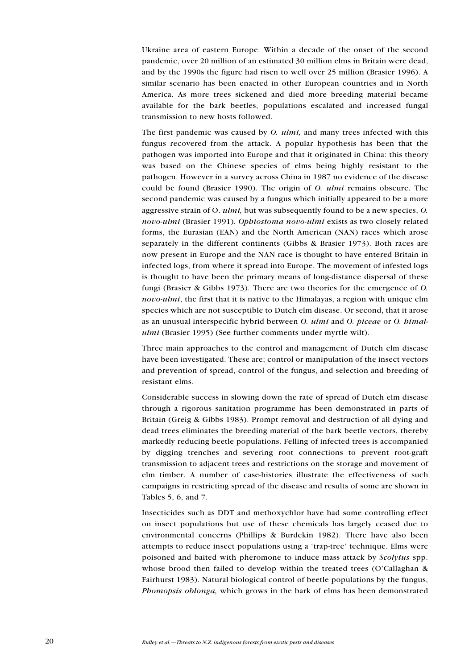Ukraine area of eastern Europe. Within a decade of the onset of the second pandemic, over 20 million of an estimated 30 million elms in Britain were dead, and by the 1990s the figure had risen to well over 25 million (Brasier 1996). A similar scenario has been enacted in other European countries and in North America. As more trees sickened and died more breeding material became available for the bark beetles, populations escalated and increased fungal transmission to new hosts followed.

The first pandemic was caused by *O. ulmi*, and many trees infected with this fungus recovered from the attack. A popular hypothesis has been that the pathogen was imported into Europe and that it originated in China: this theory was based on the Chinese species of elms being highly resistant to the pathogen. However in a survey across China in 1987 no evidence of the disease could be found (Brasier 1990). The origin of O. *ulmi* remains obscure. The second pandemic was caused by a fungus which initially appeared to be a more aggressive strain of O. ulmi, but was subsequently found to be a new species, O. novo-ulmi (Brasier 1991). Ophiostoma novo-ulmi exists as two closely related forms, the Eurasian (EAN) and the North American (NAN) races which arose separately in the different continents (Gibbs & Brasier 1973). Both races are now present in Europe and the NAN race is thought to have entered Britain in infected logs, from where it spread into Europe. The movement of infested logs is thought to have been the primary means of long-distance dispersal of these fungi (Brasier & Gibbs 1973). There are two theories for the emergence of O. novo-ulmi, the first that it is native to the Himalayas, a region with unique elm species which are not susceptible to Dutch elm disease. Or second, that it arose as an unusual interspecific hybrid between O. ulmi and O. piceae or O. himalulmi (Brasier 1995) (See further comments under myrtle wilt).

Three main approaches to the control and management of Dutch elm disease have been investigated. These are; control or manipulation of the insect vectors and prevention of spread, control of the fungus, and selection and breeding of resistant elms.

Considerable success in slowing down the rate of spread of Dutch elm disease through a rigorous sanitation programme has been demonstrated in parts of Britain (Greig & Gibbs 1983). Prompt removal and destruction of all dying and dead trees eliminates the breeding material of the bark beetle vectors, thereby markedly reducing beetle populations. Felling of infected trees is accompanied by digging trenches and severing root connections to prevent root-graft transmission to adjacent trees and restrictions on the storage and movement of elm timber. A number of case-histories illustrate the effectiveness of such campaigns in restricting spread of the disease and results of some are shown in Tables 5, 6, and 7.

Insecticides such as DDT and methoxychlor have had some controlling effect on insect populations but use of these chemicals has largely ceased due to environmental concerns (Phillips & Burdekin 1982). There have also been attempts to reduce insect populations using a 'trap-tree' technique. Elms were poisoned and baited with pheromone to induce mass attack by Scolytus spp. whose brood then failed to develop within the treated trees (O'Callaghan  $\&$ Fairhurst 1983). Natural biological control of beetle populations by the fungus, Phomopsis oblonga, which grows in the bark of elms has been demonstrated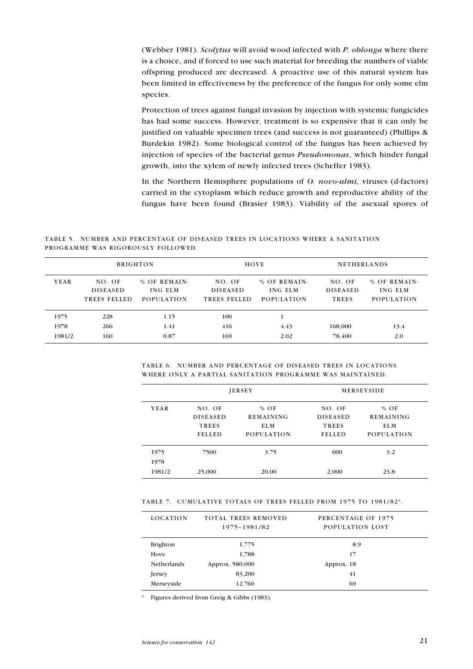(Webber 1981). Scolytus will avoid wood infected with P. oblonga where there is a choice, and if forced to use such material for breeding the numbers of viable offspring produced are decreased. A proactive use of this natural system has been limited in effectiveness by the preference of the fungus for only some elm species.

Protection of trees against fungal invasion by injection with systemic fungicides has had some success. However, treatment is so expensive that it can only be justified on valuable specimen trees (and success is not guaranteed) (Phillips & Burdekin 1982). Some biological control of the fungus has been achieved by injection of species of the bacterial genus Pseudomonas, which hinder fungal growth, into the xylem of newly infected trees (Scheffer 1983).

In the Northern Hemisphere populations of O. novo-ulmi, viruses (d-factors) carried in the cytoplasm which reduce growth and reproductive ability of the fungus have been found (Brasier 1983). Viability of the asexual spores of

TABLE 5. NUMBER AND PERCENTAGE OF DISEASED TREES IN LOCATIONS WHERE A SANITATION PROGRAMME WAS RIGOROUSLY FOLLOWED.

|        | <b>BRIGHTON</b>                           |                                              |                                           | HOVE                                         | <b>NETHERLANDS</b>                        |                                              |
|--------|-------------------------------------------|----------------------------------------------|-------------------------------------------|----------------------------------------------|-------------------------------------------|----------------------------------------------|
| YEAR   | NO. OF<br><b>DISEASED</b><br>TREES FELLED | % OF REMAIN-<br>ING ELM<br><b>POPULATION</b> | NO. OF<br><b>DISEASED</b><br>TREES FELLED | % OF REMAIN-<br>ING ELM<br><b>POPULATION</b> | NO. OF<br><b>DISEASED</b><br><b>TREES</b> | % OF REMAIN-<br>ING ELM<br><b>POPULATION</b> |
| 1975   | 228                                       | 1.15                                         | 100                                       |                                              |                                           |                                              |
| 1978   | 266                                       | 1.41                                         | 416                                       | 4.43                                         | 168,000                                   | 13.4                                         |
| 1981/2 | 160                                       | 0.87                                         | 169                                       | 2.02                                         | 78,400                                    | 2.0                                          |

TABLE 6. NUMBER AND PERCENTAGE OF DISEASED TREES IN LOCATIONS WHERE ONLY A PARTIAL SANITATION PROGRAMME WAS MAINTAINED.

|                        |                                                            | <b>JERSEY</b>                                          | <b>MERSEYSIDE</b>                                   |                                                               |  |
|------------------------|------------------------------------------------------------|--------------------------------------------------------|-----------------------------------------------------|---------------------------------------------------------------|--|
| YEAR                   | NO. OF<br><b>DISEASED</b><br><b>TREES</b><br><b>FELLED</b> | $%$ OF<br><b>REMAINING</b><br>ELM<br><b>POPULATION</b> | NO. OF<br><b>DISEASED</b><br>TREES<br><b>FELLED</b> | $%$ OF<br><b>REMAINING</b><br><b>ELM</b><br><b>POPULATION</b> |  |
| 1975<br>1978<br>1981/2 | 7500<br>25,000                                             | 3.75<br>20.00                                          | 600<br>2,000                                        | 3.2<br>23.8                                                   |  |

TABLE 7. CUMULATIVE TOTALS OF TREES FELLED FROM 1975 TO 1981/82\*.

| <b>LOCATION</b>    | TOTAL TREES REMOVED<br>1975-1981/82 | PERCENTAGE OF 1975<br>POPULATION LOST |
|--------------------|-------------------------------------|---------------------------------------|
| <b>Brighton</b>    | 1,775                               | 8.9                                   |
| Hove               | 1,788                               | 17                                    |
| <b>Netherlands</b> | Approx. 580,000                     | Approx. 18                            |
| Jersey             | 83,200                              | 41                                    |
| Merseyside         | 12,760                              | 69                                    |

\* Figures derived from Greig & Gibbs (1983).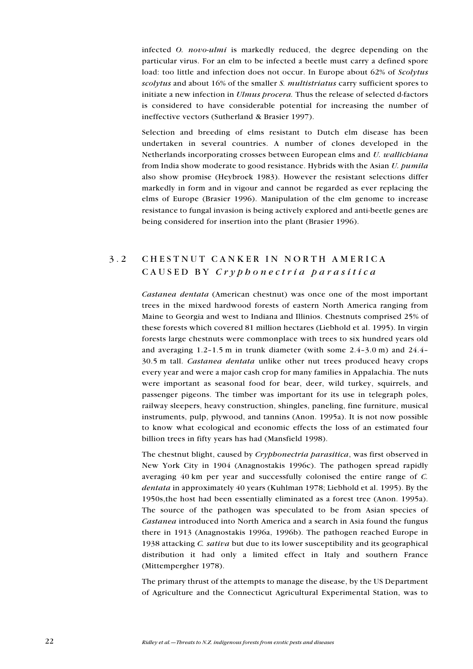infected *O. novo-ulmi* is markedly reduced, the degree depending on the particular virus. For an elm to be infected a beetle must carry a defined spore load: too little and infection does not occur. In Europe about 62% of Scolytus scolytus and about 16% of the smaller S. *multistriatus* carry sufficient spores to initiate a new infection in Ulmus procera. Thus the release of selected d-factors is considered to have considerable potential for increasing the number of ineffective vectors (Sutherland & Brasier 1997).

Selection and breeding of elms resistant to Dutch elm disease has been undertaken in several countries. A number of clones developed in the Netherlands incorporating crosses between European elms and U. wallichiana from India show moderate to good resistance. Hybrids with the Asian U. pumila also show promise (Heybroek 1983). However the resistant selections differ markedly in form and in vigour and cannot be regarded as ever replacing the elms of Europe (Brasier 1996). Manipulation of the elm genome to increase resistance to fungal invasion is being actively explored and anti-beetle genes are being considered for insertion into the plant (Brasier 1996).

## 3.2 CHESTNUT CANKER IN NORTH AMERICA CAUSED BY Cryphonectria parasitica

Castanea dentata (American chestnut) was once one of the most important trees in the mixed hardwood forests of eastern North America ranging from Maine to Georgia and west to Indiana and Illinios. Chestnuts comprised 25% of these forests which covered 81 million hectares (Liebhold et al. 1995). In virgin forests large chestnuts were commonplace with trees to six hundred years old and averaging  $1.2-1.5$  m in trunk diameter (with some  $2.4-3.0$  m) and  $24.4-$ 30.5 m tall. Castanea dentata unlike other nut trees produced heavy crops every year and were a major cash crop for many families in Appalachia. The nuts were important as seasonal food for bear, deer, wild turkey, squirrels, and passenger pigeons. The timber was important for its use in telegraph poles, railway sleepers, heavy construction, shingles, paneling, fine furniture, musical instruments, pulp, plywood, and tannins (Anon. 1995a). It is not now possible to know what ecological and economic effects the loss of an estimated four billion trees in fifty years has had (Mansfield 1998).

The chestnut blight, caused by Cryphonectria parasitica, was first observed in New York City in 1904 (Anagnostakis 1996c). The pathogen spread rapidly averaging 40 km per year and successfully colonised the entire range of C. dentata in approximately 40 years (Kuhlman 1978; Liebhold et al. 1995). By the 1950s,the host had been essentially eliminated as a forest tree (Anon. 1995a). The source of the pathogen was speculated to be from Asian species of Castanea introduced into North America and a search in Asia found the fungus there in 1913 (Anagnostakis 1996a, 1996b). The pathogen reached Europe in 1938 attacking C. sativa but due to its lower susceptibility and its geographical distribution it had only a limited effect in Italy and southern France (Mittempergher 1978).

The primary thrust of the attempts to manage the disease, by the US Department of Agriculture and the Connecticut Agricultural Experimental Station, was to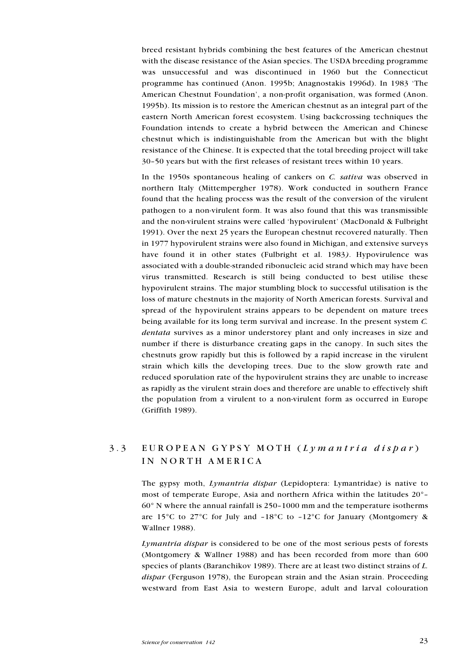breed resistant hybrids combining the best features of the American chestnut with the disease resistance of the Asian species. The USDA breeding programme was unsuccessful and was discontinued in 1960 but the Connecticut programme has continued (Anon. 1995b; Anagnostakis 1996d). In 1983 The American Chestnut Foundation', a non-profit organisation, was formed (Anon. 1995b). Its mission is to restore the American chestnut as an integral part of the eastern North American forest ecosystem. Using backcrossing techniques the Foundation intends to create a hybrid between the American and Chinese chestnut which is indistinguishable from the American but with the blight resistance of the Chinese. It is expected that the total breeding project will take 30-50 years but with the first releases of resistant trees within 10 years.

In the 1950s spontaneous healing of cankers on C. sativa was observed in northern Italy (Mittempergher 1978). Work conducted in southern France found that the healing process was the result of the conversion of the virulent pathogen to a non-virulent form. It was also found that this was transmissible and the non-virulent strains were called 'hypovirulent' (MacDonald  $&$  Fulbright 1991). Over the next 25 years the European chestnut recovered naturally. Then in 1977 hypovirulent strains were also found in Michigan, and extensive surveys have found it in other states (Fulbright et al. 1983). Hypovirulence was associated with a double-stranded ribonucleic acid strand which may have been virus transmitted. Research is still being conducted to best utilise these hypovirulent strains. The major stumbling block to successful utilisation is the loss of mature chestnuts in the majority of North American forests. Survival and spread of the hypovirulent strains appears to be dependent on mature trees being available for its long term survival and increase. In the present system C. dentata survives as a minor understorey plant and only increases in size and number if there is disturbance creating gaps in the canopy. In such sites the chestnuts grow rapidly but this is followed by a rapid increase in the virulent strain which kills the developing trees. Due to the slow growth rate and reduced sporulation rate of the hypovirulent strains they are unable to increase as rapidly as the virulent strain does and therefore are unable to effectively shift the population from a virulent to a non-virulent form as occurred in Europe (Griffith 1989).

# 3.3 EUROPEAN GYPSY MOTH (Lymantria dispar) IN NORTH AMERICA

The gypsy moth, Lymantria dispar (Lepidoptera: Lymantridae) is native to most of temperate Europe, Asia and northern Africa within the latitudes 20°  $60^\circ$  N where the annual rainfall is 250-1000 mm and the temperature isotherms are 15 $\degree$ C to 27 $\degree$ C for July and -18 $\degree$ C to -12 $\degree$ C for January (Montgomery & Wallner 1988).

Lymantria dispar is considered to be one of the most serious pests of forests (Montgomery & Wallner 1988) and has been recorded from more than 600 species of plants (Baranchikov 1989). There are at least two distinct strains of L. dispar (Ferguson 1978), the European strain and the Asian strain. Proceeding westward from East Asia to western Europe, adult and larval colouration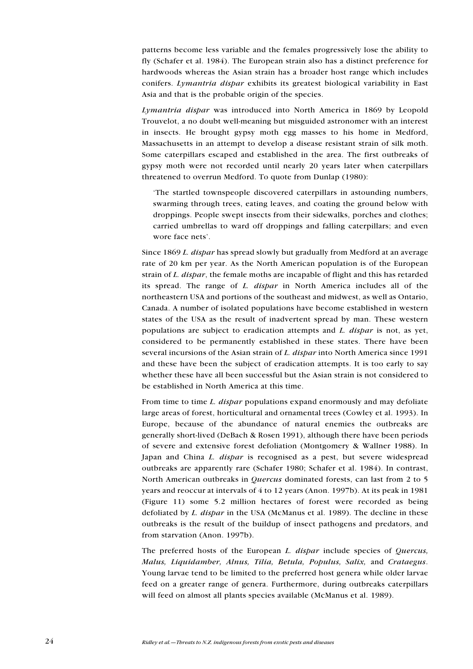patterns become less variable and the females progressively lose the ability to fly (Schafer et al. 1984). The European strain also has a distinct preference for hardwoods whereas the Asian strain has a broader host range which includes conifers. Lymantria dispar exhibits its greatest biological variability in East Asia and that is the probable origin of the species.

Lymantria dispar was introduced into North America in 1869 by Leopold Trouvelot, a no doubt well-meaning but misguided astronomer with an interest in insects. He brought gypsy moth egg masses to his home in Medford, Massachusetts in an attempt to develop a disease resistant strain of silk moth. Some caterpillars escaped and established in the area. The first outbreaks of gypsy moth were not recorded until nearly 20 years later when caterpillars threatened to overrun Medford. To quote from Dunlap (1980):

The startled townspeople discovered caterpillars in astounding numbers, swarming through trees, eating leaves, and coating the ground below with droppings. People swept insects from their sidewalks, porches and clothes; carried umbrellas to ward off droppings and falling caterpillars; and even wore face nets'.

Since 1869 L. dispar has spread slowly but gradually from Medford at an average rate of 20 km per year. As the North American population is of the European strain of L. dispar, the female moths are incapable of flight and this has retarded its spread. The range of L. dispar in North America includes all of the northeastern USA and portions of the southeast and midwest, as well as Ontario, Canada. A number of isolated populations have become established in western states of the USA as the result of inadvertent spread by man. These western populations are subject to eradication attempts and  $L$ . *dispar* is not, as yet, considered to be permanently established in these states. There have been several incursions of the Asian strain of L. dispar into North America since 1991 and these have been the subject of eradication attempts. It is too early to say whether these have all been successful but the Asian strain is not considered to be established in North America at this time.

From time to time L. *dispar* populations expand enormously and may defoliate large areas of forest, horticultural and ornamental trees (Cowley et al. 1993). In Europe, because of the abundance of natural enemies the outbreaks are generally short-lived (DeBach & Rosen 1991), although there have been periods of severe and extensive forest defoliation (Montgomery & Wallner 1988). In Japan and China L. dispar is recognised as a pest, but severe widespread outbreaks are apparently rare (Schafer 1980; Schafer et al. 1984). In contrast, North American outbreaks in Quercus dominated forests, can last from 2 to 5 years and reoccur at intervals of 4 to 12 years (Anon. 1997b). At its peak in 1981 (Figure 11) some 5.2 million hectares of forest were recorded as being defoliated by L. dispar in the USA (McManus et al. 1989). The decline in these outbreaks is the result of the buildup of insect pathogens and predators, and from starvation (Anon. 1997b).

The preferred hosts of the European L. dispar include species of Quercus, Malus, Liquidamber, Alnus, Tilia, Betula, Populus, Salix, and Crataegus. Young larvae tend to be limited to the preferred host genera while older larvae feed on a greater range of genera. Furthermore, during outbreaks caterpillars will feed on almost all plants species available (McManus et al. 1989).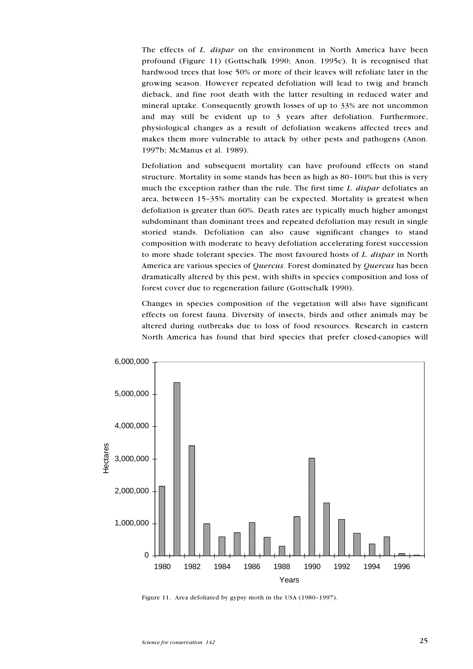The effects of *L. dispar* on the environment in North America have been profound (Figure 11) (Gottschalk 1990; Anon. 1995c). It is recognised that hardwood trees that lose 50% or more of their leaves will refoliate later in the growing season. However repeated defoliation will lead to twig and branch dieback, and fine root death with the latter resulting in reduced water and mineral uptake. Consequently growth losses of up to 33% are not uncommon and may still be evident up to 3 years after defoliation. Furthermore, physiological changes as a result of defoliation weakens affected trees and makes them more vulnerable to attack by other pests and pathogens (Anon. 1997b; McManus et al. 1989).

Defoliation and subsequent mortality can have profound effects on stand structure. Mortality in some stands has been as high as 80-100% but this is very much the exception rather than the rule. The first time *L. dispar* defoliates an area, between 15-35% mortality can be expected. Mortality is greatest when defoliation is greater than 60%. Death rates are typically much higher amongst subdominant than dominant trees and repeated defoliation may result in single storied stands. Defoliation can also cause significant changes to stand composition with moderate to heavy defoliation accelerating forest succession to more shade tolerant species. The most favoured hosts of L. dispar in North America are various species of Quercus. Forest dominated by Quercus has been dramatically altered by this pest, with shifts in species composition and loss of forest cover due to regeneration failure (Gottschalk 1990).

Changes in species composition of the vegetation will also have significant effects on forest fauna. Diversity of insects, birds and other animals may be altered during outbreaks due to loss of food resources. Research in eastern North America has found that bird species that prefer closed-canopies will



Figure 11. Area defoliated by gypsy moth in the USA  $(1980-1997)$ .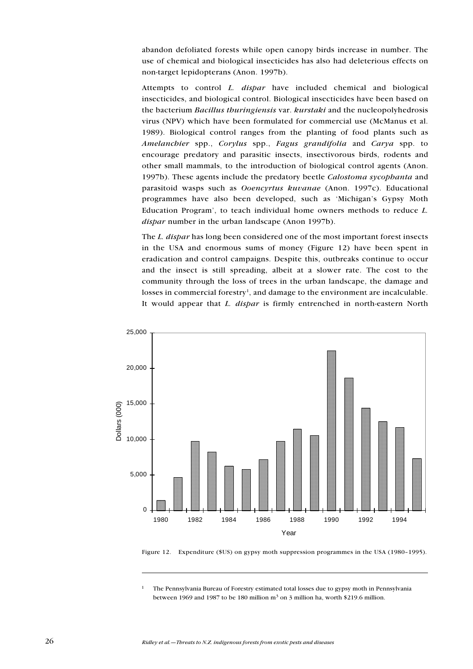abandon defoliated forests while open canopy birds increase in number. The use of chemical and biological insecticides has also had deleterious effects on non-target lepidopterans (Anon. 1997b).

Attempts to control L. dispar have included chemical and biological insecticides, and biological control. Biological insecticides have been based on the bacterium Bacillus thuringiensis var. kurstaki and the nucleopolyhedrosis virus (NPV) which have been formulated for commercial use (McManus et al. 1989). Biological control ranges from the planting of food plants such as Amelanchier spp., Corylus spp., Fagus grandifolia and Carya spp. to encourage predatory and parasitic insects, insectivorous birds, rodents and other small mammals, to the introduction of biological control agents (Anon. 1997b). These agents include the predatory beetle Calostoma sycophanta and parasitoid wasps such as Ooencyrtus kuvanae (Anon. 1997c). Educational programmes have also been developed, such as 'Michigan's Gypsy Moth Education Program', to teach individual home owners methods to reduce  $L$ . dispar number in the urban landscape (Anon 1997b).

The L. dispar has long been considered one of the most important forest insects in the USA and enormous sums of money (Figure 12) have been spent in eradication and control campaigns. Despite this, outbreaks continue to occur and the insect is still spreading, albeit at a slower rate. The cost to the community through the loss of trees in the urban landscape, the damage and losses in commercial forestry<sup>1</sup>, and damage to the environment are incalculable. It would appear that L. dispar is firmly entrenched in north-eastern North



Figure 12. Expenditure (\$US) on gypsy moth suppression programmes in the USA (1980-1995).

<sup>1</sup> The Pennsylvania Bureau of Forestry estimated total losses due to gypsy moth in Pennsylvania between 1969 and 1987 to be 180 million  $m<sup>3</sup>$  on 3 million ha, worth \$219.6 million.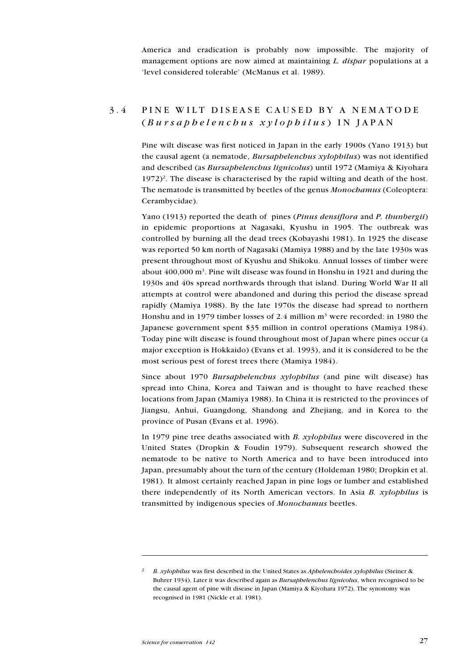America and eradication is probably now impossible. The majority of management options are now aimed at maintaining L. dispar populations at a 'level considered tolerable' (McManus et al. 1989).

## 3.4 PINE WILT DISEASE CAUSED BY A NEMATODE  $(Bursaphelencbus xylopbila s)$  IN JAPAN

Pine wilt disease was first noticed in Japan in the early 1900s (Yano 1913) but the causal agent (a nematode, Bursaphelenchus xylophilus) was not identified and described (as Bursaphelenchus lignicolus) until 1972 (Mamiya & Kiyohara  $1972$ <sup>2</sup>. The disease is characterised by the rapid wilting and death of the host. The nematode is transmitted by beetles of the genus Monochamus (Coleoptera: Cerambycidae).

Yano (1913) reported the death of pines (Pinus densiflora and P. thunbergii) in epidemic proportions at Nagasaki, Kyushu in 1905. The outbreak was controlled by burning all the dead trees (Kobayashi 1981). In 1925 the disease was reported 50 km north of Nagasaki (Mamiya 1988) and by the late 1930s was present throughout most of Kyushu and Shikoku. Annual losses of timber were about  $400,000$  m<sup>3</sup>. Pine wilt disease was found in Honshu in 1921 and during the 1930s and 40s spread northwards through that island. During World War II all attempts at control were abandoned and during this period the disease spread rapidly (Mamiya 1988). By the late 1970s the disease had spread to northern Honshu and in 1979 timber losses of 2.4 million m<sup>3</sup> were recorded: in 1980 the Japanese government spent \$35 million in control operations (Mamiya 1984). Today pine wilt disease is found throughout most of Japan where pines occur (a major exception is Hokkaido) (Evans et al. 1993), and it is considered to be the most serious pest of forest trees there (Mamiya 1984).

Since about 1970 Bursaphelenchus xylophilus (and pine wilt disease) has spread into China, Korea and Taiwan and is thought to have reached these locations from Japan (Mamiya 1988). In China it is restricted to the provinces of Jiangsu, Anhui, Guangdong, Shandong and Zhejiang, and in Korea to the province of Pusan (Evans et al. 1996).

In 1979 pine tree deaths associated with  $B$ .  $xy$ lophilus were discovered in the United States (Dropkin & Foudin 1979). Subsequent research showed the nematode to be native to North America and to have been introduced into Japan, presumably about the turn of the century (Holdeman 1980; Dropkin et al. 1981). It almost certainly reached Japan in pine logs or lumber and established there independently of its North American vectors. In Asia B. xylophilus is transmitted by indigenous species of Monochamus beetles.

<sup>&</sup>lt;sup>2</sup> B. xylophilus was first described in the United States as *Aphelenchoides xylophilus* (Steiner & Buhrer 1934). Later it was described again as Bursaphelenchus lignicolus, when recognised to be the causal agent of pine wilt disease in Japan (Mamiya & Kiyohara 1972). The synonomy was recognised in 1981 (Nickle et al. 1981).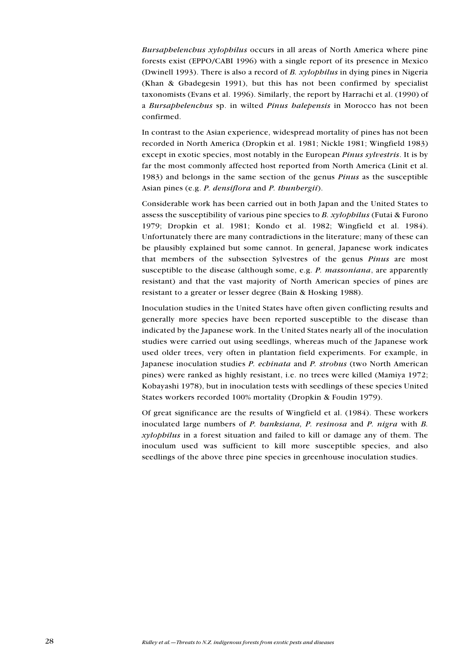Bursaphelenchus xylophilus occurs in all areas of North America where pine forests exist (EPPO/CABI 1996) with a single report of its presence in Mexico (Dwinell 1993). There is also a record of B. xylophilus in dying pines in Nigeria (Khan & Gbadegesin 1991), but this has not been confirmed by specialist taxonomists (Evans et al. 1996). Similarly, the report by Harrachi et al. (1990) of a Bursaphelenchus sp. in wilted Pinus halepensis in Morocco has not been confirmed.

In contrast to the Asian experience, widespread mortality of pines has not been recorded in North America (Dropkin et al. 1981; Nickle 1981; Wingfield 1983) except in exotic species, most notably in the European *Pinus sylvestris*. It is by far the most commonly affected host reported from North America (Linit et al. 1983) and belongs in the same section of the genus Pinus as the susceptible Asian pines (e.g. P. densiflora and P. thunbergii).

Considerable work has been carried out in both Japan and the United States to assess the susceptibility of various pine species to B. xylophilus (Futai & Furono 1979; Dropkin et al. 1981; Kondo et al. 1982; Wingfield et al. 1984). Unfortunately there are many contradictions in the literature; many of these can be plausibly explained but some cannot. In general, Japanese work indicates that members of the subsection Sylvestres of the genus Pinus are most susceptible to the disease (although some, e.g. P. massoniana, are apparently resistant) and that the vast majority of North American species of pines are resistant to a greater or lesser degree (Bain & Hosking 1988).

Inoculation studies in the United States have often given conflicting results and generally more species have been reported susceptible to the disease than indicated by the Japanese work. In the United States nearly all of the inoculation studies were carried out using seedlings, whereas much of the Japanese work used older trees, very often in plantation field experiments. For example, in Japanese inoculation studies P. echinata and P. strobus (two North American pines) were ranked as highly resistant, i.e. no trees were killed (Mamiya 1972; Kobayashi 1978), but in inoculation tests with seedlings of these species United States workers recorded 100% mortality (Dropkin & Foudin 1979).

Of great significance are the results of Wingfield et al. (1984). These workers inoculated large numbers of P. banksiana, P. resinosa and P. nigra with B. xylophilus in a forest situation and failed to kill or damage any of them. The inoculum used was sufficient to kill more susceptible species, and also seedlings of the above three pine species in greenhouse inoculation studies.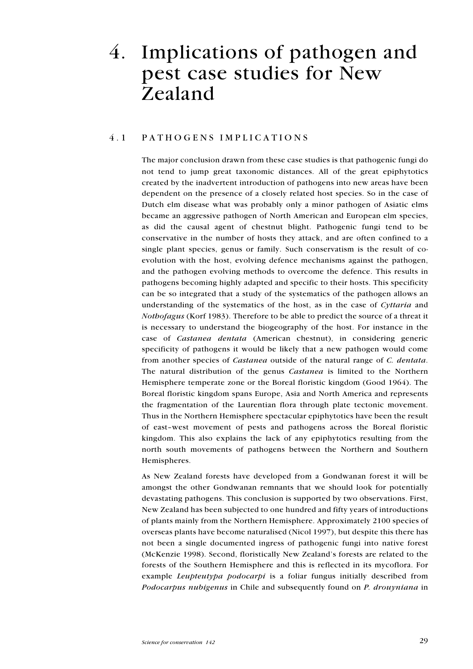# 4. Implications of pathogen and pest case studies for New Zealand

### 4.1 PATHOGENS IMPLICATIONS

The major conclusion drawn from these case studies is that pathogenic fungi do not tend to jump great taxonomic distances. All of the great epiphytotics created by the inadvertent introduction of pathogens into new areas have been dependent on the presence of a closely related host species. So in the case of Dutch elm disease what was probably only a minor pathogen of Asiatic elms became an aggressive pathogen of North American and European elm species, as did the causal agent of chestnut blight. Pathogenic fungi tend to be conservative in the number of hosts they attack, and are often confined to a single plant species, genus or family. Such conservatism is the result of coevolution with the host, evolving defence mechanisms against the pathogen, and the pathogen evolving methods to overcome the defence. This results in pathogens becoming highly adapted and specific to their hosts. This specificity can be so integrated that a study of the systematics of the pathogen allows an understanding of the systematics of the host, as in the case of Cyttaria and Nothofagus (Korf 1983). Therefore to be able to predict the source of a threat it is necessary to understand the biogeography of the host. For instance in the case of Castanea dentata (American chestnut), in considering generic specificity of pathogens it would be likely that a new pathogen would come from another species of Castanea outside of the natural range of C. dentata. The natural distribution of the genus Castanea is limited to the Northern Hemisphere temperate zone or the Boreal floristic kingdom (Good 1964). The Boreal floristic kingdom spans Europe, Asia and North America and represents the fragmentation of the Laurentian flora through plate tectonic movement. Thus in the Northern Hemisphere spectacular epiphytotics have been the result of eastwest movement of pests and pathogens across the Boreal floristic kingdom. This also explains the lack of any epiphytotics resulting from the north south movements of pathogens between the Northern and Southern Hemispheres.

As New Zealand forests have developed from a Gondwanan forest it will be amongst the other Gondwanan remnants that we should look for potentially devastating pathogens. This conclusion is supported by two observations. First, New Zealand has been subjected to one hundred and fifty years of introductions of plants mainly from the Northern Hemisphere. Approximately 2100 species of overseas plants have become naturalised (Nicol 1997), but despite this there has not been a single documented ingress of pathogenic fungi into native forest (McKenzie 1998). Second, floristically New Zealand's forests are related to the forests of the Southern Hemisphere and this is reflected in its mycoflora. For example *Leupteutypa podocarpi* is a foliar fungus initially described from Podocarpus nubigenus in Chile and subsequently found on P. drouyniana in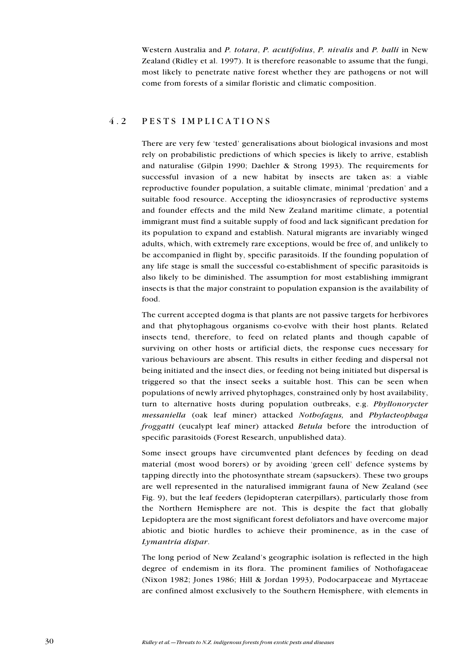Western Australia and P. totara, P. acutifolius, P. nivalis and P. halli in New Zealand (Ridley et al. 1997). It is therefore reasonable to assume that the fungi, most likely to penetrate native forest whether they are pathogens or not will come from forests of a similar floristic and climatic composition.

### 4.2 PESTS IMPLICATIONS

There are very few 'tested' generalisations about biological invasions and most rely on probabilistic predictions of which species is likely to arrive, establish and naturalise (Gilpin 1990; Daehler & Strong 1993). The requirements for successful invasion of a new habitat by insects are taken as: a viable reproductive founder population, a suitable climate, minimal 'predation' and a suitable food resource. Accepting the idiosyncrasies of reproductive systems and founder effects and the mild New Zealand maritime climate, a potential immigrant must find a suitable supply of food and lack significant predation for its population to expand and establish. Natural migrants are invariably winged adults, which, with extremely rare exceptions, would be free of, and unlikely to be accompanied in flight by, specific parasitoids. If the founding population of any life stage is small the successful co-establishment of specific parasitoids is also likely to be diminished. The assumption for most establishing immigrant insects is that the major constraint to population expansion is the availability of food.

The current accepted dogma is that plants are not passive targets for herbivores and that phytophagous organisms co-evolve with their host plants. Related insects tend, therefore, to feed on related plants and though capable of surviving on other hosts or artificial diets, the response cues necessary for various behaviours are absent. This results in either feeding and dispersal not being initiated and the insect dies, or feeding not being initiated but dispersal is triggered so that the insect seeks a suitable host. This can be seen when populations of newly arrived phytophages, constrained only by host availability, turn to alternative hosts during population outbreaks, e.g. Phyllonorycter messaniella (oak leaf miner) attacked Nothofagus, and Phylacteophaga froggatti (eucalypt leaf miner) attacked Betula before the introduction of specific parasitoids (Forest Research, unpublished data).

Some insect groups have circumvented plant defences by feeding on dead material (most wood borers) or by avoiding 'green cell' defence systems by tapping directly into the photosynthate stream (sapsuckers). These two groups are well represented in the naturalised immigrant fauna of New Zealand (see Fig. 9), but the leaf feeders (lepidopteran caterpillars), particularly those from the Northern Hemisphere are not. This is despite the fact that globally Lepidoptera are the most significant forest defoliators and have overcome major abiotic and biotic hurdles to achieve their prominence, as in the case of Lymantria dispar.

The long period of New Zealand's geographic isolation is reflected in the high degree of endemism in its flora. The prominent families of Nothofagaceae (Nixon 1982; Jones 1986; Hill & Jordan 1993), Podocarpaceae and Myrtaceae are confined almost exclusively to the Southern Hemisphere, with elements in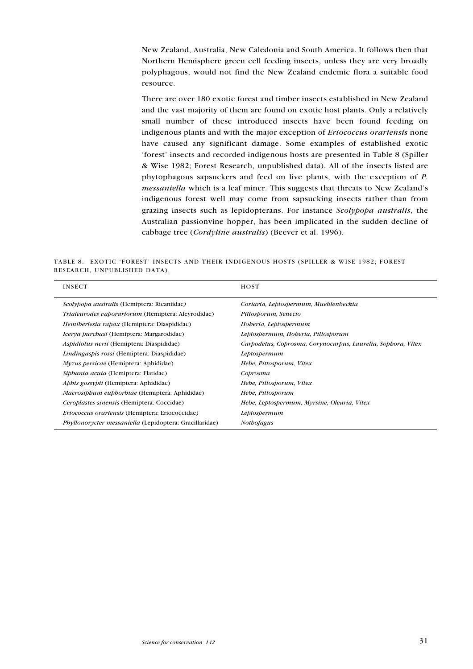New Zealand, Australia, New Caledonia and South America. It follows then that Northern Hemisphere green cell feeding insects, unless they are very broadly polyphagous, would not find the New Zealand endemic flora a suitable food resource.

There are over 180 exotic forest and timber insects established in New Zealand and the vast majority of them are found on exotic host plants. Only a relatively small number of these introduced insects have been found feeding on indigenous plants and with the major exception of Eriococcus orariensis none have caused any significant damage. Some examples of established exotic forest' insects and recorded indigenous hosts are presented in Table 8 (Spiller & Wise 1982; Forest Research, unpublished data). All of the insects listed are phytophagous sapsuckers and feed on live plants, with the exception of P. messaniella which is a leaf miner. This suggests that threats to New Zealand's indigenous forest well may come from sapsucking insects rather than from grazing insects such as lepidopterans. For instance Scolypopa australis, the Australian passionvine hopper, has been implicated in the sudden decline of cabbage tree (Cordyline australis) (Beever et al. 1996).

TABLE 8. EXOTIC 'FOREST' INSECTS AND THEIR INDIGENOUS HOSTS (SPILLER & WISE 1982; FOREST RESEARCH, UNPUBLISHED DATA).

| <b>INSECT</b>                                                  | <b>HOST</b>                                                  |
|----------------------------------------------------------------|--------------------------------------------------------------|
| Scolypopa australis (Hemiptera: Ricaniidae)                    | Coriaria, Leptospermum, Mueblenbeckia                        |
| Trialeurodes vaporariorum (Hemiptera: Aleyrodidae)             | Pittosporum, Senecio                                         |
| Hemiberlesia rapax (Hemiptera: Diaspididae)                    | Hoberia, Leptospermum                                        |
| <i>Icerya purchasi</i> (Hemiptera: Margarodidae)               | Leptospermum, Hoberia, Pittosporum                           |
| Aspidiotus nerii (Hemiptera: Diaspididae)                      | Carpodetus, Coprosma, Corynocarpus, Laurelia, Sophora, Vitex |
| <i>Lindingaspis rossi</i> (Hemiptera: Diaspididae)             | Leptospermum                                                 |
| Myzus persicae (Hemiptera: Aphididae)                          | Hebe, Pittosporum, Vitex                                     |
| Siphanta acuta (Hemiptera: Flatidae)                           | Coprosma                                                     |
| <i>Aphis gossypii</i> (Hemiptera: Aphididae)                   | Hebe, Pittosporum, Vitex                                     |
| <i>Macrosiphum euphorbiae</i> (Hemiptera: Aphididae)           | Hebe, Pittosporum                                            |
| Ceroplastes sinensis (Hemiptera: Coccidae)                     | Hebe, Leptospermum, Myrsine, Olearia, Vitex                  |
| <i>Eriococcus orariensis</i> (Hemiptera: Eriococcidae)         | Leptospermum                                                 |
| <i>Phyllonorycter messaniella</i> (Lepidoptera: Gracillaridae) | <b>Nothofagus</b>                                            |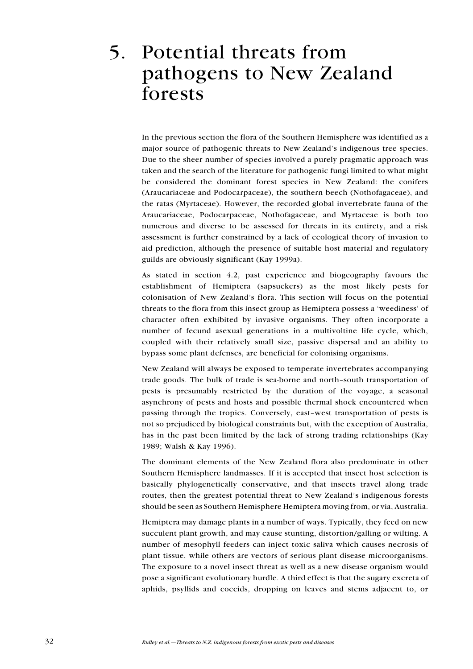# 5. Potential threats from pathogens to New Zealand forests

In the previous section the flora of the Southern Hemisphere was identified as a major source of pathogenic threats to New Zealand's indigenous tree species. Due to the sheer number of species involved a purely pragmatic approach was taken and the search of the literature for pathogenic fungi limited to what might be considered the dominant forest species in New Zealand: the conifers (Araucariaceae and Podocarpaceae), the southern beech (Nothofagaceae), and the ratas (Myrtaceae). However, the recorded global invertebrate fauna of the Araucariaceae, Podocarpaceae, Nothofagaceae, and Myrtaceae is both too numerous and diverse to be assessed for threats in its entirety, and a risk assessment is further constrained by a lack of ecological theory of invasion to aid prediction, although the presence of suitable host material and regulatory guilds are obviously significant (Kay 1999a).

As stated in section 4.2, past experience and biogeography favours the establishment of Hemiptera (sapsuckers) as the most likely pests for colonisation of New Zealand's flora. This section will focus on the potential threats to the flora from this insect group as Hemiptera possess a 'weediness' of character often exhibited by invasive organisms. They often incorporate a number of fecund asexual generations in a multivoltine life cycle, which, coupled with their relatively small size, passive dispersal and an ability to bypass some plant defenses, are beneficial for colonising organisms.

New Zealand will always be exposed to temperate invertebrates accompanying trade goods. The bulk of trade is sea-borne and north-south transportation of pests is presumably restricted by the duration of the voyage, a seasonal asynchrony of pests and hosts and possible thermal shock encountered when passing through the tropics. Conversely, east-west transportation of pests is not so prejudiced by biological constraints but, with the exception of Australia, has in the past been limited by the lack of strong trading relationships (Kay 1989; Walsh & Kay 1996).

The dominant elements of the New Zealand flora also predominate in other Southern Hemisphere landmasses. If it is accepted that insect host selection is basically phylogenetically conservative, and that insects travel along trade routes, then the greatest potential threat to New Zealand's indigenous forests should be seen as Southern Hemisphere Hemiptera moving from, or via, Australia.

Hemiptera may damage plants in a number of ways. Typically, they feed on new succulent plant growth, and may cause stunting, distortion/galling or wilting. A number of mesophyll feeders can inject toxic saliva which causes necrosis of plant tissue, while others are vectors of serious plant disease microorganisms. The exposure to a novel insect threat as well as a new disease organism would pose a significant evolutionary hurdle. A third effect is that the sugary excreta of aphids, psyllids and coccids, dropping on leaves and stems adjacent to, or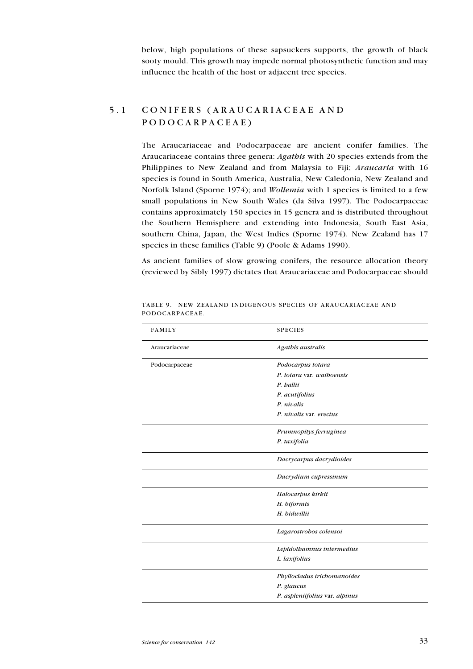below, high populations of these sapsuckers supports, the growth of black sooty mould. This growth may impede normal photosynthetic function and may influence the health of the host or adjacent tree species.

## 5.1 CONIFERS (ARAUCARIACEAE AND PODOCARPACEAE)

The Araucariaceae and Podocarpaceae are ancient conifer families. The Araucariaceae contains three genera: Agathis with 20 species extends from the Philippines to New Zealand and from Malaysia to Fiji; Araucaria with 16 species is found in South America, Australia, New Caledonia, New Zealand and Norfolk Island (Sporne 1974); and *Wollemia* with 1 species is limited to a few small populations in New South Wales (da Silva 1997). The Podocarpaceae contains approximately 150 species in 15 genera and is distributed throughout the Southern Hemisphere and extending into Indonesia, South East Asia, southern China, Japan, the West Indies (Sporne 1974). New Zealand has 17 species in these families (Table 9) (Poole & Adams 1990).

As ancient families of slow growing conifers, the resource allocation theory (reviewed by Sibly 1997) dictates that Araucariaceae and Podocarpaceae should

| <b>FAMILY</b> | <b>SPECIES</b>                 |
|---------------|--------------------------------|
| Araucariaceae | Agathis australis              |
| Podocarpaceae | Podocarpus totara              |
|               | P. totara var. waiboensis      |
|               | P. ballii                      |
|               | P. acutifolius                 |
|               | P. nivalis                     |
|               | P. nivalis var. erectus        |
|               | Prumnopitys ferruginea         |
|               | P. taxifolia                   |
|               | Dacrycarpus dacrydioides       |
|               | Dacrydium cupressinum          |
|               | Halocarpus kirkii              |
|               | H. biformis                    |
|               | H. bidwillii                   |
|               | Lagarostrobos colensoi         |
|               | Lepidothamnus intermedius      |
|               | L. laxifolius                  |
|               | Phyllocladus trichomanoides    |
|               | P. glaucus                     |
|               | P. aspleniifolius var. alpinus |
|               |                                |

TABLE 9. NEW ZEALAND INDIGENOUS SPECIES OF ARAUCARIACEAE AND PODOCARPACEAE.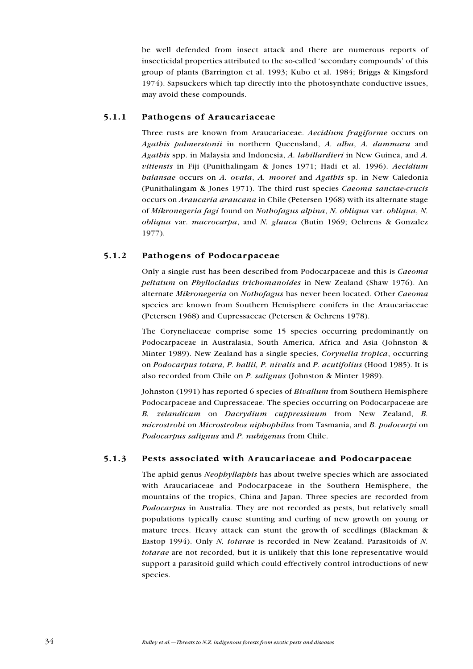be well defended from insect attack and there are numerous reports of insecticidal properties attributed to the so-called 'secondary compounds' of this group of plants (Barrington et al. 1993; Kubo et al. 1984; Briggs & Kingsford 1974). Sapsuckers which tap directly into the photosynthate conductive issues, may avoid these compounds.

#### 5.1.1 Pathogens of Araucariaceae

Three rusts are known from Araucariaceae. Aecidium fragiforme occurs on Agathis palmerstonii in northern Queensland, A. alba, A. dammara and Agathis spp. in Malaysia and Indonesia, A. labillardieri in New Guinea, and A. vitiensis in Fiji (Punithalingam & Jones 1971; Hadi et al. 1996). Aecidium balansae occurs on A. ovata, A. moorei and Agathis sp. in New Caledonia (Punithalingam & Jones 1971). The third rust species Caeoma sanctae-crucis occurs on Araucaria araucana in Chile (Petersen 1968) with its alternate stage of Mikronegeria fagi found on Nothofagus alpina, N. obliqua var. obliqua, N. obliqua var. macrocarpa, and N. glauca (Butin 1969; Oehrens & Gonzalez 1977).

### 5.1.2 Pathogens of Podocarpaceae

Only a single rust has been described from Podocarpaceae and this is Caeoma peltatum on Phyllocladus trichomanoides in New Zealand (Shaw 1976). An alternate Mikronegeria on Nothofagus has never been located. Other Caeoma species are known from Southern Hemisphere conifers in the Araucariaceae (Petersen 1968) and Cupressaceae (Petersen & Oehrens 1978).

The Coryneliaceae comprise some 15 species occurring predominantly on Podocarpaceae in Australasia, South America, Africa and Asia (Johnston & Minter 1989). New Zealand has a single species, Corynelia tropica, occurring on Podocarpus totara, P. hallii, P. nivalis and P. acutifolius (Hood 1985). It is also recorded from Chile on P. salignus (Johnston & Minter 1989).

Johnston (1991) has reported 6 species of Bivallum from Southern Hemisphere Podocarpaceae and Cupressaceae. The species occurring on Podocarpaceae are B. zelandicum on Dacrydium cuppressinum from New Zealand, B. microstrobi on Microstrobos niphophilus from Tasmania, and B. podocarpi on Podocarpus salignus and P. nubigenus from Chile.

### 5.1.3 Pests associated with Araucariaceae and Podocarpaceae

The aphid genus Neophyllaphis has about twelve species which are associated with Araucariaceae and Podocarpaceae in the Southern Hemisphere, the mountains of the tropics, China and Japan. Three species are recorded from Podocarpus in Australia. They are not recorded as pests, but relatively small populations typically cause stunting and curling of new growth on young or mature trees. Heavy attack can stunt the growth of seedlings (Blackman & Eastop 1994). Only N. totarae is recorded in New Zealand. Parasitoids of N. totarae are not recorded, but it is unlikely that this lone representative would support a parasitoid guild which could effectively control introductions of new species.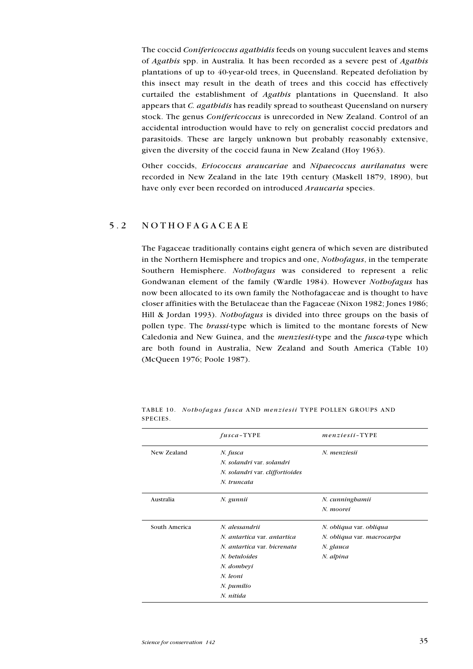The coccid Conifericoccus agathidis feeds on young succulent leaves and stems of Agathis spp. in Australia. It has been recorded as a severe pest of Agathis plantations of up to 40-year-old trees, in Queensland. Repeated defoliation by this insect may result in the death of trees and this coccid has effectively curtailed the establishment of Agathis plantations in Queensland. It also appears that C. agathidis has readily spread to southeast Queensland on nursery stock. The genus *Conifericoccus* is unrecorded in New Zealand. Control of an accidental introduction would have to rely on generalist coccid predators and parasitoids. These are largely unknown but probably reasonably extensive, given the diversity of the coccid fauna in New Zealand (Hoy 1963).

Other coccids, Eriococcus araucariae and Nipaecoccus aurilanatus were recorded in New Zealand in the late 19th century (Maskell 1879, 1890), but have only ever been recorded on introduced *Araucaria* species.

## 5.2 NOTHOFAGACEAE

The Fagaceae traditionally contains eight genera of which seven are distributed in the Northern Hemisphere and tropics and one, Nothofagus, in the temperate Southern Hemisphere. Nothofagus was considered to represent a relic Gondwanan element of the family (Wardle 1984). However Nothofagus has now been allocated to its own family the Nothofagaceae and is thought to have closer affinities with the Betulaceae than the Fagaceae (Nixon 1982; Jones 1986; Hill & Jordan 1993). Nothofagus is divided into three groups on the basis of pollen type. The brassi-type which is limited to the montane forests of New Caledonia and New Guinea, and the *menziesii*-type and the *fusca*-type which are both found in Australia, New Zealand and South America (Table 10) (McQueen 1976; Poole 1987).

|               | $fusca-TYPE$                    | $menziesii$ -TYPE          |
|---------------|---------------------------------|----------------------------|
| New Zealand   | N. fusca                        | N. menziesii               |
|               | N. solandri var. solandri       |                            |
|               | N. solandri var. cliffortioides |                            |
|               | N. truncata                     |                            |
| Australia     | N. gunnii                       | N. cunningbamii            |
|               |                                 | N. moorei                  |
| South America | N. alessandrii                  | N. obliqua var. obliqua    |
|               | N. antartica var. antartica     | N. obliqua var. macrocarpa |
|               | N. antartica var. bicrenata     | N. glauca                  |
|               | N. betuloides                   | N. alpina                  |
|               | N. dombeyi                      |                            |
|               | N. leoni                        |                            |
|               | N. pumilio                      |                            |
|               | N. nitida                       |                            |

TABLE 10. Nothofagus fusca AND menziesii TYPE POLLEN GROUPS AND SPECIES.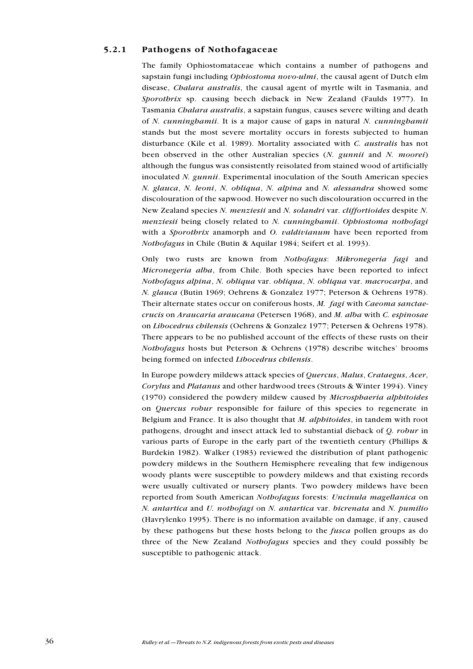#### 5.2.1 Pathogens of Nothofagaceae

The family Ophiostomataceae which contains a number of pathogens and sapstain fungi including *Ophiostoma novo-ulmi*, the causal agent of Dutch elm disease, Chalara australis, the causal agent of myrtle wilt in Tasmania, and Sporothrix sp. causing beech dieback in New Zealand (Faulds 1977). In Tasmania Chalara australis, a sapstain fungus, causes severe wilting and death of N. cunninghamii. It is a major cause of gaps in natural N. cunninghamii stands but the most severe mortality occurs in forests subjected to human disturbance (Kile et al. 1989). Mortality associated with C. australis has not been observed in the other Australian species (N. gunnii and N. moorei) although the fungus was consistently reisolated from stained wood of artificially inoculated N. gunnii. Experimental inoculation of the South American species N. glauca, N. leoni, N. obliqua, N. alpina and N. alessandra showed some discolouration of the sapwood. However no such discolouration occurred in the New Zealand species N. menziesii and N. solandri var. cliffortioides despite N. menziesii being closely related to N. cunninghamii. Ophiostoma nothofagi with a *Sporothrix* anamorph and *O. valdivianum* have been reported from Nothofagus in Chile (Butin & Aquilar 1984; Seifert et al. 1993).

Only two rusts are known from Nothofagus: Mikronegeria fagi and Micronegeria alba, from Chile. Both species have been reported to infect Nothofagus alpina, N. obliqua var. obliqua, N. obliqua var. macrocarpa, and N. glauca (Butin 1969; Oehrens & Gonzalez 1977; Peterson & Oehrens 1978). Their alternate states occur on coniferous hosts, M. fagi with Caeoma sanctaecrucis on Araucaria araucana (Petersen 1968), and M. alba with C. espinosae on Libocedrus chilensis (Oehrens & Gonzalez 1977; Petersen & Oehrens 1978). There appears to be no published account of the effects of these rusts on their Nothofagus hosts but Peterson & Oehrens (1978) describe witches' brooms being formed on infected Libocedrus chilensis.

In Europe powdery mildews attack species of Quercus, Malus, Crataegus, Acer, Corylus and Platanus and other hardwood trees (Strouts & Winter 1994). Viney (1970) considered the powdery mildew caused by Microsphaeria alphitoides on Quercus robur responsible for failure of this species to regenerate in Belgium and France. It is also thought that M. alphitoides, in tandem with root pathogens, drought and insect attack led to substantial dieback of Q. robur in various parts of Europe in the early part of the twentieth century (Phillips & Burdekin 1982). Walker (1983) reviewed the distribution of plant pathogenic powdery mildews in the Southern Hemisphere revealing that few indigenous woody plants were susceptible to powdery mildews and that existing records were usually cultivated or nursery plants. Two powdery mildews have been reported from South American Nothofagus forests: Uncinula magellanica on N. antartica and U. nothofagi on N. antartica var. bicrenata and N. pumilio (Havrylenko 1995). There is no information available on damage, if any, caused by these pathogens but these hosts belong to the *fusca* pollen groups as do three of the New Zealand Nothofagus species and they could possibly be susceptible to pathogenic attack.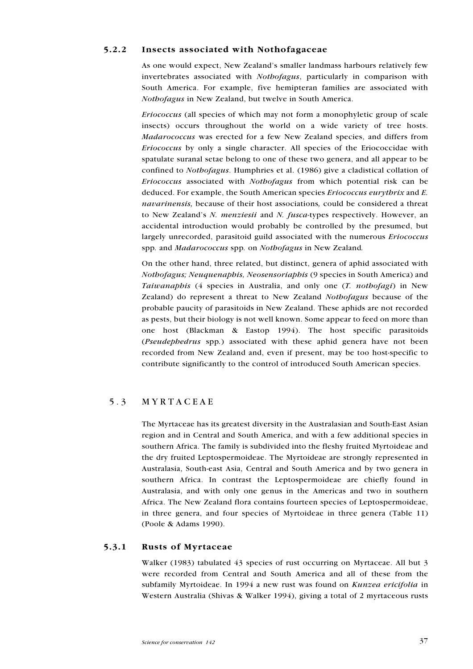### 5.2.2 Insects associated with Nothofagaceae

As one would expect, New Zealand's smaller landmass harbours relatively few invertebrates associated with Nothofagus, particularly in comparison with South America. For example, five hemipteran families are associated with Nothofagus in New Zealand, but twelve in South America.

Eriococcus (all species of which may not form a monophyletic group of scale insects) occurs throughout the world on a wide variety of tree hosts. Madarococcus was erected for a few New Zealand species, and differs from Eriococcus by only a single character. All species of the Eriococcidae with spatulate suranal setae belong to one of these two genera, and all appear to be confined to Nothofagus. Humphries et al. (1986) give a cladistical collation of Eriococcus associated with Nothofagus from which potential risk can be deduced. For example, the South American species *Eriococcus eurythrix* and *E*. navarinensis, because of their host associations, could be considered a threat to New Zealand's N. menziesii and N. fusca-types respectively. However, an accidental introduction would probably be controlled by the presumed, but largely unrecorded, parasitoid guild associated with the numerous Eriococcus spp. and Madarococcus spp. on Nothofagus in New Zealand.

On the other hand, three related, but distinct, genera of aphid associated with Nothofagus; Neuquenaphis, Neosensoriaphis (9 species in South America) and Taiwanaphis (4 species in Australia, and only one (T. nothofagi) in New Zealand) do represent a threat to New Zealand Nothofagus because of the probable paucity of parasitoids in New Zealand. These aphids are not recorded as pests, but their biology is not well known. Some appear to feed on more than one host (Blackman & Eastop 1994). The host specific parasitoids (Pseudephedrus spp.) associated with these aphid genera have not been recorded from New Zealand and, even if present, may be too host-specific to contribute significantly to the control of introduced South American species.

## 5.3 MYRTACEAE

The Myrtaceae has its greatest diversity in the Australasian and South-East Asian region and in Central and South America, and with a few additional species in southern Africa. The family is subdivided into the fleshy fruited Myrtoideae and the dry fruited Leptospermoideae. The Myrtoideae are strongly represented in Australasia, South-east Asia, Central and South America and by two genera in southern Africa. In contrast the Leptospermoideae are chiefly found in Australasia, and with only one genus in the Americas and two in southern Africa. The New Zealand flora contains fourteen species of Leptospermoideae, in three genera, and four species of Myrtoideae in three genera (Table 11) (Poole & Adams 1990).

### 5.3.1 Rusts of Myrtaceae

Walker (1983) tabulated 43 species of rust occurring on Myrtaceae. All but 3 were recorded from Central and South America and all of these from the subfamily Myrtoideae. In 1994 a new rust was found on Kunzea ericifolia in Western Australia (Shivas & Walker 1994), giving a total of 2 myrtaceous rusts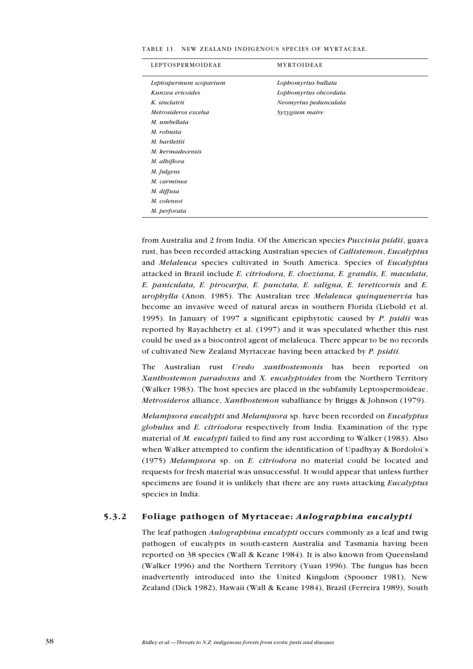| LEPTOSPERMOIDEAE       | <b>MYRTOIDEAE</b>      |
|------------------------|------------------------|
| Leptospermum scoparium | Lopbomyrtus bullata    |
| Kunzea ericoides       | Lophomyrtus obcordata. |
| K. sinclairii          | Neomyrtus pedunculata  |
| Metrosideros excelsa   | Syzygium maire         |
| M. umbellata           |                        |
| M. robusta             |                        |
| M. bartlettii          |                        |
| M. kermadecensis       |                        |
| M. albiflora           |                        |
| M. fulgens             |                        |
| M. carminea            |                        |
| M. diffusa             |                        |
| M. colensoi            |                        |
| M. perforata           |                        |

TABLE 11. NEW ZEALAND INDIGENOUS SPECIES OF MYRTACEAE.

from Australia and 2 from India. Of the American species Puccinia psidii, guava rust, has been recorded attacking Australian species of Callistemon, Eucalyptus and Melaleuca species cultivated in South America. Species of Eucalyptus attacked in Brazil include E. citriodora, E. cloeziana, E. grandis, E. maculata, E. paniculata, E. pirocarpa, E. punctata, E. saligna, E. tereticornis and E. urophylla (Anon. 1985). The Australian tree Melaleuca quinquenervia has become an invasive weed of natural areas in southern Florida (Liebold et al. 1995). In January of 1997 a significant epiphytotic caused by P. psidii was reported by Rayachhetry et al. (1997) and it was speculated whether this rust could be used as a biocontrol agent of melaleuca. There appear to be no records of cultivated New Zealand Myrtaceae having been attacked by P. psidii.

The Australian rust Uredo xanthostemonis has been reported on Xanthostemon paradoxus and X. eucalyptoides from the Northern Territory (Walker 1983). The host species are placed in the subfamily Leptospermoideae, Metrosideros alliance, Xanthostemon suballiance by Briggs & Johnson (1979).

Melampsora eucalypti and Melampsora sp. have been recorded on Eucalyptus globulus and E. citriodora respectively from India. Examination of the type material of M. eucalypti failed to find any rust according to Walker (1983). Also when Walker attempted to confirm the identification of Upadhyay & Bordoloi's (1975) Melampsora sp. on E. citriodora no material could be located and requests for fresh material was unsuccessful. It would appear that unless further specimens are found it is unlikely that there are any rusts attacking *Eucalyptus* species in India.

#### 5.3.2 Foliage pathogen of Myrtaceae: Aulographina eucalypti

The leaf pathogen *Aulographina eucalypti* occurs commonly as a leaf and twig pathogen of eucalypts in south-eastern Australia and Tasmania having been reported on 38 species (Wall & Keane 1984). It is also known from Queensland (Walker 1996) and the Northern Territory (Yuan 1996). The fungus has been inadvertently introduced into the United Kingdom (Spooner 1981), New Zealand (Dick 1982), Hawaii (Wall & Keane 1984), Brazil (Ferreira 1989), South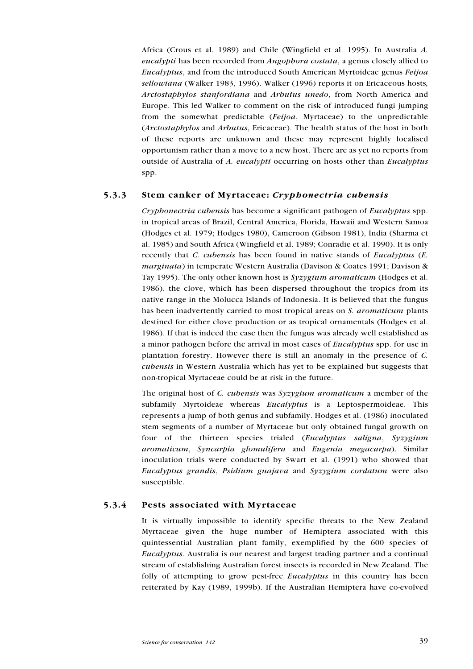Africa (Crous et al. 1989) and Chile (Wingfield et al. 1995). In Australia A. eucalypti has been recorded from Angophora costata, a genus closely allied to Eucalyptus, and from the introduced South American Myrtoideae genus Feijoa sellowiana (Walker 1983, 1996). Walker (1996) reports it on Ericaceous hosts, Arctostaphylos stanfordiana and Arbutus unedo, from North America and Europe. This led Walker to comment on the risk of introduced fungi jumping from the somewhat predictable (Feijoa, Myrtaceae) to the unpredictable (Arctostaphylos and Arbutus, Ericaceae). The health status of the host in both of these reports are unknown and these may represent highly localised opportunism rather than a move to a new host. There are as yet no reports from outside of Australia of A. eucalypti occurring on hosts other than Eucalyptus spp.

#### 5.3.3 Stem canker of Myrtaceae: Cryphonectria cubensis

Cryphonectria cubensis has become a significant pathogen of Eucalyptus spp. in tropical areas of Brazil, Central America, Florida, Hawaii and Western Samoa (Hodges et al. 1979; Hodges 1980), Cameroon (Gibson 1981), India (Sharma et al. 1985) and South Africa (Wingfield et al. 1989; Conradie et al. 1990). It is only recently that *C. cubensis* has been found in native stands of *Eucalyptus* (*E.* marginata) in temperate Western Australia (Davison & Coates 1991; Davison & Tay 1995). The only other known host is *Syzygium aromaticum* (Hodges et al. 1986), the clove, which has been dispersed throughout the tropics from its native range in the Molucca Islands of Indonesia. It is believed that the fungus has been inadvertently carried to most tropical areas on *S. aromaticum* plants destined for either clove production or as tropical ornamentals (Hodges et al. 1986). If that is indeed the case then the fungus was already well established as a minor pathogen before the arrival in most cases of Eucalyptus spp. for use in plantation forestry. However there is still an anomaly in the presence of C. cubensis in Western Australia which has yet to be explained but suggests that non-tropical Myrtaceae could be at risk in the future.

The original host of C. cubensis was  $Syzyz$  *um aromaticum* a member of the subfamily Myrtoideae whereas *Eucalyptus* is a Leptospermoideae. This represents a jump of both genus and subfamily. Hodges et al. (1986) inoculated stem segments of a number of Myrtaceae but only obtained fungal growth on four of the thirteen species trialed (Eucalyptus saligna, Syzygium aromaticum, Syncarpia glomulifera and Eugenia megacarpa). Similar inoculation trials were conducted by Swart et al. (1991) who showed that Eucalyptus grandis, Psidium guajava and Syzygium cordatum were also susceptible.

#### 5.3.4 Pests associated with Myrtaceae

It is virtually impossible to identify specific threats to the New Zealand Myrtaceae given the huge number of Hemiptera associated with this quintessential Australian plant family, exemplified by the 600 species of Eucalyptus. Australia is our nearest and largest trading partner and a continual stream of establishing Australian forest insects is recorded in New Zealand. The folly of attempting to grow pest-free *Eucalyptus* in this country has been reiterated by Kay (1989, 1999b). If the Australian Hemiptera have co-evolved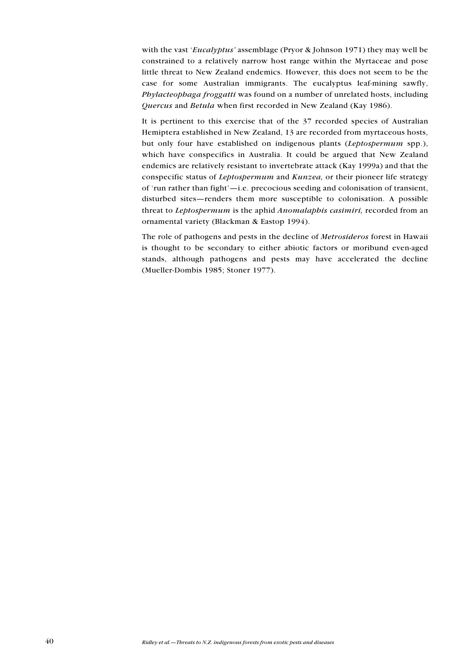with the vast 'Eucalyptus' assemblage (Pryor & Johnson 1971) they may well be constrained to a relatively narrow host range within the Myrtaceae and pose little threat to New Zealand endemics. However, this does not seem to be the case for some Australian immigrants. The eucalyptus leaf-mining sawfly, Phylacteophaga froggatti was found on a number of unrelated hosts, including Quercus and Betula when first recorded in New Zealand (Kay 1986).

It is pertinent to this exercise that of the 37 recorded species of Australian Hemiptera established in New Zealand, 13 are recorded from myrtaceous hosts, but only four have established on indigenous plants (Leptospermum spp.), which have conspecifics in Australia. It could be argued that New Zealand endemics are relatively resistant to invertebrate attack (Kay 1999a) and that the conspecific status of Leptospermum and Kunzea, or their pioneer life strategy of 'run rather than fight' $-i.e.$  precocious seeding and colonisation of transient, disturbed sites-renders them more susceptible to colonisation. A possible threat to Leptospermum is the aphid Anomalaphis casimiri, recorded from an ornamental variety (Blackman & Eastop 1994).

The role of pathogens and pests in the decline of Metrosideros forest in Hawaii is thought to be secondary to either abiotic factors or moribund even-aged stands, although pathogens and pests may have accelerated the decline (Mueller-Dombis 1985; Stoner 1977).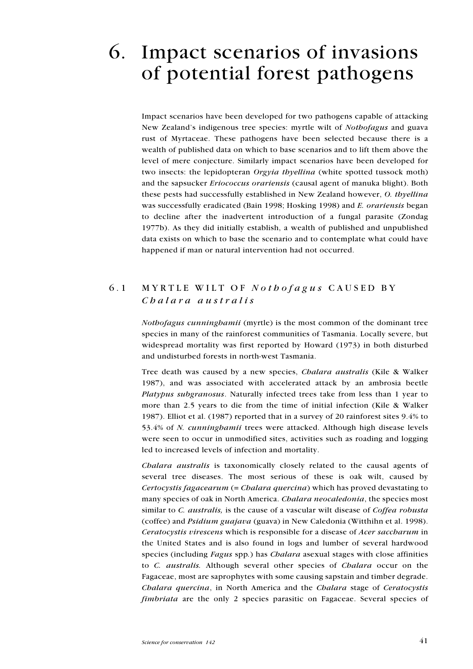# 6. Impact scenarios of invasions of potential forest pathogens

Impact scenarios have been developed for two pathogens capable of attacking New Zealand's indigenous tree species: myrtle wilt of Nothofagus and guava rust of Myrtaceae. These pathogens have been selected because there is a wealth of published data on which to base scenarios and to lift them above the level of mere conjecture. Similarly impact scenarios have been developed for two insects: the lepidopteran *Orgyia thyellina* (white spotted tussock moth) and the sapsucker Eriococcus orariensis (causal agent of manuka blight). Both these pests had successfully established in New Zealand however, O. thyellina was successfully eradicated (Bain 1998; Hosking 1998) and *E. orariensis* began to decline after the inadvertent introduction of a fungal parasite (Zondag 1977b). As they did initially establish, a wealth of published and unpublished data exists on which to base the scenario and to contemplate what could have happened if man or natural intervention had not occurred.

## 6.1 MYRTLE WILT OF Nothofagus CAUSED BY Chalara australis

Nothofagus cunninghamii (myrtle) is the most common of the dominant tree species in many of the rainforest communities of Tasmania. Locally severe, but widespread mortality was first reported by Howard (1973) in both disturbed and undisturbed forests in north-west Tasmania.

Tree death was caused by a new species, Chalara australis (Kile & Walker 1987), and was associated with accelerated attack by an ambrosia beetle Platypus subgranosus. Naturally infected trees take from less than 1 year to more than 2.5 years to die from the time of initial infection (Kile & Walker 1987). Elliot et al. (1987) reported that in a survey of 20 rainforest sites 9.4% to 53.4% of *N. cunninghamii* trees were attacked. Although high disease levels were seen to occur in unmodified sites, activities such as roading and logging led to increased levels of infection and mortality.

Chalara australis is taxonomically closely related to the causal agents of several tree diseases. The most serious of these is oak wilt, caused by Certocystis fagacearum (= Chalara quercina) which has proved devastating to many species of oak in North America. Chalara neocaledonia, the species most similar to *C. australis*, is the cause of a vascular wilt disease of *Coffea robusta* (coffee) and Psidium guajava (guava) in New Caledonia (Witthihn et al. 1998). Ceratocystis virescens which is responsible for a disease of Acer saccharum in the United States and is also found in logs and lumber of several hardwood species (including Fagus spp.) has *Chalara* asexual stages with close affinities to C. australis. Although several other species of Chalara occur on the Fagaceae, most are saprophytes with some causing sapstain and timber degrade. Chalara quercina, in North America and the Chalara stage of Ceratocystis fimbriata are the only 2 species parasitic on Fagaceae. Several species of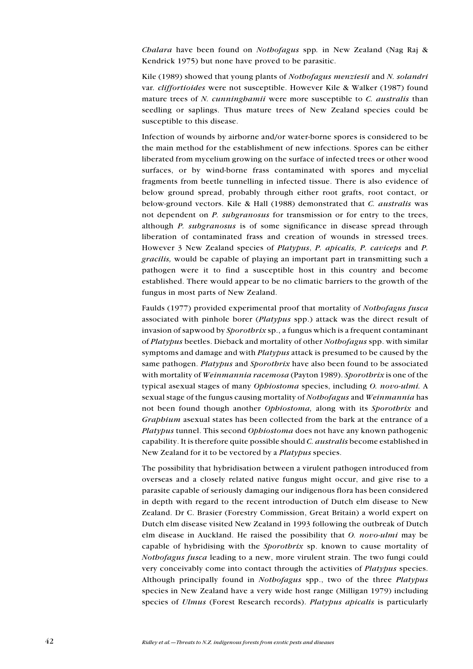Chalara have been found on Nothofagus spp. in New Zealand (Nag Raj  $\&$ Kendrick 1975) but none have proved to be parasitic.

Kile (1989) showed that young plants of Nothofagus menziesii and N. solandri var. cliffortioides were not susceptible. However Kile & Walker (1987) found mature trees of N. cunninghamii were more susceptible to C. australis than seedling or saplings. Thus mature trees of New Zealand species could be susceptible to this disease.

Infection of wounds by airborne and/or water-borne spores is considered to be the main method for the establishment of new infections. Spores can be either liberated from mycelium growing on the surface of infected trees or other wood surfaces, or by wind-borne frass contaminated with spores and mycelial fragments from beetle tunnelling in infected tissue. There is also evidence of below ground spread, probably through either root grafts, root contact, or below-ground vectors. Kile & Hall (1988) demonstrated that C. australis was not dependent on *P. subgranosus* for transmission or for entry to the trees, although P. subgranosus is of some significance in disease spread through liberation of contaminated frass and creation of wounds in stressed trees. However 3 New Zealand species of Platypus, P. apicalis, P. caviceps and P. gracilis, would be capable of playing an important part in transmitting such a pathogen were it to find a susceptible host in this country and become established. There would appear to be no climatic barriers to the growth of the fungus in most parts of New Zealand.

Faulds (1977) provided experimental proof that mortality of Nothofagus fusca associated with pinhole borer (Platypus spp.) attack was the direct result of invasion of sapwood by *Sporothrix* sp., a fungus which is a frequent contaminant of Platypus beetles. Dieback and mortality of other Nothofagus spp. with similar symptoms and damage and with *Platypus* attack is presumed to be caused by the same pathogen. Platypus and Sporothrix have also been found to be associated with mortality of *Weinmannia racemosa* (Payton 1989). Sporothrix is one of the typical asexual stages of many Ophiostoma species, including O. novo-ulmi. A sexual stage of the fungus causing mortality of *Nothofagus* and *Weinmannia* has not been found though another Ophiostoma, along with its Sporothrix and Graphium asexual states has been collected from the bark at the entrance of a Platypus tunnel. This second Ophiostoma does not have any known pathogenic capability. It is therefore quite possible should C. australis become established in New Zealand for it to be vectored by a Platypus species.

The possibility that hybridisation between a virulent pathogen introduced from overseas and a closely related native fungus might occur, and give rise to a parasite capable of seriously damaging our indigenous flora has been considered in depth with regard to the recent introduction of Dutch elm disease to New Zealand. Dr C. Brasier (Forestry Commission, Great Britain) a world expert on Dutch elm disease visited New Zealand in 1993 following the outbreak of Dutch elm disease in Auckland. He raised the possibility that O. novo-ulmi may be capable of hybridising with the *Sporothrix* sp. known to cause mortality of Nothofagus fusca leading to a new, more virulent strain. The two fungi could very conceivably come into contact through the activities of Platypus species. Although principally found in Nothofagus spp., two of the three Platypus species in New Zealand have a very wide host range (Milligan 1979) including species of *Ulmus* (Forest Research records). *Platypus apicalis* is particularly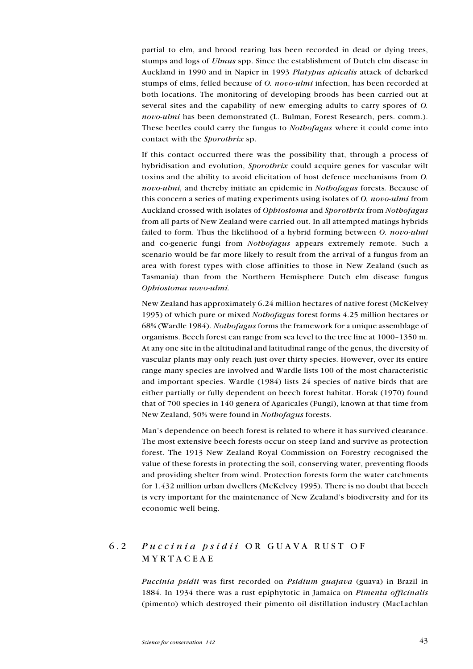partial to elm, and brood rearing has been recorded in dead or dying trees, stumps and logs of *Ulmus* spp. Since the establishment of Dutch elm disease in Auckland in 1990 and in Napier in 1993 Platypus apicalis attack of debarked stumps of elms, felled because of *O. novo-ulmi* infection, has been recorded at both locations. The monitoring of developing broods has been carried out at several sites and the capability of new emerging adults to carry spores of O. novo-ulmi has been demonstrated (L. Bulman, Forest Research, pers. comm.). These beetles could carry the fungus to *Nothofagus* where it could come into contact with the Sporothrix sp.

If this contact occurred there was the possibility that, through a process of hybridisation and evolution, Sporothrix could acquire genes for vascular wilt toxins and the ability to avoid elicitation of host defence mechanisms from O. novo-ulmi, and thereby initiate an epidemic in Nothofagus forests. Because of this concern a series of mating experiments using isolates of O. novo-ulmi from Auckland crossed with isolates of Ophiostoma and Sporothrix from Nothofagus from all parts of New Zealand were carried out. In all attempted matings hybrids failed to form. Thus the likelihood of a hybrid forming between O. novo-ulmi and co-generic fungi from Nothofagus appears extremely remote. Such a scenario would be far more likely to result from the arrival of a fungus from an area with forest types with close affinities to those in New Zealand (such as Tasmania) than from the Northern Hemisphere Dutch elm disease fungus Ophiostoma novo-ulmi.

New Zealand has approximately 6.24 million hectares of native forest (McKelvey 1995) of which pure or mixed Nothofagus forest forms 4.25 million hectares or 68% (Wardle 1984). Nothofagus forms the framework for a unique assemblage of organisms. Beech forest can range from sea level to the tree line at  $1000-1350$  m. At any one site in the altitudinal and latitudinal range of the genus, the diversity of vascular plants may only reach just over thirty species. However, over its entire range many species are involved and Wardle lists 100 of the most characteristic and important species. Wardle (1984) lists 24 species of native birds that are either partially or fully dependent on beech forest habitat. Horak (1970) found that of 700 species in 140 genera of Agaricales (Fungi), known at that time from New Zealand, 50% were found in Nothofagus forests.

Man's dependence on beech forest is related to where it has survived clearance. The most extensive beech forests occur on steep land and survive as protection forest. The 1913 New Zealand Royal Commission on Forestry recognised the value of these forests in protecting the soil, conserving water, preventing floods and providing shelter from wind. Protection forests form the water catchments for 1.432 million urban dwellers (McKelvey 1995). There is no doubt that beech is very important for the maintenance of New Zealand's biodiversity and for its economic well being.

# 6.2 Puccinia psidii OR GUAVA RUST OF MYRTACEAE

Puccinia psidii was first recorded on Psidium guajava (guava) in Brazil in 1884. In 1934 there was a rust epiphytotic in Jamaica on Pimenta officinalis (pimento) which destroyed their pimento oil distillation industry (MacLachlan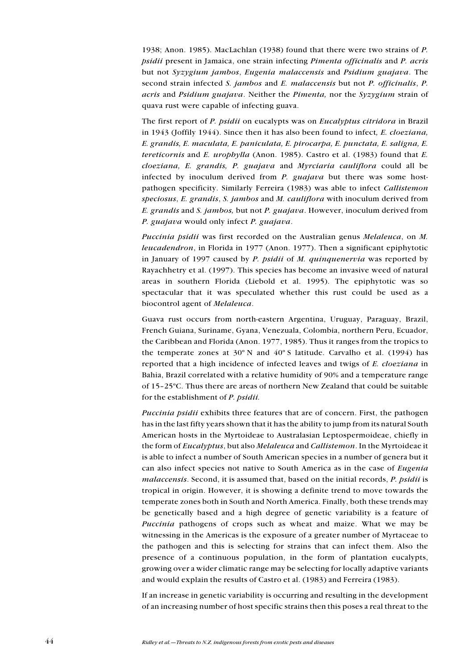1938; Anon. 1985). MacLachlan (1938) found that there were two strains of P. psidii present in Jamaica, one strain infecting Pimenta officinalis and P. acris but not Syzygium jambos, Eugenia malaccensis and Psidium guajava. The second strain infected S. jambos and E. malaccensis but not P. officinalis, P. acris and Psidium guajava. Neither the Pimenta, nor the Syzygium strain of quava rust were capable of infecting guava.

The first report of P. psidii on eucalypts was on *Eucalyptus citridora* in Brazil in 1943 (Joffily 1944). Since then it has also been found to infect, E. cloeziana, E. grandis, E. maculata, E. paniculata, E. pirocarpa, E. punctata, E. saligna, E. tereticornis and E. urophylla (Anon. 1985). Castro et al.  $(1983)$  found that E. cloeziana, E. grandis, P. guajava and Myrciaria cauliflora could all be infected by inoculum derived from  $P$ . *guajava* but there was some hostpathogen specificity. Similarly Ferreira (1983) was able to infect Callistemon speciosus, E. grandis, S. jambos and M. cauliflora with inoculum derived from E. grandis and S. jambos, but not P. guajava. However, inoculum derived from P. guajava would only infect P. guajava.

Puccinia psidii was first recorded on the Australian genus Melaleuca, on M. leucadendron, in Florida in 1977 (Anon. 1977). Then a significant epiphytotic in January of 1997 caused by  $P$ . *psidii* of  $M$ . *quinquenervia* was reported by Rayachhetry et al. (1997). This species has become an invasive weed of natural areas in southern Florida (Liebold et al. 1995). The epiphytotic was so spectacular that it was speculated whether this rust could be used as a biocontrol agent of Melaleuca.

Guava rust occurs from north-eastern Argentina, Uruguay, Paraguay, Brazil, French Guiana, Suriname, Gyana, Venezuala, Colombia, northern Peru, Ecuador, the Caribbean and Florida (Anon. 1977, 1985). Thus it ranges from the tropics to the temperate zones at  $30^{\circ}$  N and  $40^{\circ}$  S latitude. Carvalho et al. (1994) has reported that a high incidence of infected leaves and twigs of E. cloeziana in Bahia, Brazil correlated with a relative humidity of 90% and a temperature range of 15-25°C. Thus there are areas of northern New Zealand that could be suitable for the establishment of P. psidii.

Puccinia psidii exhibits three features that are of concern. First, the pathogen has in the last fifty years shown that it has the ability to jump from its natural South American hosts in the Myrtoideae to Australasian Leptospermoideae, chiefly in the form of *Eucalyptus*, but also *Melaleuca* and *Callistemon*. In the Myrtoideae it is able to infect a number of South American species in a number of genera but it can also infect species not native to South America as in the case of Eugenia malaccensis. Second, it is assumed that, based on the initial records, P. psidii is tropical in origin. However, it is showing a definite trend to move towards the temperate zones both in South and North America. Finally, both these trends may be genetically based and a high degree of genetic variability is a feature of Puccinia pathogens of crops such as wheat and maize. What we may be witnessing in the Americas is the exposure of a greater number of Myrtaceae to the pathogen and this is selecting for strains that can infect them. Also the presence of a continuous population, in the form of plantation eucalypts, growing over a wider climatic range may be selecting for locally adaptive variants and would explain the results of Castro et al. (1983) and Ferreira (1983).

If an increase in genetic variability is occurring and resulting in the development of an increasing number of host specific strains then this poses a real threat to the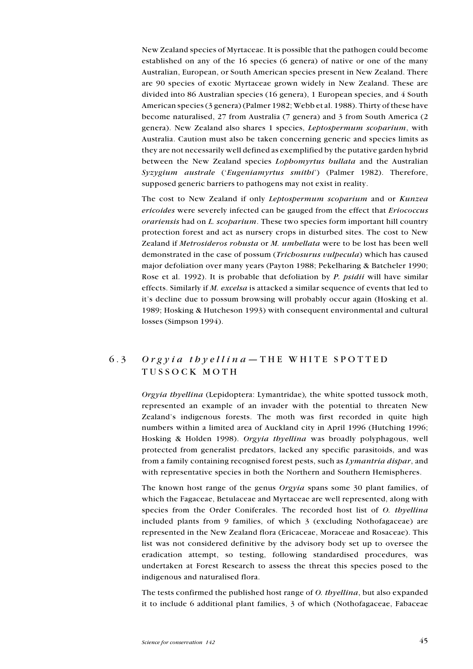New Zealand species of Myrtaceae. It is possible that the pathogen could become established on any of the 16 species (6 genera) of native or one of the many Australian, European, or South American species present in New Zealand. There are 90 species of exotic Myrtaceae grown widely in New Zealand. These are divided into 86 Australian species (16 genera), 1 European species, and 4 South American species (3 genera) (Palmer 1982; Webb et al. 1988). Thirty of these have become naturalised, 27 from Australia (7 genera) and 3 from South America (2 genera). New Zealand also shares 1 species, Leptospermum scoparium, with Australia. Caution must also be taken concerning generic and species limits as they are not necessarily well defined as exemplified by the putative garden hybrid between the New Zealand species Lophomyrtus bullata and the Australian Syzygium australe ('Eugeniamyrtus smithi') (Palmer 1982). Therefore, supposed generic barriers to pathogens may not exist in reality.

The cost to New Zealand if only Leptospermum scoparium and or Kunzea ericoides were severely infected can be gauged from the effect that Eriococcus orariensis had on L. scoparium. These two species form important hill country protection forest and act as nursery crops in disturbed sites. The cost to New Zealand if Metrosideros robusta or M. umbellata were to be lost has been well demonstrated in the case of possum (Trichosurus vulpecula) which has caused major defoliation over many years (Payton 1988; Pekelharing & Batcheler 1990; Rose et al. 1992). It is probable that defoliation by P. psidii will have similar effects. Similarly if M. excelsa is attacked a similar sequence of events that led to it's decline due to possum browsing will probably occur again (Hosking et al. 1989; Hosking & Hutcheson 1993) with consequent environmental and cultural losses (Simpson 1994).

## 6.3 Orgyia thyellina  $-$  THE WHITE SPOTTED TUSSOCK MOTH

Orgyia thyellina (Lepidoptera: Lymantridae), the white spotted tussock moth, represented an example of an invader with the potential to threaten New Zealand's indigenous forests. The moth was first recorded in quite high numbers within a limited area of Auckland city in April 1996 (Hutching 1996; Hosking & Holden 1998). Orgyia thyellina was broadly polyphagous, well protected from generalist predators, lacked any specific parasitoids, and was from a family containing recognised forest pests, such as  $Lyman trial$  dispar, and with representative species in both the Northern and Southern Hemispheres.

The known host range of the genus Orgyia spans some 30 plant families, of which the Fagaceae, Betulaceae and Myrtaceae are well represented, along with species from the Order Coniferales. The recorded host list of O. thyellina included plants from 9 families, of which 3 (excluding Nothofagaceae) are represented in the New Zealand flora (Ericaceae, Moraceae and Rosaceae). This list was not considered definitive by the advisory body set up to oversee the eradication attempt, so testing, following standardised procedures, was undertaken at Forest Research to assess the threat this species posed to the indigenous and naturalised flora.

The tests confirmed the published host range of O. thyellina, but also expanded it to include 6 additional plant families, 3 of which (Nothofagaceae, Fabaceae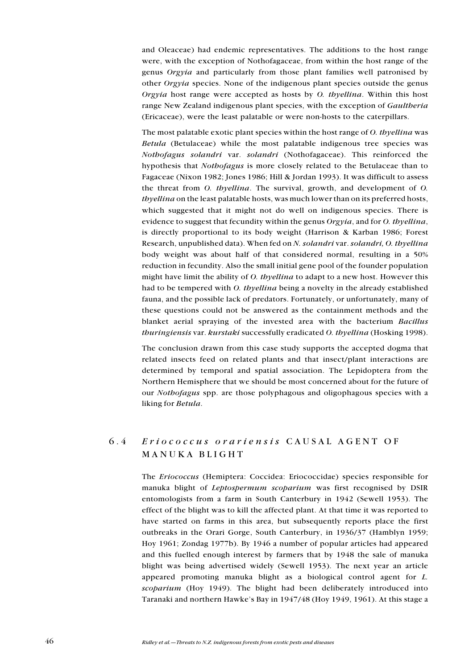and Oleaceae) had endemic representatives. The additions to the host range were, with the exception of Nothofagaceae, from within the host range of the genus Orgyia and particularly from those plant families well patronised by other Orgyia species. None of the indigenous plant species outside the genus Orgyia host range were accepted as hosts by O. thyellina. Within this host range New Zealand indigenous plant species, with the exception of *Gaultheria* (Ericaceae), were the least palatable or were non-hosts to the caterpillars.

The most palatable exotic plant species within the host range of O. thyellina was Betula (Betulaceae) while the most palatable indigenous tree species was Nothofagus solandri var. solandri (Nothofagaceae). This reinforced the hypothesis that Nothofagus is more closely related to the Betulaceae than to Fagaceae (Nixon 1982; Jones 1986; Hill & Jordan 1993). It was difficult to assess the threat from O. thyellina. The survival, growth, and development of O. thyellina on the least palatable hosts, was much lower than on its preferred hosts, which suggested that it might not do well on indigenous species. There is evidence to suggest that fecundity within the genus Orgyia, and for O. thyellina, is directly proportional to its body weight (Harrison & Karban 1986; Forest Research, unpublished data). When fed on N. solandri var. solandri, O. thyellina body weight was about half of that considered normal, resulting in a 50% reduction in fecundity. Also the small initial gene pool of the founder population might have limit the ability of *O. thyellina* to adapt to a new host. However this had to be tempered with *O. thyellina* being a novelty in the already established fauna, and the possible lack of predators. Fortunately, or unfortunately, many of these questions could not be answered as the containment methods and the blanket aerial spraying of the invested area with the bacterium Bacillus thuringiensis var. kurstaki successfully eradicated O. thyellina (Hosking 1998).

The conclusion drawn from this case study supports the accepted dogma that related insects feed on related plants and that insect/plant interactions are determined by temporal and spatial association. The Lepidoptera from the Northern Hemisphere that we should be most concerned about for the future of our Nothofagus spp. are those polyphagous and oligophagous species with a liking for Betula.

# 6.4 Eriococcus orariensis CAUSAL AGENT OF MANUKA BLIGHT

The Eriococcus (Hemiptera: Coccidea: Eriococcidae) species responsible for manuka blight of Leptospermum scoparium was first recognised by DSIR entomologists from a farm in South Canterbury in 1942 (Sewell 1953). The effect of the blight was to kill the affected plant. At that time it was reported to have started on farms in this area, but subsequently reports place the first outbreaks in the Orari Gorge, South Canterbury, in 1936/37 (Hamblyn 1959; Hoy 1961; Zondag 1977b). By 1946 a number of popular articles had appeared and this fuelled enough interest by farmers that by 1948 the sale of manuka blight was being advertised widely (Sewell 1953). The next year an article appeared promoting manuka blight as a biological control agent for L. scoparium (Hoy 1949). The blight had been deliberately introduced into Taranaki and northern Hawke's Bay in  $1947/48$  (Hoy 1949, 1961). At this stage a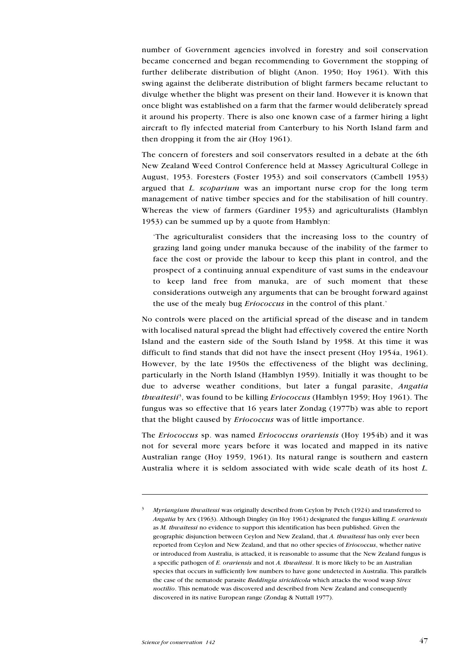number of Government agencies involved in forestry and soil conservation became concerned and began recommending to Government the stopping of further deliberate distribution of blight (Anon. 1950; Hoy 1961). With this swing against the deliberate distribution of blight farmers became reluctant to divulge whether the blight was present on their land. However it is known that once blight was established on a farm that the farmer would deliberately spread it around his property. There is also one known case of a farmer hiring a light aircraft to fly infected material from Canterbury to his North Island farm and then dropping it from the air (Hoy 1961).

The concern of foresters and soil conservators resulted in a debate at the 6th New Zealand Weed Control Conference held at Massey Agricultural College in August, 1953. Foresters (Foster 1953) and soil conservators (Cambell 1953) argued that L. scoparium was an important nurse crop for the long term management of native timber species and for the stabilisation of hill country. Whereas the view of farmers (Gardiner 1953) and agriculturalists (Hamblyn 1953) can be summed up by a quote from Hamblyn:

The agriculturalist considers that the increasing loss to the country of grazing land going under manuka because of the inability of the farmer to face the cost or provide the labour to keep this plant in control, and the prospect of a continuing annual expenditure of vast sums in the endeavour to keep land free from manuka, are of such moment that these considerations outweigh any arguments that can be brought forward against the use of the mealy bug *Eriococcus* in the control of this plant.'

No controls were placed on the artificial spread of the disease and in tandem with localised natural spread the blight had effectively covered the entire North Island and the eastern side of the South Island by 1958. At this time it was difficult to find stands that did not have the insect present (Hoy 1954a, 1961). However, by the late 1950s the effectiveness of the blight was declining, particularly in the North Island (Hamblyn 1959). Initially it was thought to be due to adverse weather conditions, but later a fungal parasite, Angatia thwaitesii<sup>3</sup>, was found to be killing *Eriococcus* (Hamblyn 1959; Hoy 1961). The fungus was so effective that 16 years later Zondag (1977b) was able to report that the blight caused by Eriococcus was of little importance.

The Eriococcus sp. was named Eriococcus orariensis (Hoy 1954b) and it was not for several more years before it was located and mapped in its native Australian range (Hoy 1959, 1961). Its natural range is southern and eastern Australia where it is seldom associated with wide scale death of its host L.

 $3$  Myriangium thwaitessi was originally described from Ceylon by Petch (1924) and transferred to Angatia by Arx (1963). Although Dingley (in Hoy 1961) designated the fungus killing E. orariensis as M. thwaitessi no evidence to support this identification has been published. Given the geographic disjunction between Ceylon and New Zealand, that A. thwaitessi has only ever been reported from Ceylon and New Zealand, and that no other species of Eriococcus, whether native or introduced from Australia, is attacked, it is reasonable to assume that the New Zealand fungus is a specific pathogen of E. orariensis and not A. thwaitessi. It is more likely to be an Australian species that occurs in sufficiently low numbers to have gone undetected in Australia. This parallels the case of the nematode parasite *Beddingia siricidicola* which attacks the wood wasp *Sirex* noctilio. This nematode was discovered and described from New Zealand and consequently discovered in its native European range (Zondag & Nuttall 1977).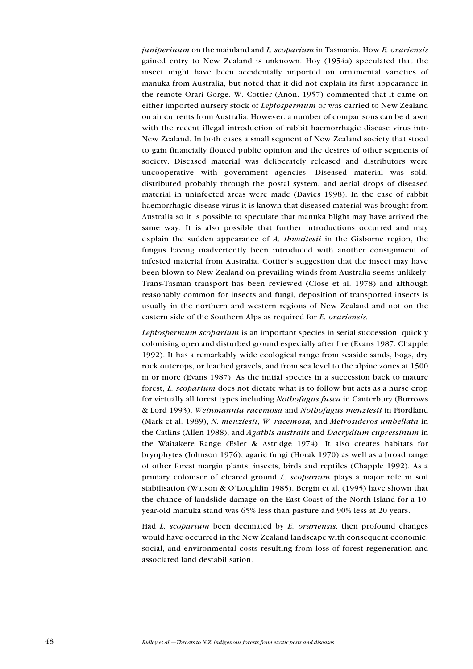$j$ uniperinum on the mainland and  $L$ , scoparium in Tasmania. How  $E$ , orariensis gained entry to New Zealand is unknown. Hoy (1954a) speculated that the insect might have been accidentally imported on ornamental varieties of manuka from Australia, but noted that it did not explain its first appearance in the remote Orari Gorge. W. Cottier (Anon. 1957) commented that it came on either imported nursery stock of Leptospermum or was carried to New Zealand on air currents from Australia. However, a number of comparisons can be drawn with the recent illegal introduction of rabbit haemorrhagic disease virus into New Zealand. In both cases a small segment of New Zealand society that stood to gain financially flouted public opinion and the desires of other segments of society. Diseased material was deliberately released and distributors were uncooperative with government agencies. Diseased material was sold, distributed probably through the postal system, and aerial drops of diseased material in uninfected areas were made (Davies 1998). In the case of rabbit haemorrhagic disease virus it is known that diseased material was brought from Australia so it is possible to speculate that manuka blight may have arrived the same way. It is also possible that further introductions occurred and may explain the sudden appearance of A. thwaitesii in the Gisborne region, the fungus having inadvertently been introduced with another consignment of infested material from Australia. Cottier's suggestion that the insect may have been blown to New Zealand on prevailing winds from Australia seems unlikely. Trans-Tasman transport has been reviewed (Close et al. 1978) and although reasonably common for insects and fungi, deposition of transported insects is usually in the northern and western regions of New Zealand and not on the eastern side of the Southern Alps as required for E. orariensis.

Leptospermum scoparium is an important species in serial succession, quickly colonising open and disturbed ground especially after fire (Evans 1987; Chapple 1992). It has a remarkably wide ecological range from seaside sands, bogs, dry rock outcrops, or leached gravels, and from sea level to the alpine zones at 1500 m or more (Evans 1987). As the initial species in a succession back to mature forest, L. scoparium does not dictate what is to follow but acts as a nurse crop for virtually all forest types including Nothofagus fusca in Canterbury (Burrows & Lord 1993), Weinmannia racemosa and Nothofagus menziesii in Fiordland (Mark et al. 1989), N. menziesii, W. racemosa, and Metrosideros umbellata in the Catlins (Allen 1988), and Agathis australis and Dacrydium cupressinum in the Waitakere Range (Esler & Astridge 1974). It also creates habitats for bryophytes (Johnson 1976), agaric fungi (Horak 1970) as well as a broad range of other forest margin plants, insects, birds and reptiles (Chapple 1992). As a primary coloniser of cleared ground L. scoparium plays a major role in soil stabilisation (Watson & O'Loughlin 1985). Bergin et al. (1995) have shown that the chance of landslide damage on the East Coast of the North Island for a 10 year-old manuka stand was 65% less than pasture and 90% less at 20 years.

Had  $L$ . scoparium been decimated by  $E$ . orariensis, then profound changes would have occurred in the New Zealand landscape with consequent economic, social, and environmental costs resulting from loss of forest regeneration and associated land destabilisation.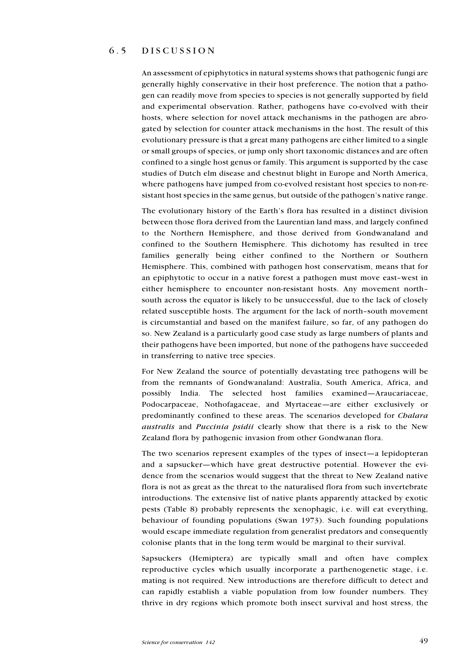## 6.5 DISCUSSION

An assessment of epiphytotics in natural systems shows that pathogenic fungi are generally highly conservative in their host preference. The notion that a pathogen can readily move from species to species is not generally supported by field and experimental observation. Rather, pathogens have co-evolved with their hosts, where selection for novel attack mechanisms in the pathogen are abrogated by selection for counter attack mechanisms in the host. The result of this evolutionary pressure is that a great many pathogens are either limited to a single or small groups of species, or jump only short taxonomic distances and are often confined to a single host genus or family. This argument is supported by the case studies of Dutch elm disease and chestnut blight in Europe and North America, where pathogens have jumped from co-evolved resistant host species to non-resistant host species in the same genus, but outside of the pathogen's native range.

The evolutionary history of the Earth's flora has resulted in a distinct division between those flora derived from the Laurentian land mass, and largely confined to the Northern Hemisphere, and those derived from Gondwanaland and confined to the Southern Hemisphere. This dichotomy has resulted in tree families generally being either confined to the Northern or Southern Hemisphere. This, combined with pathogen host conservatism, means that for an epiphytotic to occur in a native forest a pathogen must move east-west in either hemisphere to encounter non-resistant hosts. Any movement north south across the equator is likely to be unsuccessful, due to the lack of closely related susceptible hosts. The argument for the lack of north-south movement is circumstantial and based on the manifest failure, so far, of any pathogen do so. New Zealand is a particularly good case study as large numbers of plants and their pathogens have been imported, but none of the pathogens have succeeded in transferring to native tree species.

For New Zealand the source of potentially devastating tree pathogens will be from the remnants of Gondwanaland: Australia, South America, Africa, and possibly India. The selected host families examined—Araucariaceae, Podocarpaceae, Nothofagaceae, and Myrtaceae—are either exclusively or predominantly confined to these areas. The scenarios developed for *Chalara* australis and Puccinia psidii clearly show that there is a risk to the New Zealand flora by pathogenic invasion from other Gondwanan flora.

The two scenarios represent examples of the types of insect—a lepidopteran and a sapsucker-which have great destructive potential. However the evidence from the scenarios would suggest that the threat to New Zealand native flora is not as great as the threat to the naturalised flora from such invertebrate introductions. The extensive list of native plants apparently attacked by exotic pests (Table 8) probably represents the xenophagic, i.e. will eat everything, behaviour of founding populations (Swan 1973). Such founding populations would escape immediate regulation from generalist predators and consequently colonise plants that in the long term would be marginal to their survival.

Sapsuckers (Hemiptera) are typically small and often have complex reproductive cycles which usually incorporate a parthenogenetic stage, i.e. mating is not required. New introductions are therefore difficult to detect and can rapidly establish a viable population from low founder numbers. They thrive in dry regions which promote both insect survival and host stress, the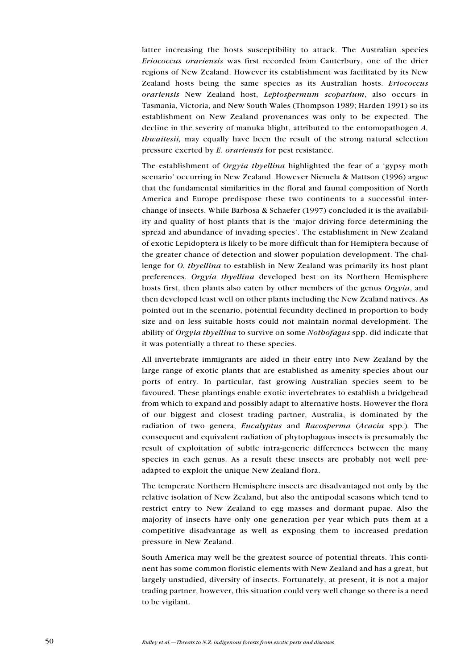latter increasing the hosts susceptibility to attack. The Australian species Eriococcus orariensis was first recorded from Canterbury, one of the drier regions of New Zealand. However its establishment was facilitated by its New Zealand hosts being the same species as its Australian hosts. Eriococcus orariensis New Zealand host, Leptospermum scoparium, also occurs in Tasmania, Victoria, and New South Wales (Thompson 1989; Harden 1991) so its establishment on New Zealand provenances was only to be expected. The decline in the severity of manuka blight, attributed to the entomopathogen A. thwaitesii, may equally have been the result of the strong natural selection pressure exerted by E. orariensis for pest resistance.

The establishment of *Orgyia thyellina* highlighted the fear of a 'gypsy moth scenario' occurring in New Zealand. However Niemela & Mattson (1996) argue that the fundamental similarities in the floral and faunal composition of North America and Europe predispose these two continents to a successful interchange of insects. While Barbosa & Schaefer (1997) concluded it is the availability and quality of host plants that is the 'major driving force determining the spread and abundance of invading species'. The establishment in New Zealand of exotic Lepidoptera is likely to be more difficult than for Hemiptera because of the greater chance of detection and slower population development. The challenge for O. thyellina to establish in New Zealand was primarily its host plant preferences. Orgyia thyellina developed best on its Northern Hemisphere hosts first, then plants also eaten by other members of the genus Orgyia, and then developed least well on other plants including the New Zealand natives. As pointed out in the scenario, potential fecundity declined in proportion to body size and on less suitable hosts could not maintain normal development. The ability of Orgyia thyellina to survive on some Nothofagus spp. did indicate that it was potentially a threat to these species.

All invertebrate immigrants are aided in their entry into New Zealand by the large range of exotic plants that are established as amenity species about our ports of entry. In particular, fast growing Australian species seem to be favoured. These plantings enable exotic invertebrates to establish a bridgehead from which to expand and possibly adapt to alternative hosts. However the flora of our biggest and closest trading partner, Australia, is dominated by the radiation of two genera, Eucalyptus and Racosperma (Acacia spp.). The consequent and equivalent radiation of phytophagous insects is presumably the result of exploitation of subtle intra-generic differences between the many species in each genus. As a result these insects are probably not well preadapted to exploit the unique New Zealand flora.

The temperate Northern Hemisphere insects are disadvantaged not only by the relative isolation of New Zealand, but also the antipodal seasons which tend to restrict entry to New Zealand to egg masses and dormant pupae. Also the majority of insects have only one generation per year which puts them at a competitive disadvantage as well as exposing them to increased predation pressure in New Zealand.

South America may well be the greatest source of potential threats. This continent has some common floristic elements with New Zealand and has a great, but largely unstudied, diversity of insects. Fortunately, at present, it is not a major trading partner, however, this situation could very well change so there is a need to be vigilant.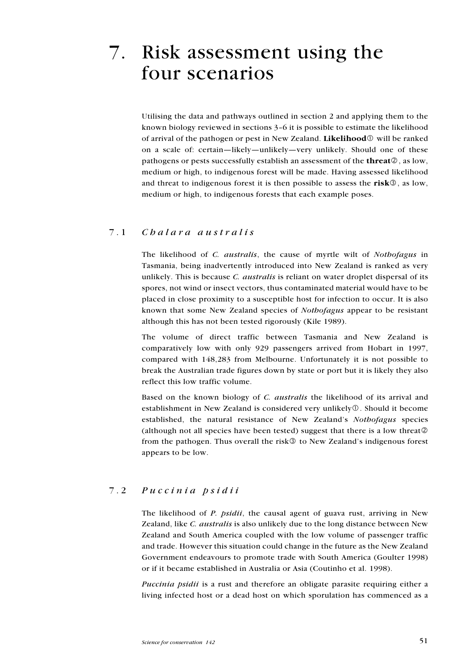# 7. Risk assessment using the four scenarios

Utilising the data and pathways outlined in section 2 and applying them to the known biology reviewed in sections  $3-6$  it is possible to estimate the likelihood of arrival of the pathogen or pest in New Zealand. Likelihood  $\mathbb{O}$  will be ranked on a scale of: certain-likely-unlikely-very unlikely. Should one of these pathogens or pests successfully establish an assessment of the **threat** $\mathcal{D}$ , as low, medium or high, to indigenous forest will be made. Having assessed likelihood and threat to indigenous forest it is then possible to assess the  $risk@$ , as low, medium or high, to indigenous forests that each example poses.

### 7.1 Chalara australis

The likelihood of C. australis, the cause of myrtle wilt of Nothofagus in Tasmania, being inadvertently introduced into New Zealand is ranked as very unlikely. This is because *C. australis* is reliant on water droplet dispersal of its spores, not wind or insect vectors, thus contaminated material would have to be placed in close proximity to a susceptible host for infection to occur. It is also known that some New Zealand species of Nothofagus appear to be resistant although this has not been tested rigorously (Kile 1989).

The volume of direct traffic between Tasmania and New Zealand is comparatively low with only 929 passengers arrived from Hobart in 1997, compared with 148,283 from Melbourne. Unfortunately it is not possible to break the Australian trade figures down by state or port but it is likely they also reflect this low traffic volume.

Based on the known biology of C. australis the likelihood of its arrival and establishment in New Zealand is considered very unlikely $\mathcal{D}$ . Should it become established, the natural resistance of New Zealand's Nothofagus species (although not all species have been tested) suggest that there is a low threat  $\circledcirc$ from the pathogen. Thus overall the risk $\circled{S}$  to New Zealand's indigenous forest appears to be low.

### 7.2 Puccinia psidii

The likelihood of P. psidii, the causal agent of guava rust, arriving in New Zealand, like C. australis is also unlikely due to the long distance between New Zealand and South America coupled with the low volume of passenger traffic and trade. However this situation could change in the future as the New Zealand Government endeavours to promote trade with South America (Goulter 1998) or if it became established in Australia or Asia (Coutinho et al. 1998).

Puccinia psidii is a rust and therefore an obligate parasite requiring either a living infected host or a dead host on which sporulation has commenced as a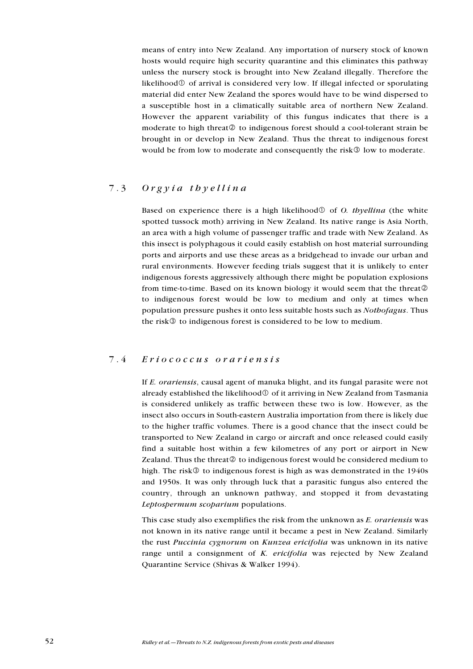means of entry into New Zealand. Any importation of nursery stock of known hosts would require high security quarantine and this eliminates this pathway unless the nursery stock is brought into New Zealand illegally. Therefore the likelihood $\mathbb O$  of arrival is considered very low. If illegal infected or sporulating material did enter New Zealand the spores would have to be wind dispersed to a susceptible host in a climatically suitable area of northern New Zealand. However the apparent variability of this fungus indicates that there is a moderate to high threat  $\circledcirc$  to indigenous forest should a cool-tolerant strain be brought in or develop in New Zealand. Thus the threat to indigenous forest would be from low to moderate and consequently the risk $\circled{a}$  low to moderate.

## 7.3 Orgyia thyellina

Based on experience there is a high likelihood  $\mathcal{O}$  of  $\mathcal{O}$ . the unit delta white spotted tussock moth) arriving in New Zealand. Its native range is Asia North, an area with a high volume of passenger traffic and trade with New Zealand. As this insect is polyphagous it could easily establish on host material surrounding ports and airports and use these areas as a bridgehead to invade our urban and rural environments. However feeding trials suggest that it is unlikely to enter indigenous forests aggressively although there might be population explosions from time-to-time. Based on its known biology it would seem that the threat to indigenous forest would be low to medium and only at times when population pressure pushes it onto less suitable hosts such as Nothofagus. Thus the risk<sup> $\circled{3}$ </sup> to indigenous forest is considered to be low to medium.

#### 7.4 Eriococcus orariensis

If E. orariensis, causal agent of manuka blight, and its fungal parasite were not already established the likelihood $\mathcal D$  of it arriving in New Zealand from Tasmania is considered unlikely as traffic between these two is low. However, as the insect also occurs in South-eastern Australia importation from there is likely due to the higher traffic volumes. There is a good chance that the insect could be transported to New Zealand in cargo or aircraft and once released could easily find a suitable host within a few kilometres of any port or airport in New Zealand. Thus the threat  $\oslash$  to indigenous forest would be considered medium to high. The risk $\circled{3}$  to indigenous forest is high as was demonstrated in the 1940s and 1950s. It was only through luck that a parasitic fungus also entered the country, through an unknown pathway, and stopped it from devastating Leptospermum scoparium populations.

This case study also exemplifies the risk from the unknown as E. orariensis was not known in its native range until it became a pest in New Zealand. Similarly the rust Puccinia cygnorum on Kunzea ericifolia was unknown in its native range until a consignment of K. ericifolia was rejected by New Zealand Quarantine Service (Shivas & Walker 1994).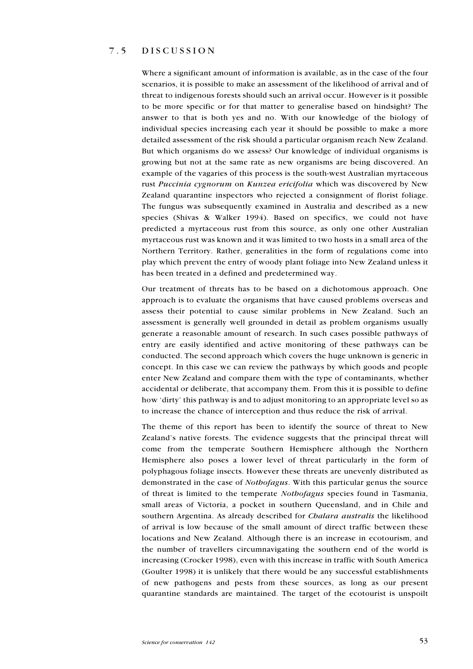### 7.5 DISCUSSION

Where a significant amount of information is available, as in the case of the four scenarios, it is possible to make an assessment of the likelihood of arrival and of threat to indigenous forests should such an arrival occur. However is it possible to be more specific or for that matter to generalise based on hindsight? The answer to that is both yes and no. With our knowledge of the biology of individual species increasing each year it should be possible to make a more detailed assessment of the risk should a particular organism reach New Zealand. But which organisms do we assess? Our knowledge of individual organisms is growing but not at the same rate as new organisms are being discovered. An example of the vagaries of this process is the south-west Australian myrtaceous rust Puccinia cygnorum on Kunzea ericifolia which was discovered by New Zealand quarantine inspectors who rejected a consignment of florist foliage. The fungus was subsequently examined in Australia and described as a new species (Shivas & Walker 1994). Based on specifics, we could not have predicted a myrtaceous rust from this source, as only one other Australian myrtaceous rust was known and it was limited to two hosts in a small area of the Northern Territory. Rather, generalities in the form of regulations come into play which prevent the entry of woody plant foliage into New Zealand unless it has been treated in a defined and predetermined way.

Our treatment of threats has to be based on a dichotomous approach. One approach is to evaluate the organisms that have caused problems overseas and assess their potential to cause similar problems in New Zealand. Such an assessment is generally well grounded in detail as problem organisms usually generate a reasonable amount of research. In such cases possible pathways of entry are easily identified and active monitoring of these pathways can be conducted. The second approach which covers the huge unknown is generic in concept. In this case we can review the pathways by which goods and people enter New Zealand and compare them with the type of contaminants, whether accidental or deliberate, that accompany them. From this it is possible to define how 'dirty' this pathway is and to adjust monitoring to an appropriate level so as to increase the chance of interception and thus reduce the risk of arrival.

The theme of this report has been to identify the source of threat to New Zealand's native forests. The evidence suggests that the principal threat will come from the temperate Southern Hemisphere although the Northern Hemisphere also poses a lower level of threat particularly in the form of polyphagous foliage insects. However these threats are unevenly distributed as demonstrated in the case of Nothofagus. With this particular genus the source of threat is limited to the temperate Nothofagus species found in Tasmania, small areas of Victoria, a pocket in southern Queensland, and in Chile and southern Argentina. As already described for *Chalara australis* the likelihood of arrival is low because of the small amount of direct traffic between these locations and New Zealand. Although there is an increase in ecotourism, and the number of travellers circumnavigating the southern end of the world is increasing (Crocker 1998), even with this increase in traffic with South America (Goulter 1998) it is unlikely that there would be any successful establishments of new pathogens and pests from these sources, as long as our present quarantine standards are maintained. The target of the ecotourist is unspoilt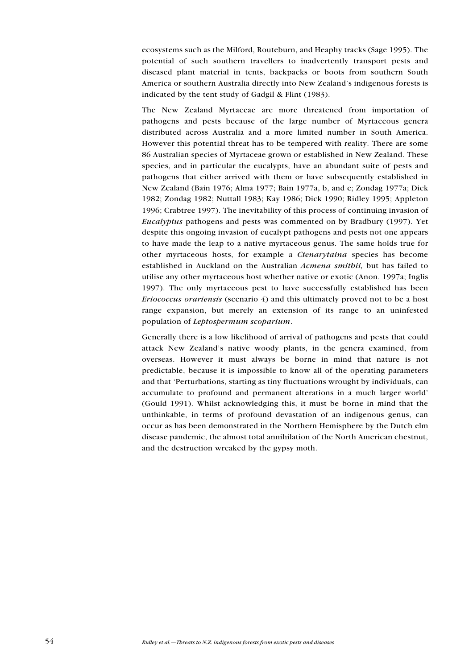ecosystems such as the Milford, Routeburn, and Heaphy tracks (Sage 1995). The potential of such southern travellers to inadvertently transport pests and diseased plant material in tents, backpacks or boots from southern South America or southern Australia directly into New Zealand's indigenous forests is indicated by the tent study of Gadgil & Flint (1983).

The New Zealand Myrtaceae are more threatened from importation of pathogens and pests because of the large number of Myrtaceous genera distributed across Australia and a more limited number in South America. However this potential threat has to be tempered with reality. There are some 86 Australian species of Myrtaceae grown or established in New Zealand. These species, and in particular the eucalypts, have an abundant suite of pests and pathogens that either arrived with them or have subsequently established in New Zealand (Bain 1976; Alma 1977; Bain 1977a, b, and c; Zondag 1977a; Dick 1982; Zondag 1982; Nuttall 1983; Kay 1986; Dick 1990; Ridley 1995; Appleton 1996; Crabtree 1997). The inevitability of this process of continuing invasion of Eucalyptus pathogens and pests was commented on by Bradbury (1997). Yet despite this ongoing invasion of eucalypt pathogens and pests not one appears to have made the leap to a native myrtaceous genus. The same holds true for other myrtaceous hosts, for example a Ctenarytaina species has become established in Auckland on the Australian *Acmena smithii*, but has failed to utilise any other myrtaceous host whether native or exotic (Anon. 1997a; Inglis 1997). The only myrtaceous pest to have successfully established has been Eriococcus orariensis (scenario 4) and this ultimately proved not to be a host range expansion, but merely an extension of its range to an uninfested population of Leptospermum scoparium.

Generally there is a low likelihood of arrival of pathogens and pests that could attack New Zealand's native woody plants, in the genera examined, from overseas. However it must always be borne in mind that nature is not predictable, because it is impossible to know all of the operating parameters and that Perturbations, starting as tiny fluctuations wrought by individuals, can accumulate to profound and permanent alterations in a much larger world (Gould 1991). Whilst acknowledging this, it must be borne in mind that the unthinkable, in terms of profound devastation of an indigenous genus, can occur as has been demonstrated in the Northern Hemisphere by the Dutch elm disease pandemic, the almost total annihilation of the North American chestnut, and the destruction wreaked by the gypsy moth.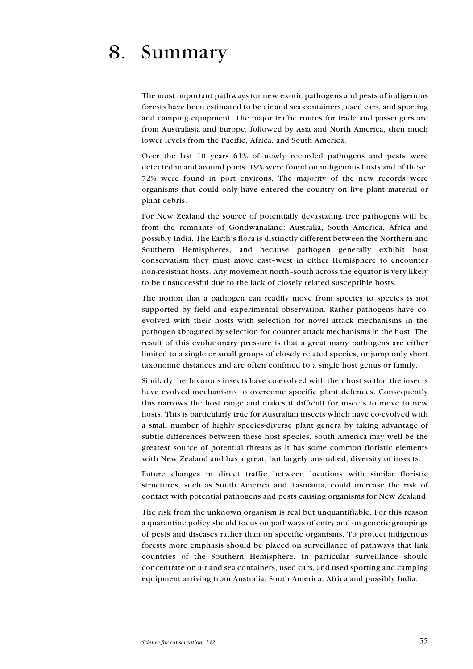# 8. Summary

The most important pathways for new exotic pathogens and pests of indigenous forests have been estimated to be air and sea containers, used cars, and sporting and camping equipment. The major traffic routes for trade and passengers are from Australasia and Europe, followed by Asia and North America, then much lower levels from the Pacific, Africa, and South America.

Over the last 10 years 61% of newly recorded pathogens and pests were detected in and around ports. 19% were found on indigenous hosts and of these, 72% were found in port environs. The majority of the new records were organisms that could only have entered the country on live plant material or plant debris.

For New Zealand the source of potentially devastating tree pathogens will be from the remnants of Gondwanaland: Australia, South America, Africa and possibly India. The Earth's flora is distinctly different between the Northern and Southern Hemispheres, and because pathogen generally exhibit host conservatism they must move east-west in either Hemisphere to encounter non-resistant hosts. Any movement north-south across the equator is very likely to be unsuccessful due to the lack of closely related susceptible hosts.

The notion that a pathogen can readily move from species to species is not supported by field and experimental observation. Rather pathogens have coevolved with their hosts with selection for novel attack mechanisms in the pathogen abrogated by selection for counter attack mechanisms in the host. The result of this evolutionary pressure is that a great many pathogens are either limited to a single or small groups of closely related species, or jump only short taxonomic distances and are often confined to a single host genus or family.

Similarly, herbivorous insects have co-evolved with their host so that the insects have evolved mechanisms to overcome specific plant defences. Consequently this narrows the host range and makes it difficult for insects to move to new hosts. This is particularly true for Australian insects which have co-evolved with a small number of highly species-diverse plant genera by taking advantage of subtle differences between these host species. South America may well be the greatest source of potential threats as it has some common floristic elements with New Zealand and has a great, but largely unstudied, diversity of insects.

Future changes in direct traffic between locations with similar floristic structures, such as South America and Tasmania, could increase the risk of contact with potential pathogens and pests causing organisms for New Zealand.

The risk from the unknown organism is real but unquantifiable. For this reason a quarantine policy should focus on pathways of entry and on generic groupings of pests and diseases rather than on specific organisms. To protect indigenous forests more emphasis should be placed on surveillance of pathways that link countries of the Southern Hemisphere. In particular surveillance should concentrate on air and sea containers, used cars, and used sporting and camping equipment arriving from Australia, South America, Africa and possibly India.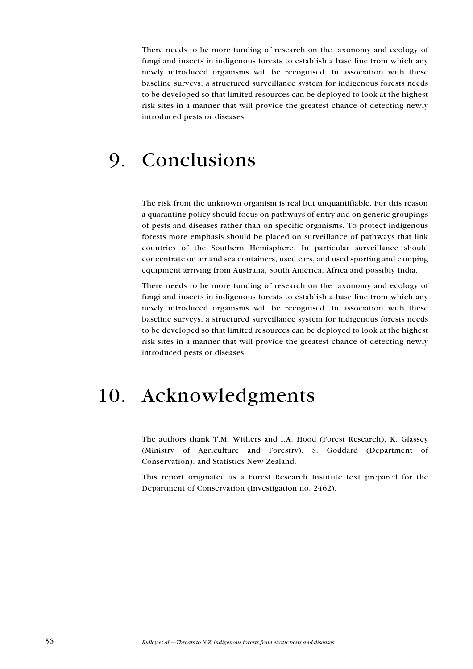There needs to be more funding of research on the taxonomy and ecology of fungi and insects in indigenous forests to establish a base line from which any newly introduced organisms will be recognised. In association with these baseline surveys, a structured surveillance system for indigenous forests needs to be developed so that limited resources can be deployed to look at the highest risk sites in a manner that will provide the greatest chance of detecting newly introduced pests or diseases.

# 9. Conclusions

The risk from the unknown organism is real but unquantifiable. For this reason a quarantine policy should focus on pathways of entry and on generic groupings of pests and diseases rather than on specific organisms. To protect indigenous forests more emphasis should be placed on surveillance of pathways that link countries of the Southern Hemisphere. In particular surveillance should concentrate on air and sea containers, used cars, and used sporting and camping equipment arriving from Australia, South America, Africa and possibly India.

There needs to be more funding of research on the taxonomy and ecology of fungi and insects in indigenous forests to establish a base line from which any newly introduced organisms will be recognised. In association with these baseline surveys, a structured surveillance system for indigenous forests needs to be developed so that limited resources can be deployed to look at the highest risk sites in a manner that will provide the greatest chance of detecting newly introduced pests or diseases.

# 10. Acknowledgments

The authors thank T.M. Withers and I.A. Hood (Forest Research), K. Glassey (Ministry of Agriculture and Forestry), S. Goddard (Department of Conservation), and Statistics New Zealand.

This report originated as a Forest Research Institute text prepared for the Department of Conservation (Investigation no. 2462).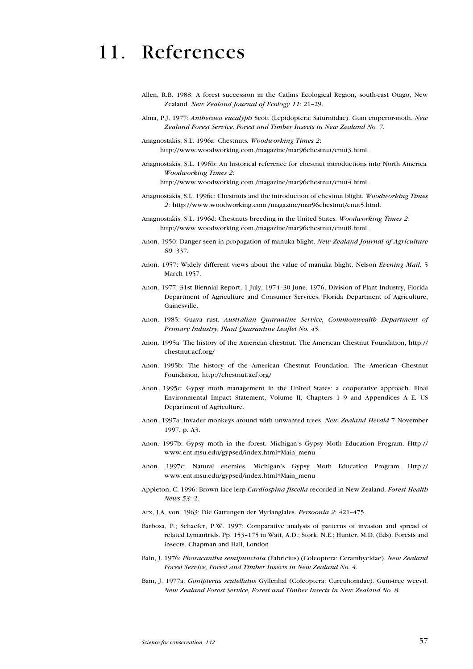# 11. References

- Allen, R.B. 1988: A forest succession in the Catlins Ecological Region, south-east Otago, New Zealand. New Zealand Journal of Ecology 11: 21-29.
- Alma, P.J. 1977: Antheraea eucalypti Scott (Lepidoptera: Saturniidae). Gum emperor-moth. New Zealand Forest Service, Forest and Timber Insects in New Zealand No. 7.
- Anagnostakis, S.L. 1996a: Chestnuts. Woodworking Times 2: http://www.woodworking.com./magazine/mar96chestnut/cnut3.html.
- Anagnostakis, S.L. 1996b: An historical reference for chestnut introductions into North America. Woodworking Times 2:

http://www.woodworking.com./magazine/mar96chestnut/cnut4.html.

- Anagnostakis, S.L. 1996c: Chestnuts and the introduction of chestnut blight. Woodworking Times 2: http://www.woodworking.com./magazine/mar96chestnut/cnut5.html.
- Anagnostakis, S.L. 1996d: Chestnuts breeding in the United States. Woodworking Times 2: http://www.woodworking.com./magazine/mar96chestnut/cnut8.html.
- Anon. 1950: Danger seen in propagation of manuka blight. New Zealand Journal of Agriculture 80: 337.
- Anon. 1957: Widely different views about the value of manuka blight. Nelson Evening Mail, 5 March 1957.
- Anon. 1977: 31st Biennial Report, 1 July, 1974-30 June, 1976, Division of Plant Industry, Florida Department of Agriculture and Consumer Services. Florida Department of Agriculture, Gainesville.
- Anon. 1985: Guava rust. Australian Quarantine Service, Commonwealth Department of Primary Industry, Plant Quarantine Leaflet No. 45.
- Anon. 1995a: The history of the American chestnut. The American Chestnut Foundation, http:// chestnut.acf.org/
- Anon. 1995b: The history of the American Chestnut Foundation. The American Chestnut Foundation, http://chestnut.acf.org/
- Anon. 1995c: Gypsy moth management in the United States: a cooperative approach. Final Environmental Impact Statement, Volume II, Chapters 1-9 and Appendices A-E. US Department of Agriculture.
- Anon. 1997a: Invader monkeys around with unwanted trees. New Zealand Herald 7 November 1997, p. A3.
- Anon. 1997b: Gypsy moth in the forest. Michigan's Gypsy Moth Education Program. Http:// www.ent.msu.edu/gypsed/index.html#Main\_menu
- Anon. 1997c: Natural enemies. Michigan's Gypsy Moth Education Program. Http:// www.ent.msu.edu/gypsed/index.html#Main\_menu
- Appleton, C. 1996: Brown lace lerp Cardiospina fiscella recorded in New Zealand. Forest Health News 53: 2.
- Arx, J.A. von. 1963: Die Gattungen der Myriangiales. Persoonia 2: 421-475.
- Barbosa, P.; Schaefer, P.W. 1997: Comparative analysis of patterns of invasion and spread of related Lymantrids. Pp. 153-175 in Watt, A.D.; Stork, N.E.; Hunter, M.D. (Eds). Forests and insects. Chapman and Hall, London
- Bain, J. 1976: Phoracantha semipunctata (Fabricius) (Coleoptera: Cerambycidae). New Zealand Forest Service, Forest and Timber Insects in New Zealand No. 4.
- Bain, J. 1977a: Gonipterus scutellatus Gyllenhal (Coleoptera: Curculionidae). Gum-tree weevil. New Zealand Forest Service, Forest and Timber Insects in New Zealand No. 8.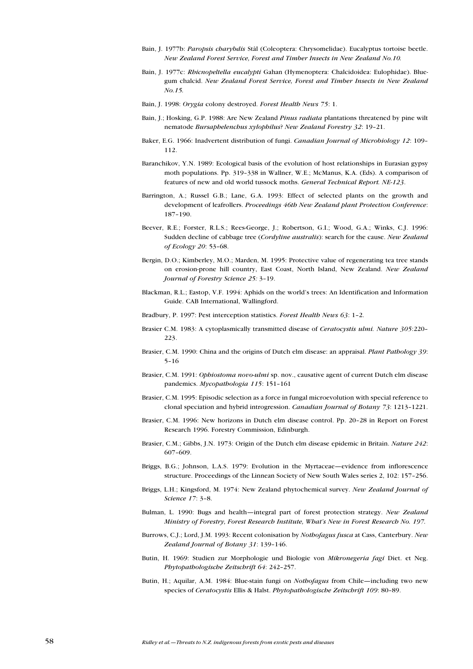- Bain, J. 1977b: Paropsis charybdis Stål (Coleoptera: Chrysomelidae). Eucalyptus tortoise beetle. New Zealand Forest Service, Forest and Timber Insects in New Zealand No.10.
- Bain, J. 1977c: Rhicnopeltella eucalypti Gahan (Hymenoptera: Chalcidoidea: Eulophidae). Bluegum chalcid. New Zealand Forest Service, Forest and Timber Insects in New Zealand No.15.
- Bain, J. 1998: Orygia colony destroyed. Forest Health News 75: 1.
- Bain, J.; Hosking, G.P. 1988: Are New Zealand *Pinus radiata* plantations threatened by pine wilt nematode Bursaphelenchus xylophilus? New Zealand Forestry 32: 19-21.
- Baker, E.G. 1966: Inadvertent distribution of fungi. Canadian Journal of Microbiology 12: 109 112.
- Baranchikov, Y.N. 1989: Ecological basis of the evolution of host relationships in Eurasian gypsy moth populations. Pp. 319-338 in Wallner, W.E.; McManus, K.A. (Eds). A comparison of features of new and old world tussock moths. General Technical Report. NE-123.
- Barrington, A.; Russel G.B.; Lane, G.A. 1993: Effect of selected plants on the growth and development of leafrollers. Proceedings 46th New Zealand plant Protection Conference: 187-190.
- Beever, R.E.; Forster, R.L.S.; Rees-George, J.; Robertson, G.I.; Wood, G.A.; Winks, C.J. 1996: Sudden decline of cabbage tree (Cordyline australis): search for the cause. New Zealand of Ecology 20: 53-68.
- Bergin, D.O.; Kimberley, M.O.; Marden, M. 1995: Protective value of regenerating tea tree stands on erosion-prone hill country, East Coast, North Island, New Zealand. New Zealand Journal of Forestry Science 25: 3-19.
- Blackman, R.L.; Eastop, V.F. 1994; Aphids on the world's trees: An Identification and Information Guide. CAB International, Wallingford.
- Bradbury, P. 1997: Pest interception statistics. Forest Health News 63: 1-2.
- Brasier C.M. 1983: A cytoplasmically transmitted disease of Ceratocystis ulmi. Nature 305:220-223.
- Brasier, C.M. 1990: China and the origins of Dutch elm disease: an appraisal. Plant Pathology 39:  $5 - 16$
- Brasier, C.M. 1991: Ophiostoma novo-ulmi sp. nov., causative agent of current Dutch elm disease pandemics. Mycopathologia 115: 151-161
- Brasier, C.M. 1995: Episodic selection as a force in fungal microevolution with special reference to clonal speciation and hybrid introgression. Canadian Journal of Botany 73: 1213-1221.
- Brasier, C.M. 1996: New horizons in Dutch elm disease control. Pp. 20-28 in Report on Forest Research 1996. Forestry Commission, Edinburgh.
- Brasier, C.M.; Gibbs, J.N. 1973: Origin of the Dutch elm disease epidemic in Britain. Nature 242: 607-609.
- Briggs, B.G.; Johnson, L.A.S. 1979: Evolution in the Myrtaceae—evidence from inflorescence structure. Proceedings of the Linnean Society of New South Wales series 2, 102: 157-256.
- Briggs, L.H.; Kingsford, M. 1974: New Zealand phytochemical survey. New Zealand Journal of Science 17: 3-8.
- Bulman, L. 1990: Bugs and health-integral part of forest protection strategy. New Zealand Ministry of Forestry, Forest Research Institute, What's New in Forest Research No. 197.
- Burrows, C.J.; Lord, J.M. 1993: Recent colonisation by Nothofagus fusca at Cass, Canterbury. New Zealand Journal of Botany 31: 139-146.
- Butin, H. 1969: Studien zur Morphologie und Biologie von Mikronegeria fagi Diet. et Neg. Phytopathologische Zeitschrift 64: 242-257.
- Butin, H.; Aquilar, A.M. 1984: Blue-stain fungi on *Nothofagus* from Chile-including two new species of Ceratocystis Ellis & Halst. Phytopathologische Zeitschrift 109: 80-89.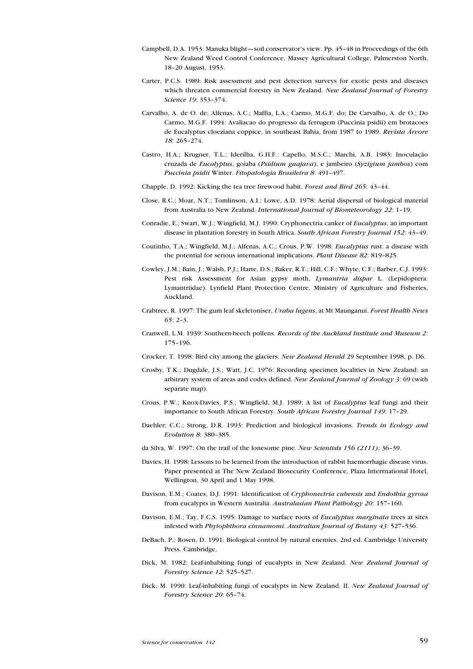- Campbell, D.A. 1953: Manuka blight—soil conservator's view. Pp. 45-48 in Proceedings of the 6th New Zealand Weed Control Conference, Massey Agricultural College, Palmerston North, 1820 August, 1953.
- Carter, P.C.S. 1989: Risk assessment and pest detection surveys for exotic pests and diseases which threaten commercial forestry in New Zealand. New Zealand Journal of Forestry Science 19: 353-374.
- Carvalho, A. de O. de; Alfenas, A.C.; Maffia, L.A.; Carmo, M.G.F. do; De Carvalho, A. de O.; Do Carmo, M.G.F. 1994: Avaliacao do progresso da ferrugem (Puccinia psidii) em brotacoes de Eucalyptus cloeziana coppice, in southeast Bahia, from 1987 to 1989. Revista Árvore 18: 265274.
- Castro, H.A.; Krugner, T.L.; Iderilha, G.H.F.: Capello, M.S.C.; Marchi, A.B. 1983: Inoculação cruzada de Eucalyptus, goiaba (Psidium guajava), e jambeiro (Syzigium jambos) com Puccinia psidii Winter. Fitopatologia Brasileira 8: 491-497.
- Chapple, D. 1992: Kicking the tea tree firewood habit. Forest and Bird 265: 43-44.
- Close, R.C.; Moar, N.T.; Tomlinson, A.I.; Lowe, A.D. 1978: Aerial dispersal of biological material from Australia to New Zealand. International Journal of Biometeorology 22: 1-19.
- Conradie, E.; Swart, W.J.; Wingfield, M.J. 1990: Cryphonectria canker of Eucalyptus, an important disease in plantation forestry in South Africa. South African Forestry Journal 152: 43-49.
- Coutinho, T.A.; Wingfield, M.J.; Alfenas, A.C.; Crous, P.W. 1998: Eucalyptus rust: a disease with the potential for serious international implications. Plant Disease 82: 819-825.
- Cowley, J.M.; Bain, J.; Walsh, P.J.; Harte, D.S.; Baker, R.T.; Hill, C.F.; Whyte, C.F.; Barber, C.J. 1993: Pest risk Assessment for Asian gypsy moth, Lymantria dispar L. (Lepidoptera: Lymantriidae). Lynfield Plant Protection Centre, Ministry of Agriculture and Fisheries, Auckland.
- Crabtree, R. 1997: The gum leaf skeletoniser, Uraba lugens, at Mt Maunganui. Forest Health News  $65: 2-3.$
- Cranwell, L.M. 1939: Southern-beech pollens. Records of the Auckland Institute and Museum 2: 175-196.
- Crocker, T. 1998: Bird city among the glaciers. New Zealand Herald 29 September 1998, p. D6.
- Crosby, T.K.; Dugdale, J.S.; Watt, J.C. 1976: Recording specimen localities in New Zealand: an arbitrary system of areas and codes defined. New Zealand Journal of Zoology 3: 69 (with separate map).
- Crous, P.W.; Knox-Davies, P.S.; Wingfield, M.J. 1989: A list of Eucalyptus leaf fungi and their importance to South African Forestry. South African Forestry Journal 149: 17-29.
- Daehler; C.C.; Strong, D.R. 1993: Prediction and biological invasions. Trends in Ecology and Evolution 8: 380-385.
- da Silva, W. 1997: On the trail of the lonesome pine. New Scientists 156 (2111): 36-39.
- Davies, H. 1998: Lessons to be learned from the introduction of rabbit haemorrhagic disease virus. Paper presented at The New Zealand Biosecurity Conference, Plaza Interrnational Hotel, Wellington, 30 April and 1 May 1998.
- Davison, E.M.; Coates, D.J. 1991: Identification of Cryphonectria cubensis and Endothia gyrosa from eucalypts in Western Australia. Australasian Plant Pathology 20: 157-160.
- Davison, E.M.; Tay, F.C.S. 1995: Damage to surface roots of *Eucalyptus marginata* trees at sites infested with Phytophthora cinnamomi. Australian Journal of Botany 43: 527-536.
- DeBach, P.; Rosen, D. 1991: Biological control by natural enemies. 2nd ed. Cambridge University Press. Cambridge.
- Dick, M. 1982: Leaf-inhabiting fungi of eucalypts in New Zealand. New Zealand Journal of Forestry Science 12: 525-527.
- Dick, M. 1990: Leaf-inhabiting fungi of eucalypts in New Zealand. II. New Zealand Journal of Forestry Science 20: 65-74.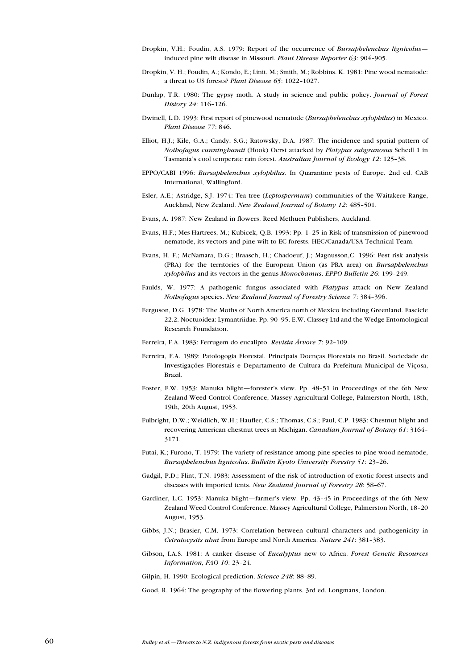- Dropkin, V.H.; Foudin, A.S. 1979: Report of the occurrence of Bursaphelenchus lignicolus induced pine wilt disease in Missouri. Plant Disease Reporter 63: 904-905.
- Dropkin, V. H.; Foudin, A.; Kondo, E.; Linit, M.; Smith, M.; Robbins. K. 1981: Pine wood nematode: a threat to US forests? Plant Disease 65: 1022-1027.
- Dunlap, T.R. 1980: The gypsy moth. A study in science and public policy. Journal of Forest History 24: 116-126.
- Dwinell, L.D. 1993: First report of pinewood nematode (Bursaphelenchus xylophilus) in Mexico. Plant Disease 77: 846.
- Elliot, H.J.; Kile, G.A.; Candy, S.G.; Ratowsky, D.A. 1987: The incidence and spatial pattern of Nothofagus cunninghamii (Hook) Oerst attacked by Platypus subgranosus Schedl 1 in Tasmania's cool temperate rain forest. Australian Journal of Ecology 12: 125-38.
- EPPO/CABI 1996: Bursaphelenchus xylophilus. In Quarantine pests of Europe. 2nd ed. CAB International, Wallingford.
- Esler, A.E.; Astridge, S.J. 1974: Tea tree (Leptospermum) communities of the Waitakere Range, Auckland, New Zealand. New Zealand Journal of Botany 12: 485-501.
- Evans, A. 1987: New Zealand in flowers. Reed Methuen Publishers, Auckland.
- Evans, H.F.; Mes-Hartrees, M.; Kubicek, Q.B. 1993: Pp. 1-25 in Risk of transmission of pinewood nematode, its vectors and pine wilt to EC forests. HEC/Canada/USA Technical Team.
- Evans, H. F.; McNamara, D.G.; Braasch, H.; Chadoeuf, J.; Magnusson,C. 1996: Pest risk analysis (PRA) for the territories of the European Union (as PRA area) on Bursaphelenchus xylophilus and its vectors in the genus Monochamus. EPPO Bulletin 26: 199-249.
- Faulds, W. 1977: A pathogenic fungus associated with Platypus attack on New Zealand Nothofagus species. New Zealand Journal of Forestry Science 7: 384-396.
- Ferguson, D.G. 1978: The Moths of North America north of Mexico including Greenland. Fascicle 22.2. Noctuoidea: Lymantriidae. Pp. 90-95. E.W. Classey Ltd and the Wedge Entomological Research Foundation.
- Ferreira, F.A. 1983: Ferrugem do eucalipto. Revista Árvore 7: 92-109.
- Ferreira, F.A. 1989: Patologogia Florestal. Principais Doenças Florestais no Brasil. Sociedade de Investigaçóes Florestais e Departamento de Cultura da Prefeitura Municipal de Viçosa, Brazil.
- Foster, F.W. 1953: Manuka blight-forester's view. Pp. 48-51 in Proceedings of the 6th New Zealand Weed Control Conference, Massey Agricultural College, Palmerston North, 18th, 19th, 20th August, 1953.
- Fulbright, D.W.; Weidlich, W.H.; Haufler, C.S.; Thomas, C.S.; Paul, C.P. 1983: Chestnut blight and recovering American chestnut trees in Michigan. Canadian Journal of Botany 61: 3164 3171.
- Futai, K.; Furono, T. 1979: The variety of resistance among pine species to pine wood nematode, Bursaphelenchus lignicolus. Bulletin Kyoto University Forestry 51: 23-26.
- Gadgil, P.D.; Flint, T.N. 1983: Assessment of the risk of introduction of exotic forest insects and diseases with imported tents. New Zealand Journal of Forestry 28: 58-67.
- Gardiner, L.C. 1953: Manuka blight-farmer's view. Pp. 43-45 in Proceedings of the 6th New Zealand Weed Control Conference, Massey Agricultural College, Palmerston North, 18-20 August, 1953.
- Gibbs, J.N.; Brasier, C.M. 1973: Correlation between cultural characters and pathogenicity in Cetratocystis ulmi from Europe and North America. Nature 241: 381-383.
- Gibson, I.A.S. 1981: A canker disease of Eucalyptus new to Africa. Forest Genetic Resources Information, FAO  $10: 23-24$ .
- Gilpin, H. 1990: Ecological prediction. Science 248: 88-89.
- Good, R. 1964: The geography of the flowering plants. 3rd ed. Longmans, London.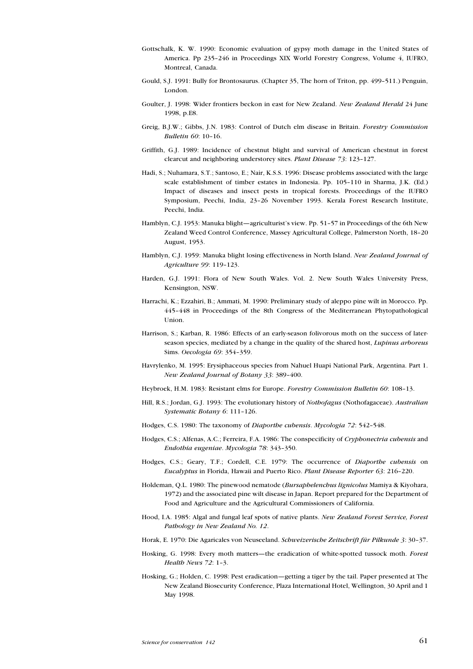- Gottschalk, K. W. 1990: Economic evaluation of gypsy moth damage in the United States of America. Pp 235-246 in Proceedings XIX World Forestry Congress, Volume 4, IUFRO, Montreal, Canada.
- Gould, S.J. 1991: Bully for Brontosaurus. (Chapter 35, The horn of Triton, pp. 499-511.) Penguin, London.
- Goulter, J. 1998: Wider frontiers beckon in east for New Zealand. New Zealand Herald 24 June 1998, p.E8.
- Greig, B.J.W.; Gibbs, J.N. 1983: Control of Dutch elm disease in Britain. Forestry Commission Bulletin  $60:10-16$ .
- Griffith, G.J. 1989: Incidence of chestnut blight and survival of American chestnut in forest clearcut and neighboring understorey sites. Plant Disease 73: 123-127.
- Hadi, S.; Nuhamara, S.T.; Santoso, E.; Nair, K.S.S. 1996: Disease problems associated with the large scale establishment of timber estates in Indonesia. Pp. 105-110 in Sharma, J.K. (Ed.) Impact of diseases and insect pests in tropical forests. Proceedings of the IUFRO Symposium, Peechi, India, 23-26 November 1993. Kerala Forest Research Institute, Peechi, India.
- Hamblyn, C.J. 1953: Manuka blight—agriculturist's view. Pp. 51-57 in Proceedings of the 6th New Zealand Weed Control Conference, Massey Agricultural College, Palmerston North, 18-20 August, 1953.
- Hamblyn, C.J. 1959: Manuka blight losing effectiveness in North Island. New Zealand Journal of Agriculture 99: 119-123.
- Harden, G.J. 1991: Flora of New South Wales. Vol. 2. New South Wales University Press, Kensington, NSW.
- Harrachi, K.; Ezzahiri, B.; Ammati, M. 1990: Preliminary study of aleppo pine wilt in Morocco. Pp. 445448 in Proceedings of the 8th Congress of the Mediterranean Phytopathological Union.
- Harrison, S.; Karban, R. 1986: Effects of an early-season folivorous moth on the success of laterseason species, mediated by a change in the quality of the shared host, Lupinus arboreus Sims. Oecologia 69: 354-359.
- Havrylenko, M. 1995: Erysiphaceous species from Nahuel Huapi National Park, Argentina. Part 1. New Zealand Journal of Botany 33: 389-400.
- Heybroek, H.M. 1983: Resistant elms for Europe. Forestry Commission Bulletin 60: 108-13.
- Hill, R.S.; Jordan, G.J. 1993: The evolutionary history of Nothofagus (Nothofagaceae). Australian Systematic Botany 6: 111-126.
- Hodges, C.S. 1980: The taxonomy of Diaporthe cubensis. Mycologia 72: 542-548.
- Hodges, C.S.; Alfenas, A.C.; Ferreira, F.A. 1986: The conspecificity of Cryphonectria cubensis and Endothia eugeniae. Mycologia 78: 343-350.
- Hodges, C.S.; Geary, T.F.; Cordell, C.E. 1979: The occurrence of Diaporthe cubensis on Eucalyptus in Florida, Hawaii and Puerto Rico. Plant Disease Reporter 63: 216-220.
- Holdeman, Q.L. 1980: The pinewood nematode (Bursaphelenchus lignicolus Mamiya & Kiyohara, 1972) and the associated pine wilt disease in Japan. Report prepared for the Department of Food and Agriculture and the Agricultural Commissioners of California.
- Hood, I.A. 1985: Algal and fungal leaf spots of native plants. New Zealand Forest Service, Forest Pathology in New Zealand No. 12.
- Horak, E. 1970: Die Agaricales von Neuseeland. Schweizerische Zeitschrift für Pilkunde 3: 30-37.
- Hosking, G. 1998: Every moth matters—the eradication of white-spotted tussock moth. Forest Health News  $72: 1-3.$
- Hosking, G.; Holden, C. 1998: Pest eradication—getting a tiger by the tail. Paper presented at The New Zealand Biosecurity Conference, Plaza International Hotel, Wellington, 30 April and 1 May 1998.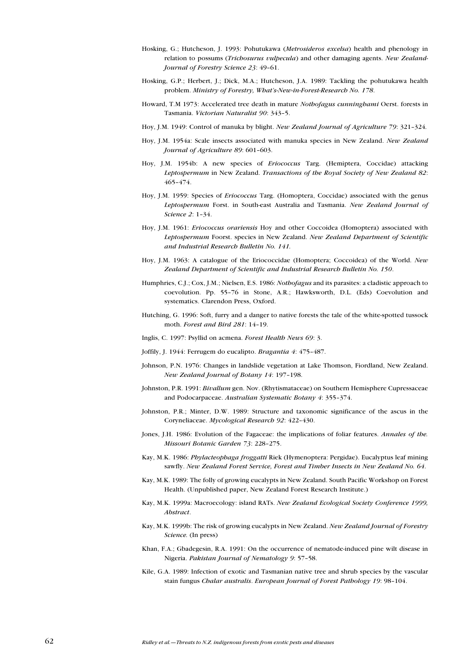- Hosking, G.; Hutcheson, J. 1993: Pohutukawa (Metrosideros excelsa) health and phenology in relation to possums (*Trichosurus vulpecula*) and other damaging agents. New Zealand-Journal of Forestry Science 23: 49-61.
- Hosking, G.P.; Herbert, J.; Dick, M.A.; Hutcheson, J.A. 1989: Tackling the pohutukawa health problem. Ministry of Forestry, What's-New-in-Forest-Research No. 178.
- Howard, T.M 1973: Accelerated tree death in mature Nothofagus cunninghami Oerst. forests in Tasmania. Victorian Naturalist 90: 343-5.
- Hoy, J.M. 1949: Control of manuka by blight. New Zealand Journal of Agriculture 79: 321-324.
- Hoy, J.M. 1954a: Scale insects associated with manuka species in New Zealand. New Zealand Journal of Agriculture 89: 601-603.
- Hoy, J.M. 1954b: A new species of Eriococcus Targ. (Hemiptera, Coccidae) attacking Leptospermum in New Zealand. Transactions of the Royal Society of New Zealand 82: 465474.
- Hoy, J.M. 1959: Species of Eriococcus Targ. (Homoptera, Coccidae) associated with the genus Leptospermum Forst. in South-east Australia and Tasmania. New Zealand Journal of Science 2: 1-34.
- Hoy, J.M. 1961: Eriococcus orariensis Hoy and other Coccoidea (Homoptera) associated with Leptospermum Foorst. species in New Zealand. New Zealand Department of Scientific and Industrial Research Bulletin No. 141.
- Hoy, J.M. 1963: A catalogue of the Eriococcidae (Homoptera; Coccoidea) of the World. New Zealand Department of Scientific and Industrial Research Bulletin No. 150.
- Humphries, C.J.; Cox, J.M.; Nielsen, E.S. 1986: Nothofagus and its parasites: a cladistic approach to coevolution. Pp. 55-76 in Stone, A.R.; Hawksworth, D.L. (Eds) Coevolution and systematics. Clarendon Press, Oxford.
- Hutching, G. 1996: Soft, furry and a danger to native forests the tale of the white-spotted tussock moth. Forest and Bird 281: 14-19.
- Inglis, C. 1997: Psyllid on acmena. Forest Health News 69: 3.
- Joffily, J. 1944: Ferrugem do eucalipto. Bragantia 4: 475-487.
- Johnson, P.N. 1976: Changes in landslide vegetation at Lake Thomson, Fiordland, New Zealand. New Zealand Journal of Botany 14: 197-198.
- Johnston, P.R. 1991: Bivallum gen. Nov. (Rhytismataceae) on Southern Hemisphere Cupressaceae and Podocarpaceae. Australian Systematic Botany 4: 355-374.
- Johnston, P.R.; Minter, D.W. 1989: Structure and taxonomic significance of the ascus in the Coryneliaceae. Mycological Research 92: 422-430.
- Jones, J.H. 1986: Evolution of the Fagaceae: the implications of foliar features. Annales of the. Missouri Botanic Garden 73: 228-275.
- Kay, M.K. 1986: Phylacteophaga froggatti Riek (Hymenoptera: Pergidae). Eucalyptus leaf mining sawfly. New Zealand Forest Service, Forest and Timber Insects in New Zealand No. 64.
- Kay, M.K. 1989: The folly of growing eucalypts in New Zealand. South Pacific Workshop on Forest Health. (Unpublished paper, New Zealand Forest Research Institute.)
- Kay, M.K. 1999a: Macroecology: island RATs. New Zealand Ecological Society Conference 1999, Abstract.
- Kay, M.K. 1999b: The risk of growing eucalypts in New Zealand. New Zealand Journal of Forestry Science. (In press)
- Khan, F.A.; Gbadegesin, R.A. 1991: On the occurrence of nematode-induced pine wilt disease in Nigeria. Pakistan Journal of Nematology 9: 57-58.
- Kile, G.A. 1989: Infection of exotic and Tasmanian native tree and shrub species by the vascular stain fungus Chalar australis. European Journal of Forest Pathology 19: 98-104.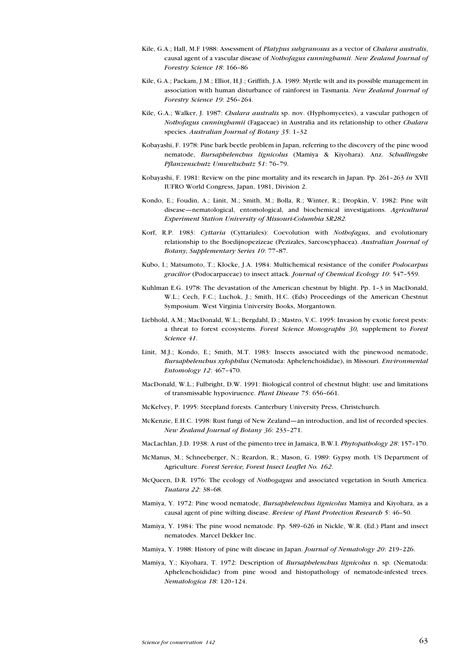- Kile, G.A.; Hall, M.F 1988: Assessment of Platypus subgranosus as a vector of Chalara australis, causal agent of a vascular disease of Nothofagus cunninghamii. New Zealand Journal of Forestry Science 18: 166-86
- Kile, G.A.; Packam, J.M.; Elliot, H.J.; Griffith, J.A. 1989: Myrtle wilt and its possible management in association with human disturbance of rainforest in Tasmania. New Zealand Journal of Forestry Science 19: 256-264.
- Kile, G.A.; Walker, J. 1987: Chalara australis sp. nov. (Hyphomycetes), a vascular pathogen of Nothofagus cunninghamii (Fagaceae) in Australia and its relationship to other Chalara species. Australian Journal of Botany  $35: 1-32$
- Kobayashi, F. 1978: Pine bark beetle problem in Japan, referring to the discovery of the pine wood nematode, Bursaphelenchus lignicolus (Mamiya & Kiyohara). Anz. Schadlingske Pflanzenschutz Umweltschutz 51: 76-79.
- Kobayashi, F. 1981: Review on the pine mortality and its research in Japan. Pp. 261-263 in XVII IUFRO World Congress, Japan, 1981, Division 2.
- Kondo, E.; Foudin, A.; Linit, M.; Smith, M.; Bolla, R.; Winter, R.; Dropkin, V. 1982: Pine wilt disease—nematological, entomological, and biochemical investigations. Agricultural Experiment Station University of Missouri-Columbia SR282.
- Korf, R.P. 1983: Cyttaria (Cyttariales): Coevolution with Nothofagus, and evolutionary relationship to the Boedijnopezizeae (Pezizales, Sarcoscyphacea). Australian Journal of Botany, Supplementary Series 10: 77-87.
- Kubo, I.; Matsumoto, T.; Klocke, J.A. 1984: Multichemical resistance of the conifer *Podocarpus* gracilior (Podocarpaceae) to insect attack. Journal of Chemical Ecology 10: 547-559.
- Kuhlman E.G. 1978: The devastation of the American chestnut by blight. Pp. 1-3 in MacDonald, W.L.; Cech, F.C.; Luchok, J.; Smith, H.C. (Eds) Proceedings of the American Chestnut Symposium. West Virginia University Books, Morgantown.
- Liebhold, A.M.; MacDonald, W.L.; Bergdahl, D.; Mastro, V.C. 1995: Invasion by exotic forest pests: a threat to forest ecosystems. Forest Science Monographs 30, supplement to Forest Science 41.
- Linit, M.J.; Kondo, E.; Smith, M.T. 1983: Insects associated with the pinewood nematode, Bursaphelenchus xylophilus (Nematoda: Aphelenchoididae), in Missouri. Environmental Entomology 12: 467-470.
- MacDonald, W.L.; Fulbright, D.W. 1991: Biological control of chestnut blight: use and limitations of transmissable hypoviruence. Plant Disease 75: 656-661.
- McKelvey, P. 1995: Steepland forests. Canterbury University Press, Christchurch.
- McKenzie, E.H.C. 1998: Rust fungi of New Zealand—an introduction, and list of recorded species. New Zealand Journal of Botany 36: 233-271.
- MacLachlan, J.D. 1938: A rust of the pimento tree in Jamaica, B.W.I. Phytopathology 28: 157-170.
- McManus, M.; Schneeberger, N.; Reardon, R.; Mason, G. 1989: Gypsy moth. US Department of Agriculture. Forest Service, Forest Insect Leaflet No. 162.
- McQueen, D.R. 1976: The ecology of Nothogagus and associated vegetation in South America. Tuatara 22: 38-68.
- Mamiya, Y. 1972: Pine wood nematode, *Bursaphelenchus lignicolus* Mamiya and Kiyohara, as a causal agent of pine wilting disease. Review of Plant Protection Research 5: 46-50.
- Mamiya, Y. 1984: The pine wood nematode. Pp. 589-626 in Nickle, W.R. (Ed.) Plant and insect nematodes. Marcel Dekker Inc.
- Mamiya, Y. 1988: History of pine wilt disease in Japan. Journal of Nematology 20: 219-226.
- Mamiya, Y.; Kiyohara, T. 1972; Description of *Bursaphelenchus lignicolus* n. sp. (Nematoda: Aphelenchoididae) from pine wood and histopathology of nematode-infested trees. Nematologica 18: 120-124.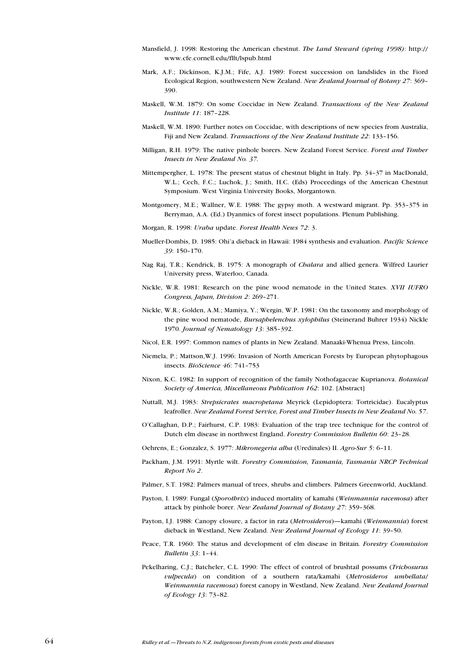- Mansfield, J. 1998: Restoring the American chestnut. The Land Steward (spring 1998): http:// www.cfe.cornell.edu/fllt/lspub.html
- Mark, A.F.; Dickinson, K.J.M.; Fife, A.J. 1989: Forest succession on landslides in the Fiord Ecological Region, southwestern New Zealand. New Zealand Journal of Botany 27: 369 390.
- Maskell, W.M. 1879: On some Coccidae in New Zealand. Transactions of the New Zealand Institute 11: 187-228.
- Maskell, W.M. 1890: Further notes on Coccidae, with descriptions of new species from Australia, Fiji and New Zealand. Transactions of the New Zealand Institute 22: 133-156.
- Milligan, R.H. 1979: The native pinhole borers. New Zealand Forest Service. Forest and Timber Insects in New Zealand No. 37.
- Mittempergher, L. 1978: The present status of chestnut blight in Italy. Pp. 34-37 in MacDonald, W.L.; Cech, F.C.; Luchok, J.; Smith, H.C. (Eds) Proceedings of the American Chestnut Symposium. West Virginia University Books, Morgantown.
- Montgomery, M.E.; Wallner, W.E. 1988: The gypsy moth. A westward migrant. Pp. 353-375 in Berryman, A.A. (Ed.) Dyanmics of forest insect populations. Plenum Publishing.
- Morgan, R. 1998: Uraba update. Forest Health News 72: 3.
- Mueller-Dombis, D. 1985: Ohi'a dieback in Hawaii: 1984 synthesis and evaluation. Pacific Science 39: 150-170.
- Nag Raj, T.R.; Kendrick, B. 1975: A monograph of *Chalara* and allied genera. Wilfred Laurier University press, Waterloo, Canada.
- Nickle, W.R. 1981: Research on the pine wood nematode in the United States. XVII IUFRO Congress, Japan, Division 2: 269-271.
- Nickle, W.R.; Golden, A.M.; Mamiya, Y.; Wergin, W.P. 1981: On the taxonomy and morphology of the pine wood nematode, *Bursaphelenchus xylophilus* (Steinerand Buhrer 1934) Nickle 1970. Journal of Nematology 13: 385-392.
- Nicol, E.R. 1997: Common names of plants in New Zealand. Manaaki-Whenua Press, Lincoln.
- Niemela, P.; Mattson,W.J. 1996: Invasion of North American Forests by European phytophagous insects. BioScience 46: 741-753
- Nixon, K.C. 1982: In support of recognition of the family Nothofagaceae Kuprianova. Botanical Society of America, Miscellaneous Publication 162: 102. [Abstract]
- Nuttall, M.J. 1983: Strepsicrates macropetana Meyrick (Lepidoptera: Tortricidae). Eucalyptus leafroller. New Zealand Forest Service, Forest and Timber Insects in New Zealand No. 57.
- OCallaghan, D.P.; Fairhurst, C.P. 1983: Evaluation of the trap tree technique for the control of Dutch elm disease in northwest England. Forestry Commission Bulletin 60: 23-28.
- Oehrens, E.; Gonzalez, S. 1977: Mikronegeria alba (Uredinales) II. Agro-Sur 5: 6-11.
- Packham, J.M. 1991: Myrtle wilt. Forestry Commission, Tasmania, Tasmania NRCP Technical Report No 2.
- Palmer, S.T. 1982: Palmers manual of trees, shrubs and climbers. Palmers Greenworld, Auckland.
- Payton, I. 1989: Fungal (Sporothrix) induced mortality of kamahi (Weinmannia racemosa) after attack by pinhole borer. New Zealand Journal of Botany 27: 359-368.
- Payton, I.J. 1988: Canopy closure, a factor in rata (Metrosideros)-kamahi (Weinmannia) forest dieback in Westland, New Zealand. New Zealand Journal of Ecology 11: 39-50.
- Peace, T.R. 1960: The status and development of elm disease in Britain. Forestry Commission **Bulletin 33: 1-44.**
- Pekelharing, C.J.; Batcheler, C.L. 1990: The effect of control of brushtail possums (Trichosurus vulpecula) on condition of a southern rata/kamahi (Metrosideros umbellata/ Weinmannia racemosa) forest canopy in Westland, New Zealand. New Zealand Journal of Ecology 13: 73-82.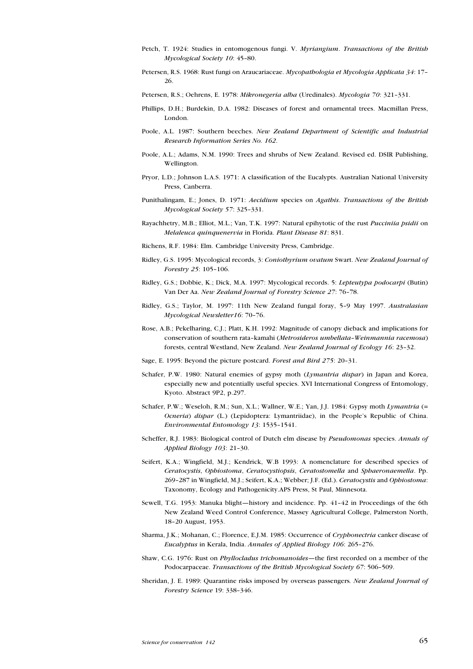- Petch, T. 1924: Studies in entomogenous fungi. V. Myriangium. Transactions of the British Mycological Society 10: 45-80.
- Petersen, R.S. 1968: Rust fungi on Araucariaceae. Mycopathologia et Mycologia Applicata 34: 17 26.
- Petersen, R.S.; Oehrens, E. 1978: Mikronegeria alba (Uredinales). Mycologia 70: 321-331.
- Phillips, D.H.; Burdekin, D.A. 1982: Diseases of forest and ornamental trees. Macmillan Press, London.
- Poole, A.L. 1987: Southern beeches. New Zealand Department of Scientific and Industrial Research Information Series No. 162.
- Poole, A.L.; Adams, N.M. 1990: Trees and shrubs of New Zealand. Revised ed. DSIR Publishing, Wellington.
- Pryor, L.D.; Johnson L.A.S. 1971: A classification of the Eucalypts. Australian National University Press, Canberra.
- Punithalingam, E.; Jones, D. 1971: Aecidium species on Agathis. Transactions of the British Mycological Society 57: 325-331.
- Rayachhetry, M.B.; Elliot, M.L.; Van, T.K. 1997; Natural epihytotic of the rust *Pucciniia psidii* on Melaleuca quinquenervia in Florida. Plant Disease 81: 831.
- Richens, R.F. 1984: Elm. Cambridge University Press, Cambridge.
- Ridley, G.S. 1995: Mycological records, 3: Coniothyrium ovatum Swart. New Zealand Journal of Forestry  $25:105-106$ .
- Ridley, G.S.; Dobbie, K.; Dick, M.A. 1997: Mycological records. 5: Lepteutypa podocarpi (Butin) Van Der Aa. New Zealand Journal of Forestry Science 27: 76-78.
- Ridley, G.S.; Taylor, M. 1997: 11th New Zealand fungal foray, 59 May 1997. Australasian Mycological Newsletter16: 70-76.
- Rose, A.B.; Pekelharing, C.J.; Platt, K.H. 1992: Magnitude of canopy dieback and implications for conservation of southern rata-kamahi (Metrosideros umbellata-Weinmannia racemosa) forests, central Westland, New Zealand. New Zealand Journal of Ecology 16: 23-32.
- Sage, E. 1995: Beyond the picture postcard. Forest and Bird 275: 20-31.
- Schafer, P.W. 1980: Natural enemies of gypsy moth (Lymantria dispar) in Japan and Korea, especially new and potentially useful species. XVI International Congress of Entomology, Kyoto. Abstract 9P2, p.297.
- Schafer, P.W.; Weseloh, R.M.; Sun, X.L.; Wallner, W.E.; Yan, J.J. 1984: Gypsy moth Lymantria (= Ocneria) dispar (L.) (Lepidoptera: Lymantriidae), in the Peoples Republic of China. Environmental Entomology 13: 1535-1541.
- Scheffer, R.J. 1983: Biological control of Dutch elm disease by Pseudomonas species. Annals of Applied Biology 103: 21-30.
- Seifert, K.A.; Wingfield, M.J.; Kendrick, W.B 1993: A nomenclature for described species of Ceratocystis, Ophiostoma, Ceratocystiopsis, Ceratostomella and Sphaeronaemella. Pp. 269-287 in Wingfield, M.J.; Seifert, K.A.; Webber; J.F. (Ed.). Ceratocystis and Ophiostoma: Taxonomy, Ecology and Pathogenicity.APS Press, St Paul, Minnesota.
- Sewell, T.G. 1953: Manuka blight—history and incidence. Pp. 41-42 in Proceedings of the 6th New Zealand Weed Control Conference, Massey Agricultural College, Palmerston North, 18-20 August, 1953.
- Sharma, J.K.; Mohanan, C.; Florence, E.J.M. 1985: Occurrence of Cryphonectria canker disease of Eucalyptus in Kerala, India. Annales of Applied Biology 106: 265-276.
- Shaw, C.G. 1976: Rust on *Phyllocladus trichomanoides*—the first recorded on a member of the Podocarpaceae. Transactions of the British Mycological Society 67: 506-509.
- Sheridan, J. E. 1989: Quarantine risks imposed by overseas passengers. New Zealand Journal of Forestry Science 19: 338-346.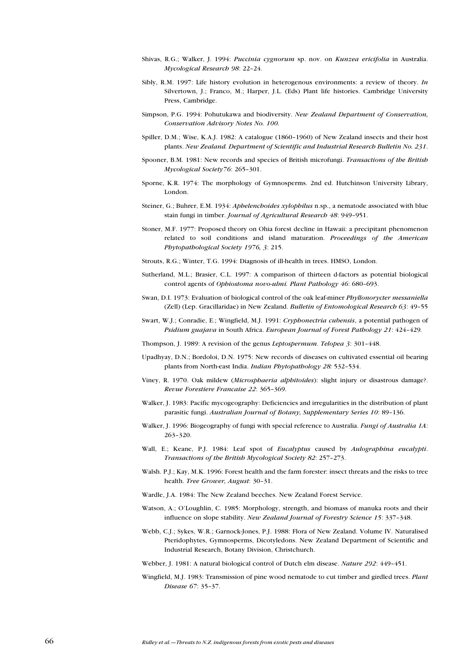- Shivas, R.G.; Walker, J. 1994: Puccinia cygnorum sp. nov. on Kunzea ericifolia in Australia. Mycological Research 98: 22-24.
- Sibly, R.M. 1997: Life history evolution in heterogenous environments: a review of theory. In Silvertown, J.; Franco, M.; Harper, J.L. (Eds) Plant life histories. Cambridge University Press, Cambridge.
- Simpson, P.G. 1994: Pohutukawa and biodiversity. New Zealand Department of Conservation, Conservation Advisory Notes No. 100.
- Spiller, D.M.; Wise, K.A.J. 1982: A catalogue (1860-1960) of New Zealand insects and their host plants. New Zealand. Department of Scientific and Industrial Research Bulletin No. 231.
- Spooner, B.M. 1981: New records and species of British microfungi. Transactions of the British Mycological Society76: 265-301.
- Sporne, K.R. 1974: The morphology of Gymnosperms. 2nd ed. Hutchinson University Library, London.
- Steiner, G.; Buhrer, E.M. 1934: *Aphelenchoides xylophilus* n.sp., a nematode associated with blue stain fungi in timber. Journal of Agricultural Research 48: 949-951.
- Stoner, M.F. 1977: Proposed theory on Ohia forest decline in Hawaii: a precipitant phenomenon related to soil conditions and island maturation. Proceedings of the American Phytopathological Society 1976, 3: 215.
- Strouts, R.G.; Winter, T.G. 1994: Diagnosis of ill-health in trees. HMSO, London.
- Sutherland, M.L.; Brasier, C.L. 1997: A comparison of thirteen d-factors as potential biological control agents of Ophiostoma novo-ulmi. Plant Pathology 46: 680-693.
- Swan, D.I. 1973: Evaluation of biological control of the oak leaf-miner Phyllonorycter messaniella (Zell) (Lep. Gracillaridae) in New Zealand. Bulletin of Entomological Research 63: 49-55
- Swart, W.J.; Conradie, E.; Wingfield, M.J. 1991: Cryphonectria cubensis, a potential pathogen of Psidium guajava in South Africa. European Journal of Forest Pathology 21: 424-429.
- Thompson, J. 1989: A revision of the genus Leptospermum. Telopea 3: 301-448.
- Upadhyay, D.N.; Bordoloi, D.N. 1975: New records of diseases on cultivated essential oil bearing plants from North-east India. Indian Phytopathology 28: 532-534.
- Viney, R. 1970. Oak mildew (Microsphaeria alphitoides): slight injury or disastrous damage?. Revue Forestiere Francaise 22: 365-369.
- Walker, J. 1983: Pacific mycogeography: Deficiencies and irregularities in the distribution of plant parasitic fungi. Australian Journal of Botany, Supplementary Series 10: 89-136.
- Walker, J. 1996: Biogeography of fungi with special reference to Australia. Fungi of Australia 1A: 263-320.
- Wall, E.; Keane, P.J. 1984: Leaf spot of Eucalyptus caused by Aulographina eucalypti. Transactions of the British Mycological Society 82: 257-273.
- Walsh. P.J.; Kay, M.K. 1996: Forest health and the farm forester: insect threats and the risks to tree health. Tree Grower, August: 30-31.
- Wardle, J.A. 1984: The New Zealand beeches. New Zealand Forest Service.
- Watson, A.; O'Loughlin, C. 1985: Morphology, strength, and biomass of manuka roots and their influence on slope stability. New Zealand Journal of Forestry Science 15: 337-348.
- Webb, C.J.; Sykes, W.R.; Garnock-Jones, P.J. 1988: Flora of New Zealand. Volume IV. Naturalised Pteridophytes, Gymnosperms, Dicotyledons. New Zealand Department of Scientific and Industrial Research, Botany Division, Christchurch.
- Webber, J. 1981: A natural biological control of Dutch elm disease. Nature 292: 449-451.
- Wingfield, M.J. 1983: Transmission of pine wood nematode to cut timber and girdled trees. Plant Disease 67: 35-37.